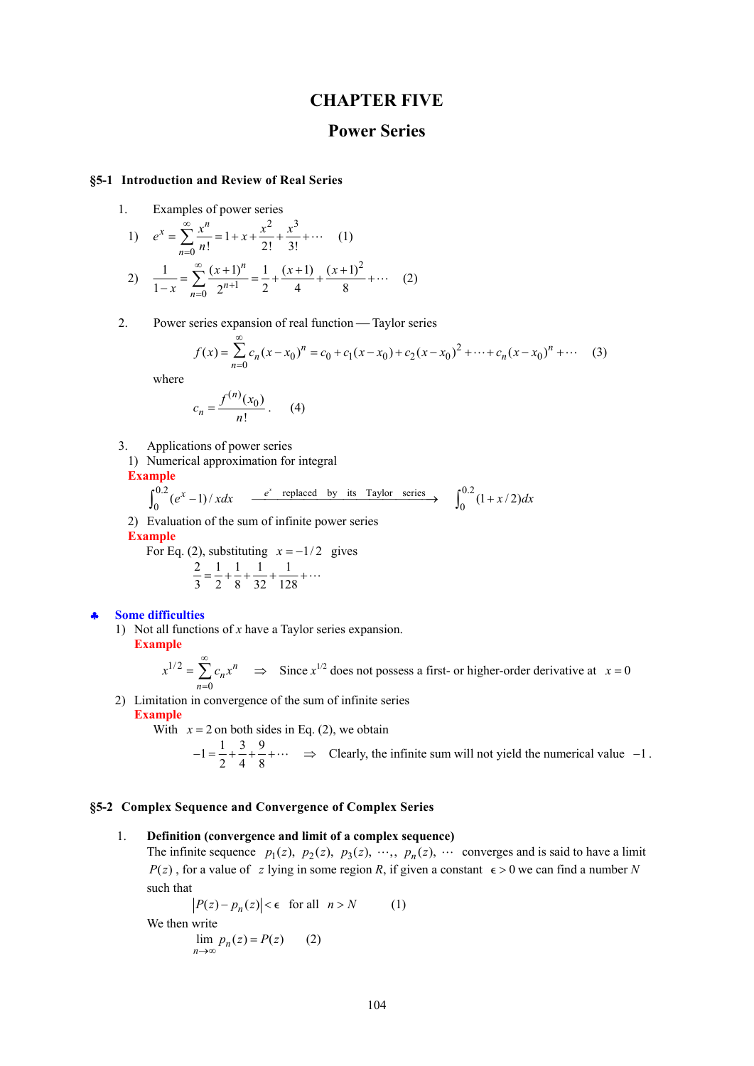# **CHAPTER FIVE**

# **Power Series**

### **§5-1 Introduction and Review of Real Series**

1. Examples of power series

1) 
$$
e^x = \sum_{n=0}^{\infty} \frac{x^n}{n!} = 1 + x + \frac{x^2}{2!} + \frac{x^3}{3!} + \cdots
$$
 (1)  
2)  $\frac{1}{1-x} = \sum_{n=0}^{\infty} \frac{(x+1)^n}{2^{n+1}} = \frac{1}{2} + \frac{(x+1)}{4} + \frac{(x+1)^2}{8} + \cdots$  (2)

2. Power series expansion of real function — Taylor series

$$
f(x) = \sum_{n=0}^{\infty} c_n (x - x_0)^n = c_0 + c_1 (x - x_0) + c_2 (x - x_0)^2 + \dots + c_n (x - x_0)^n + \dots
$$
 (3)

where

$$
c_n = \frac{f^{(n)}(x_0)}{n!} \,. \tag{4}
$$

- 3. Applications of power series
	- 1) Numerical approximation for integral

**Example**

$$
\int_0^{0.2} (e^x - 1) / x dx \xrightarrow{e^x \text{ replaced by its Taylor series}} \int_0^{0.2} (1 + x/2) dx
$$

2) Evaluation of the sum of infinite power series

**Example** 

For Eq. (2), substituting 
$$
x = -1/2
$$
 gives  
\n
$$
\frac{2}{3} = \frac{1}{2} + \frac{1}{8} + \frac{1}{32} + \frac{1}{128} + \cdots
$$

♣ **Some difficulties** 

We

1) Not all functions of *x* have a Taylor series expansion. **Example** 

$$
x^{1/2} = \sum_{n=0}^{\infty} c_n x^n \implies
$$
 Since  $x^{1/2}$  does not possess a first- or higher-order derivative at  $x = 0$ 

2) Limitation in convergence of the sum of infinite series **Example** 

With  $x = 2$  on both sides in Eq. (2), we obtain

$$
-1 = \frac{1}{2} + \frac{3}{4} + \frac{9}{8} + \cdots \implies \text{Clearly, the infinite sum will not yield the numerical value } -1.
$$

# **§5-2 Complex Sequence and Convergence of Complex Series**

## 1. **Definition (convergence and limit of a complex sequence)**

The infinite sequence  $p_1(z)$ ,  $p_2(z)$ ,  $p_3(z)$ ,  $\cdots$ ,  $p_n(z)$ ,  $\cdots$  converges and is said to have a limit  $P(z)$ , for a value of *z* lying in some region *R*, if given a constant  $\epsilon > 0$  we can find a number *N* such that

$$
|P(z) - p_n(z)| < \epsilon \quad \text{for all} \quad n > N \tag{1}
$$
  
then write  

$$
\lim_{n \to \infty} p_n(z) = P(z) \tag{2}
$$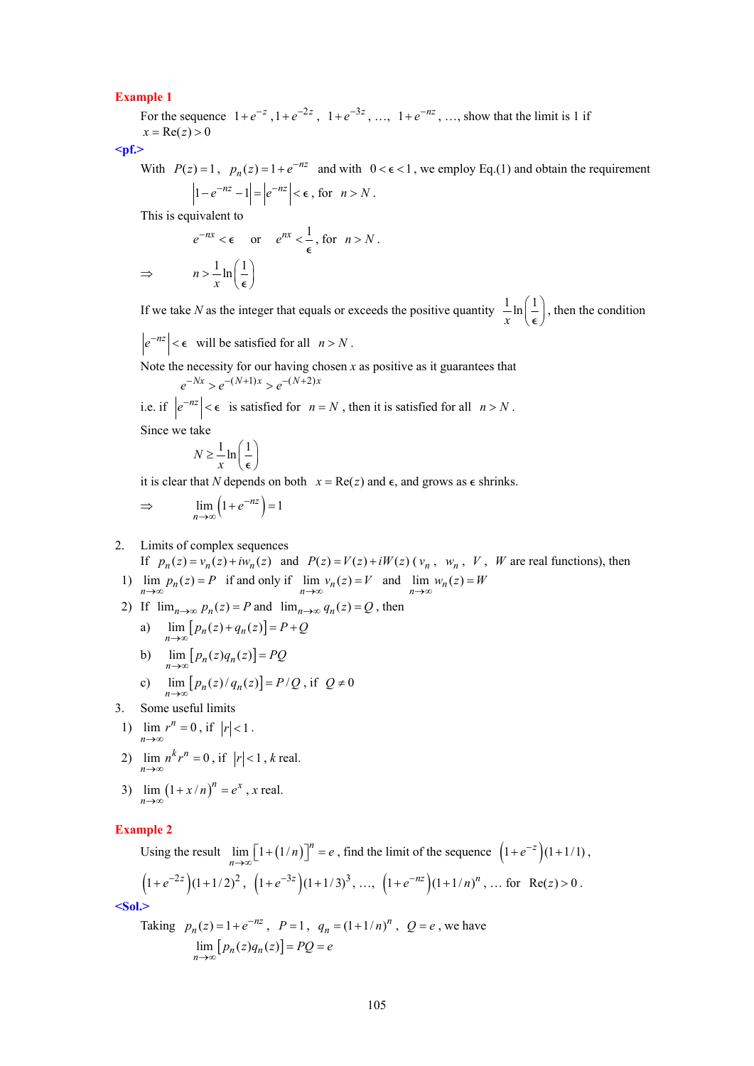### **Example 1**

For the sequence  $1 + e^{-z}$ ,  $1 + e^{-2z}$ ,  $1 + e^{-3z}$ , …,  $1 + e^{-nz}$ , …, show that the limit is 1 if  $x = \text{Re}(z) > 0$ 

**<pf.>** 

With  $P(z) = 1$ ,  $p_n(z) = 1 + e^{-nz}$  and with  $0 < \epsilon < 1$ , we employ Eq.(1) and obtain the requirement  $\left| 1 - e^{-nz} - 1 \right| = \left| e^{-nz} \right| < \epsilon$ , for  $n > N$ .

This is equivalent to

$$
e^{-nx} < \epsilon \quad \text{or} \quad e^{nx} < \frac{1}{\epsilon}, \text{ for } n > N.
$$
  
\n
$$
\Rightarrow \qquad n > \frac{1}{x} \ln \left( \frac{1}{\epsilon} \right)
$$

If we take *N* as the integer that equals or exceeds the positive quantity  $\frac{1}{x} \ln\left(\frac{1}{\epsilon}\right)$ , then the condition

$$
\left|e^{-nz}\right| < \epsilon \quad \text{will be satisfied for all} \quad n > N \,.
$$

Note the necessity for our having chosen  $x$  as positive as it guarantees that

$$
e^{-Nx} > e^{-(N+1)x} > e^{-(N+2)x}
$$

i.e. if  $|e^{-nz}| < \epsilon$  is satisfied for *n* = *N*, then it is satisfied for all *n* > *N*. Since we take

$$
N \ge \frac{1}{x} \ln\left(\frac{1}{\epsilon}\right)
$$

it is clear that *N* depends on both  $x = \text{Re}(z)$  and  $\epsilon$ , and grows as  $\epsilon$  shrinks.

$$
\Rightarrow \lim_{n \to \infty} \left( 1 + e^{-nz} \right) = 1
$$

2. Limits of complex sequences

If  $p_n(z) = v_n(z) + iw_n(z)$  and  $P(z) = V(z) + iW(z)$  ( $v_n$ ,  $w_n$ ,  $V$ ,  $W$  are real functions), then 1)  $\lim_{n \to \infty} p_n(z) = P$  if and only if  $\lim_{n \to \infty} v_n(z) = V$  and  $\lim_{n \to \infty} w_n(z) = W$ 

- 2) If  $\lim_{n\to\infty} p_n(z) = P$  and  $\lim_{n\to\infty} q_n(z) = Q$ , then
	- a)  $\lim_{n \to \infty} [ p_n(z) + q_n(z) ] = P + Q$
	- b)  $\lim_{n \to \infty} [p_n(z) q_n(z)] = PQ$

c) 
$$
\lim_{n \to \infty} [p_n(z)/q_n(z)] = P/Q, \text{ if } Q \neq 0
$$

3. Some useful limits

1) 
$$
\lim_{n \to \infty} r^n = 0
$$
, if  $|r| < 1$ .

2)  $\lim_{n \to \infty} n^k r^n = 0$ , if  $|r| < 1$ , *k* real.

3) 
$$
\lim_{n \to \infty} (1 + x/n)^n = e^x
$$
, x real.

# **Example 2**

Using the result  $\lim_{n\to\infty} \left[1 + (1/n)\right]^n = e$ , find the limit of the sequence  $\left(1 + e^{-z}\right)(1 + 1/1)$ ,  $(1 + e^{-2z})(1 + 1/2)^2$ ,  $(1 + e^{-3z})(1 + 1/3)^3$ , …,  $(1 + e^{-nz})(1 + 1/n)^n$ , … for Re(z) > 0.

**<Sol.>** 

Taking 
$$
p_n(z) = 1 + e^{-nz}
$$
,  $P = 1$ ,  $q_n = (1 + 1/n)^n$ ,  $Q = e$ , we have  
\n
$$
\lim_{n \to \infty} [p_n(z)q_n(z)] = PQ = e
$$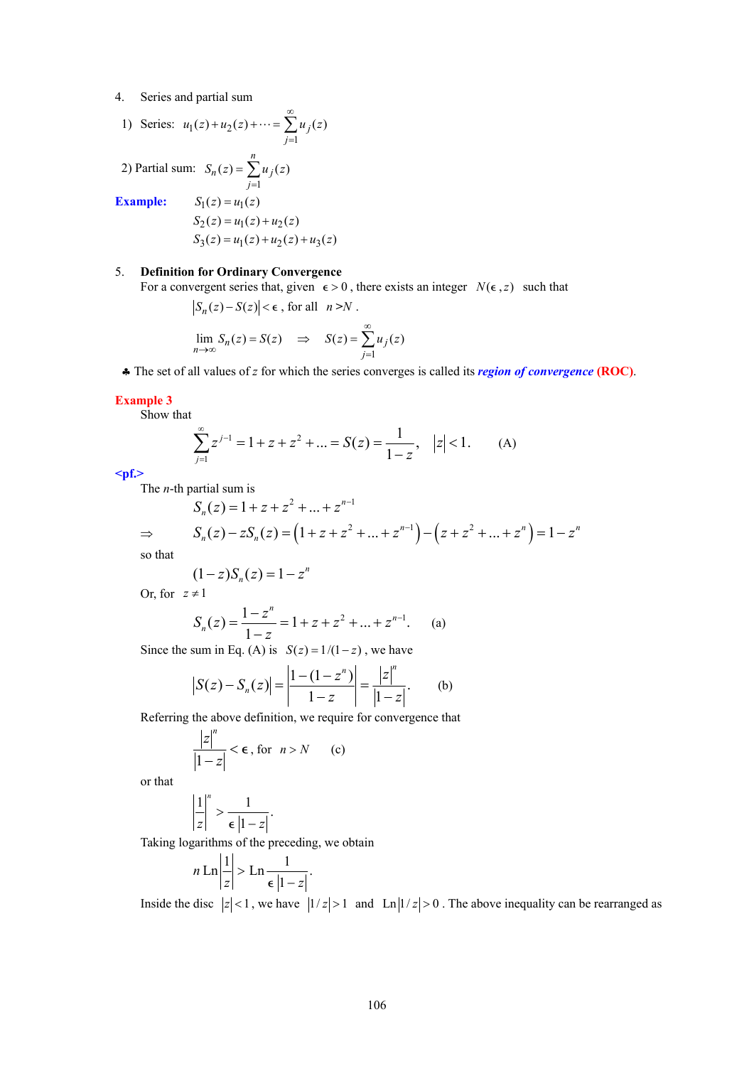4. Series and partial sum

1) Series: 
$$
u_1(z) + u_2(z) + \cdots = \sum_{j=1}^{\infty} u_j(z)
$$
  
\n2) Partial sum:  $S_n(z) = \sum_{j=1}^n u_j(z)$   
\nExample:  $S_1(z) = u_1(z)$   
\n $S_2(z) = u_1(z) + u_2(z)$ 

$$
S_2(z) = u_1(z) + u_2(z)
$$
  
\n
$$
S_3(z) = u_1(z) + u_2(z) + u_3(z)
$$

# 5. **Definition for Ordinary Convergence**

For a convergent series that, given  $\epsilon > 0$ , there exists an integer  $N(\epsilon, z)$  such that

$$
|S_n(z) - S(z)| < \epsilon \text{, for all } n > N.
$$
  

$$
\lim_{n \to \infty} S_n(z) = S(z) \implies S(z) = \sum_{j=1}^{\infty} u_j(z)
$$

♣ The set of all values of *z* for which the series converges is called its *region of convergence* **(ROC)**.

#### **Example 3**

Show that

$$
\sum_{j=1}^{\infty} z^{j-1} = 1 + z + z^2 + \dots = S(z) = \frac{1}{1-z}, \quad |z| < 1. \tag{A}
$$

**<pf.>** 

The *n*-th partial sum is

$$
S_n(z) = 1 + z + z^2 + \dots + z^{n-1}
$$
  
\n
$$
\Rightarrow S_n(z) - zS_n(z) = (1 + z + z^2 + \dots + z^{n-1}) - (z + z^2 + \dots + z^n) = 1 - z^n
$$

so that

$$
(1-z)S_n(z) = 1 - z^n
$$

Or, for  $z \neq 1$ 

$$
S_n(z) = \frac{1 - z^n}{1 - z} = 1 + z + z^2 + \dots + z^{n-1}.
$$
 (a)

Since the sum in Eq. (A) is  $S(z) = 1/(1-z)$ , we have

$$
|S(z) - S_n(z)| = \left| \frac{1 - (1 - z^n)}{1 - z} \right| = \frac{|z|^n}{|1 - z|}. \tag{b}
$$

Referring the above definition, we require for convergence that

$$
\frac{|z|^n}{|1-z|} < \epsilon \text{, for } n > N \qquad \text{(c)}
$$

or that

$$
\frac{1}{z}\bigg|^{n} > \frac{1}{\epsilon \, |1-z|}.
$$

Taking logarithms of the preceding, we obtain

$$
n \operatorname{Ln} \left| \frac{1}{z} \right| > \operatorname{Ln} \frac{1}{\epsilon \left| 1 - z \right|}.
$$

Inside the disc  $|z| < 1$ , we have  $|1/z| > 1$  and  $\text{Ln}|1/z| > 0$ . The above inequality can be rearranged as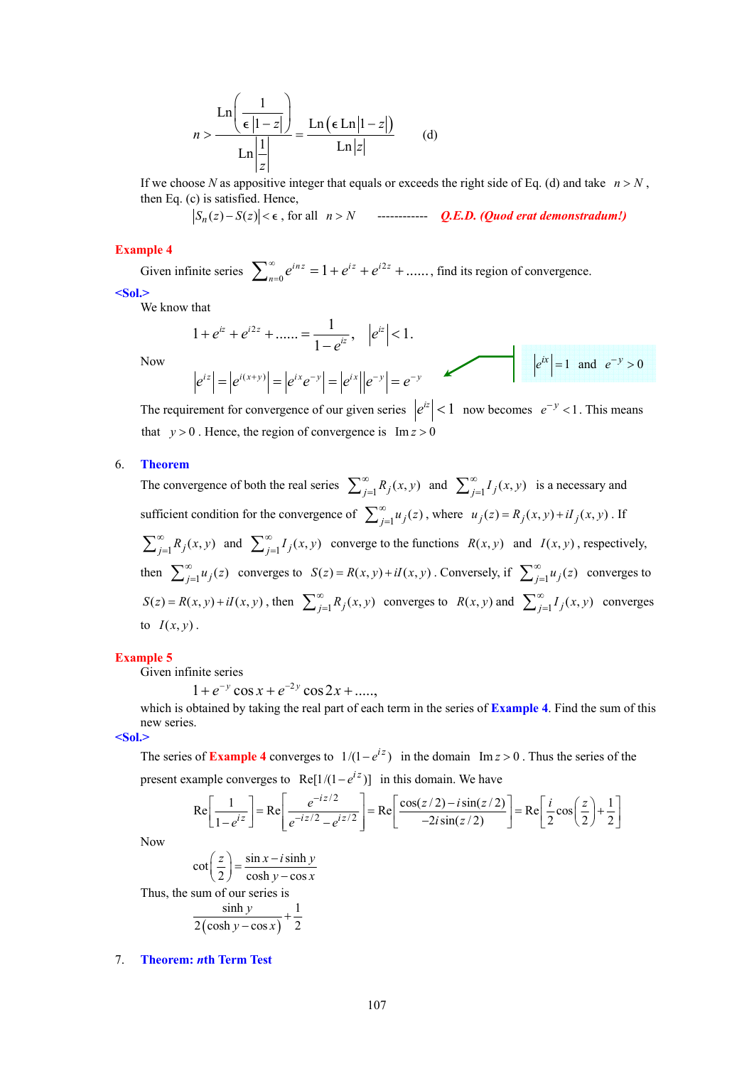$$
n > \frac{\ln\left(\frac{1}{\epsilon|1-z|}\right)}{\ln\left|\frac{1}{z}\right|} = \frac{\ln\left(\epsilon \ln|1-z|\right)}{\ln|z|} \qquad (d)
$$

If we choose *N* as appositive integer that equals or exceeds the right side of Eq. (d) and take  $n > N$ , then Eq. (c) is satisfied. Hence,

 $|S_n(z)-S(z)|<\epsilon$ , for all  $n>N$  ------------- *Q.E.D. (Quod erat demonstradum!)* 

# **Example 4**

Given infinite series  $\sum_{n=0}^{\infty} e^{inz} = 1 + e^{iz} + e^{i2z} + \dots$ , find its region of convergence. **<Sol.>** 

We know that

$$
1 + e^{iz} + e^{i2z} + \dots = \frac{1}{1 - e^{iz}}, \quad |e^{iz}| < 1.
$$
  

$$
|e^{iz}| = |e^{i(x+y)}| = |e^{ix}e^{-y}| = |e^{ix}||e^{-y}| = e^{-y}
$$
  $|e^{ix}| = 1 \text{ and } e^{-y} > 0$ 

The requirement for convergence of our given series  $|e^{iz}| < 1$  now becomes  $e^{-y} < 1$ . This means that  $y > 0$ . Hence, the region of convergence is  $Im z > 0$ 

# 6. **Theorem**

Now

The convergence of both the real series  $\sum_{j=1}^{\infty} R_j(x, y)$  and  $\sum_{j=1}^{\infty} I_j(x, y)$  is a necessary and sufficient condition for the convergence of  $\sum_{j=1}^{\infty} u_j(z)$ , where  $u_j(z) = R_j(x, y) + iI_j(x, y)$ . If  $\sum_{j=1}^{\infty} R_j(x, y)$  and  $\sum_{j=1}^{\infty} I_j(x, y)$  converge to the functions  $R(x, y)$  and  $I(x, y)$ , respectively, then  $\sum_{j=1}^{\infty} u_j(z)$  converges to  $S(z) = R(x, y) + iI(x, y)$ . Conversely, if  $\sum_{j=1}^{\infty} u_j(z)$  converges to  $S(z) = R(x, y) + iI(x, y)$ , then  $\sum_{j=1}^{\infty} R_j(x, y)$  converges to  $R(x, y)$  and  $\sum_{j=1}^{\infty} I_j(x, y)$  converges to  $I(x, y)$ .

# **Example 5**

Given infinite series

 $1 + e^{-y} \cos x + e^{-2y} \cos 2x + \dots$ 

which is obtained by taking the real part of each term in the series of **Example 4**. Find the sum of this new series.

**<Sol.>** 

The series of **Example 4** converges to  $1/(1 - e^{iz})$  in the domain Im  $z > 0$ . Thus the series of the present example converges to Re $[1/(1 - e^{iz})]$  in this domain. We have

$$
\text{Re}\left[\frac{1}{1-e^{iz}}\right] = \text{Re}\left[\frac{e^{-iz/2}}{e^{-iz/2}-e^{iz/2}}\right] = \text{Re}\left[\frac{\cos(z/2) - i\sin(z/2)}{-2i\sin(z/2)}\right] = \text{Re}\left[\frac{i}{2}\cos\left(\frac{z}{2}\right) + \frac{1}{2}\right]
$$

Now

$$
\cot\left(\frac{z}{2}\right) = \frac{\sin x - i \sinh y}{\cosh y - \cos x}
$$

Thus, the sum of our series is

$$
\frac{\sinh y}{2(\cosh y - \cos x)} + \frac{1}{2}
$$

#### 7. **Theorem:** *n***th Term Test**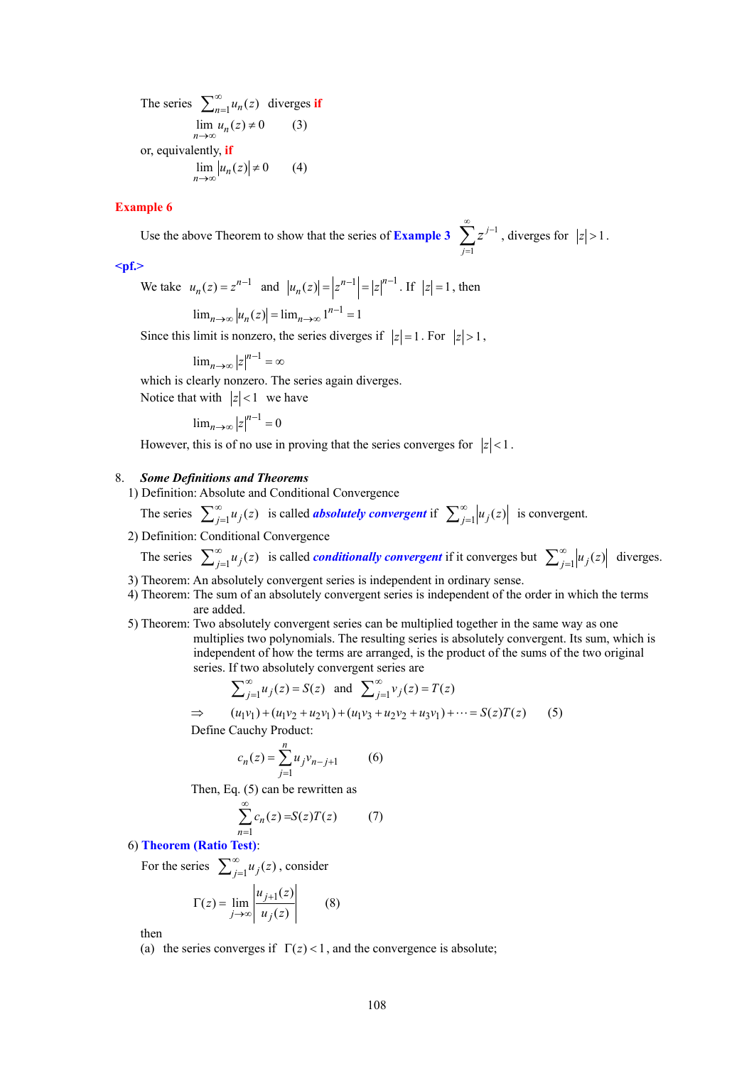The series  $\sum_{n=1}^{\infty} u_n(z)$  diverges if  $\lim_{n \to \infty} u_n(z) \neq 0$  (3) or, equivalently, **if**  $\lim_{n \to \infty} |u_n(z)| \neq 0$  (4)

# **Example 6**

Use the above Theorem to show that the series of **Example 3**  $\sum_{n=1}^{\infty} z^{-1}$ 1 *j j*  $\sum_{i=1}^{\infty} z^{j-1}$  $\sum_{j=1} z^{j-1}$ , diverges for  $|z| > 1$ .

**<pf.>** 

We take  $u_n(z) = z^{n-1}$  and  $|u_n(z)| = |z^{n-1}| = |z|^{n-1}$ . If  $|z| = 1$ , then

$$
\lim_{n \to \infty} |u_n(z)| = \lim_{n \to \infty} 1^{n-1} = 1
$$

Since this limit is nonzero, the series diverges if  $|z|=1$ . For  $|z|>1$ ,

$$
\lim_{n\to\infty}|z|^{n-1}=\infty
$$

which is clearly nonzero. The series again diverges. Notice that with  $|z| < 1$  we have

$$
\lim_{n \to \infty} |z|^{n-1} = 0
$$

However, this is of no use in proving that the series converges for  $|z| < 1$ .

## 8. *Some Definitions and Theorems*

1) Definition: Absolute and Conditional Convergence

The series  $\sum_{j=1}^{\infty} u_j(z)$  is called *absolutely convergent* if  $\sum_{j=1}^{\infty} |u_j(z)|$  is convergent.

2) Definition: Conditional Convergence

The series  $\sum_{j=1}^{\infty} u_j(z)$  is called *conditionally convergent* if it converges but  $\sum_{j=1}^{\infty} |u_j(z)|$  diverges.

- 3) Theorem: An absolutely convergent series is independent in ordinary sense.
- 4) Theorem: The sum of an absolutely convergent series is independent of the order in which the terms are added.
- 5) Theorem: Two absolutely convergent series can be multiplied together in the same way as one multiplies two polynomials. The resulting series is absolutely convergent. Its sum, which is independent of how the terms are arranged, is the product of the sums of the two original series. If two absolutely convergent series are

$$
\sum_{j=1}^{\infty} u_j(z) = S(z) \text{ and } \sum_{j=1}^{\infty} v_j(z) = T(z)
$$

$$
\Rightarrow (u_1v_1) + (u_1v_2 + u_2v_1) + (u_1v_3 + u_2v_2 + u_3v_1) + \dots = S(z)T(z) \tag{5}
$$

Define Cauchy Product:

$$
c_n(z) = \sum_{j=1}^n u_j v_{n-j+1}
$$
 (6)

Then, Eq. (5) can be rewritten as

$$
\sum_{n=1}^{\infty} c_n(z) = S(z)T(z) \tag{7}
$$

6) **Theorem (Ratio Test)**:

For the series  $\sum_{j=1}^{\infty} u_j(z)$ , consider

$$
\Gamma(z) = \lim_{j \to \infty} \left| \frac{u_{j+1}(z)}{u_j(z)} \right| \qquad (8)
$$

then

(a) the series converges if  $\Gamma(z) < 1$ , and the convergence is absolute;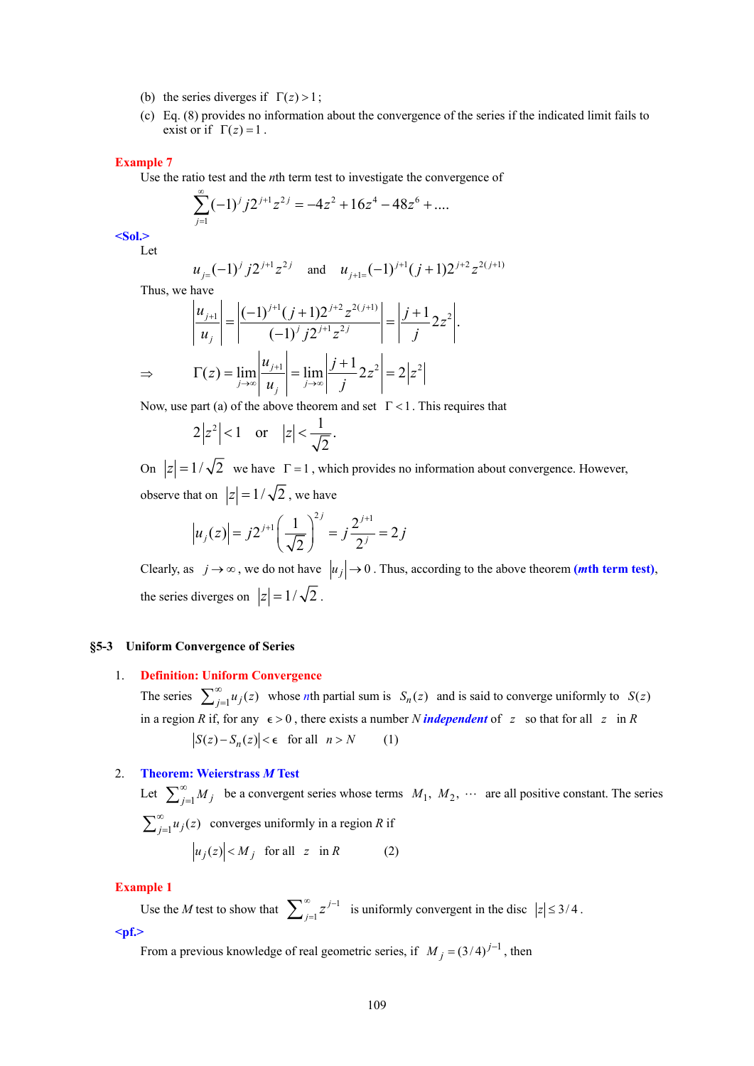- (b) the series diverges if  $\Gamma(z) > 1$ ;
- (c) Eq. (8) provides no information about the convergence of the series if the indicated limit fails to exist or if  $\Gamma(z) = 1$ .

## **Example 7**

Use the ratio test and the *n*th term test to investigate the convergence of

$$
\sum_{j=1}^{\infty} (-1)^j j 2^{j+1} z^{2j} = -4z^2 + 16z^4 - 48z^6 + \dots
$$

**<Sol.>**  Let

$$
u_{j=}(-1)^j j2^{j+1} z^{2j}
$$
 and  $u_{j+1}=(-1)^{j+1} (j+1)2^{j+2} z^{2(j+1)}$ 

Thus, we have

$$
\left| \frac{u_{j+1}}{u_j} \right| = \left| \frac{(-1)^{j+1} (j+1) 2^{j+2} z^{2(j+1)}}{(-1)^j j 2^{j+1} z^{2j}} \right| = \left| \frac{j+1}{j} 2z^2 \right|.
$$
  
\n
$$
\Rightarrow \qquad \Gamma(z) = \lim_{j \to \infty} \left| \frac{u_{j+1}}{u_j} \right| = \lim_{j \to \infty} \left| \frac{j+1}{j} 2z^2 \right| = 2|z^2|
$$

Now, use part (a) of the above theorem and set  $\Gamma$  < 1. This requires that

$$
2|z^2| < 1 \quad \text{or} \quad |z| < \frac{1}{\sqrt{2}}.
$$

On  $|z| = 1/\sqrt{2}$  we have  $\Gamma = 1$ , which provides no information about convergence. However, observe that on  $|z| = 1/\sqrt{2}$ , we have

$$
|u_j(z)| = j2^{j+1} \left(\frac{1}{\sqrt{2}}\right)^{2j} = j\frac{2^{j+1}}{2^j} = 2j
$$

Clearly, as  $j \rightarrow \infty$ , we do not have  $|u_j| \rightarrow 0$ . Thus, according to the above theorem (*m*th term test), the series diverges on  $|z| = 1/\sqrt{2}$ .

### **§5-3 Uniform Convergence of Series**

## 1. **Definition: Uniform Convergence**

The series  $\sum_{j=1}^{\infty} u_j(z)$  whose *n*th partial sum is  $S_n(z)$  and is said to converge uniformly to  $S(z)$ in a region *R* if, for any  $\epsilon > 0$ , there exists a number *N independent* of *z* so that for all *z* in *R*  $|S(z) - S_n(z)| < \epsilon$  for all  $n > N$  (1)

#### 2. **Theorem: Weierstrass** *M* **Test**

Let  $\sum_{j=1}^{\infty} M_j$  be a convergent series whose terms  $M_1, M_2, \cdots$  are all positive constant. The series  $\sum_{j=1}^{\infty} u_j(z)$  converges uniformly in a region *R* if  $|u_i(z)| < M_i$  for all  $z$  in  $R$  (2)

#### **Example 1**

Use the *M* test to show that  $\sum_{j=1}^{\infty} z^{j-1}$ *j*  $\sum_{j=1}^{\infty} z^{j-1}$  is uniformly convergent in the disc  $|z| \leq 3/4$ .

**<pf.>** 

From a previous knowledge of real geometric series, if  $M_i = (3/4)^{j-1}$ , then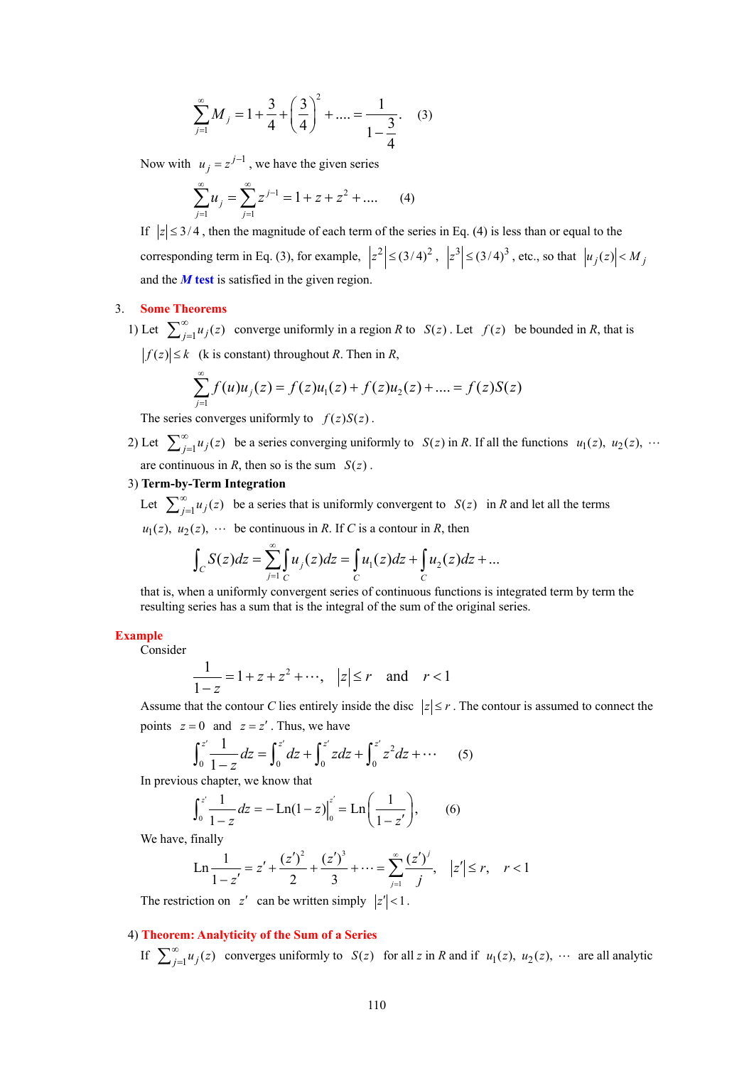$$
\sum_{j=1}^{\infty} M_j = 1 + \frac{3}{4} + \left(\frac{3}{4}\right)^2 + \dots = \frac{1}{1 - \frac{3}{4}}.
$$
 (3)

Now with  $u_j = z^{j-1}$ , we have the given series

$$
\sum_{j=1}^{\infty} u_j = \sum_{j=1}^{\infty} z^{j-1} = 1 + z + z^2 + \dots
$$
 (4)

If  $|z| \leq 3/4$ , then the magnitude of each term of the series in Eq. (4) is less than or equal to the corresponding term in Eq. (3), for example,  $|z^2| \leq (3/4)^2$ ,  $|z^3| \leq (3/4)^3$ , etc., so that  $|u_j(z)| < M_j$ and the *M* **test** is satisfied in the given region.

#### 3. **Some Theorems**

1) Let  $\sum_{j=1}^{\infty} u_j(z)$  converge uniformly in a region *R* to *S(z)*. Let  $f(z)$  be bounded in *R*, that is  $|f(z)| \le k$  (k is constant) throughout *R*. Then in *R*,

$$
\sum_{j=1}^{\infty} f(u)u_j(z) = f(z)u_1(z) + f(z)u_2(z) + \dots = f(z)S(z)
$$

The series converges uniformly to  $f(z)S(z)$ .

2) Let  $\sum_{j=1}^{\infty} u_j(z)$  be a series converging uniformly to  $S(z)$  in *R*. If all the functions  $u_1(z)$ ,  $u_2(z)$ ,  $\cdots$ are continuous in *R*, then so is the sum  $S(z)$ .

# 3) **Term-by-Term Integration**

Let  $\sum_{j=1}^{\infty} u_j(z)$  be a series that is uniformly convergent to *S(z)* in *R* and let all the terms  $u_1(z)$ ,  $u_2(z)$ ,  $\cdots$  be continuous in *R*. If *C* is a contour in *R*, then

$$
\int_C S(z)dz = \sum_{j=1}^{\infty} \int_C u_j(z)dz = \int_C u_1(z)dz + \int_C u_2(z)dz + \dots
$$

that is, when a uniformly convergent series of continuous functions is integrated term by term the resulting series has a sum that is the integral of the sum of the original series.

## **Example**

Consider

$$
\frac{1}{1-z} = 1 + z + z^2 + \dots, \quad |z| \le r \quad \text{and} \quad r < 1
$$

Assume that the contour *C* lies entirely inside the disc  $|z| \le r$ . The contour is assumed to connect the points  $z = 0$  and  $z = z'$ . Thus, we have

$$
\int_0^{z'} \frac{1}{1-z} dz = \int_0^{z'} dz + \int_0^{z'} z dz + \int_0^{z'} z^2 dz + \cdots
$$
 (5)

In previous chapter, we know that

$$
\int_0^{z'} \frac{1}{1-z} dz = -\operatorname{Ln}(1-z)\Big|_0^{z'} = \operatorname{Ln}\left(\frac{1}{1-z'}\right),\qquad(6)
$$

We have, finally

Ln 
$$
\frac{1}{1-z'}
$$
 =  $z' + \frac{(z')^2}{2} + \frac{(z')^3}{3} + \dots = \sum_{j=1}^{\infty} \frac{(z')^j}{j}, |z'| \le r, r < 1$ 

The restriction on  $z'$  can be written simply  $|z'| < 1$ .

# 4) **Theorem: Analyticity of the Sum of a Series**

If  $\sum_{j=1}^{\infty} u_j(z)$  converges uniformly to  $S(z)$  for all *z* in *R* and if  $u_1(z)$ ,  $u_2(z)$ ,  $\cdots$  are all analytic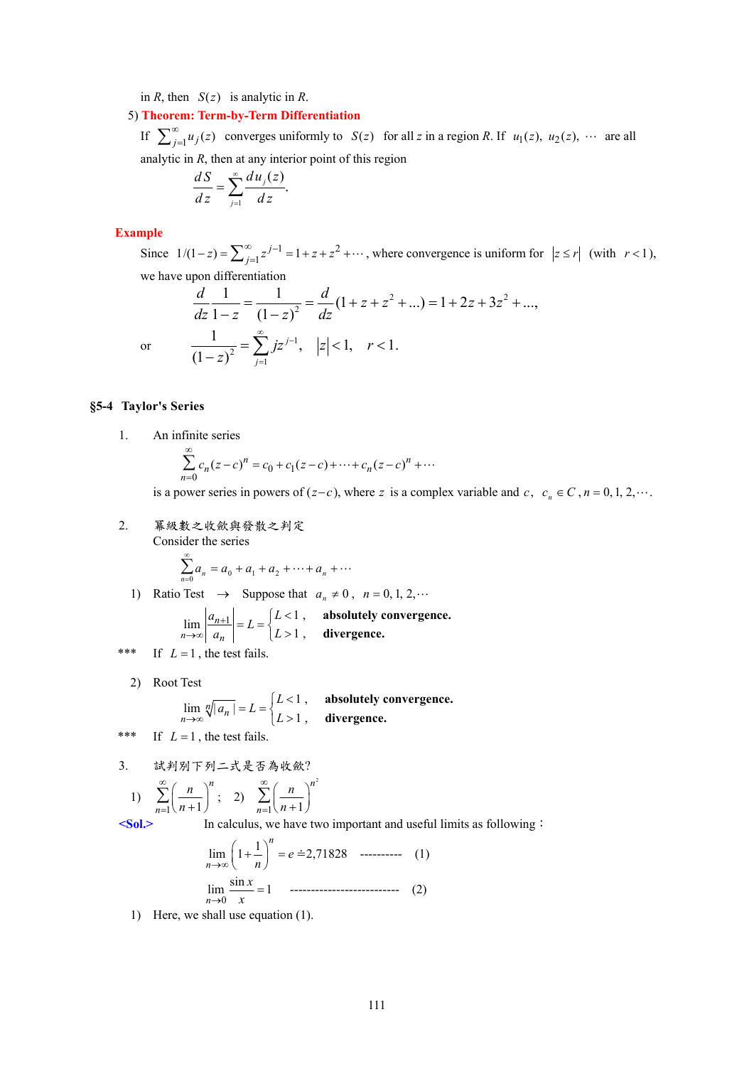in *R*, then  $S(z)$  is analytic in *R*.

5) **Theorem: Term-by-Term Differentiation**

If  $\sum_{j=1}^{\infty} u_j(z)$  converges uniformly to  $S(z)$  for all *z* in a region *R*. If  $u_1(z)$ ,  $u_2(z)$ ,  $\cdots$  are all analytic in *R*, then at any interior point of this region

$$
\frac{dS}{dz} = \sum_{j=1}^{\infty} \frac{du_j(z)}{dz}.
$$

### **Example**

Since  $1/(1-z) = \sum_{j=1}^{\infty} z^{j-1} = 1 + z + z^2 + \cdots$ , where convergence is uniform for  $|z \le r|$  (with  $r < 1$ ), we have upon differentiation

$$
\frac{d}{dz}\frac{1}{1-z} = \frac{1}{(1-z)^2} = \frac{d}{dz}(1+z+z^2+...)=1+2z+3z^2+...
$$
\nor\n
$$
\frac{1}{(1-z)^2} = \sum_{j=1}^{\infty} jz^{j-1}, \quad |z| < 1, \quad r < 1.
$$

# **§5-4 Taylor's Series**

1. An infinite series

$$
\sum_{n=0}^{\infty} c_n (z - c)^n = c_0 + c_1 (z - c) + \dots + c_n (z - c)^n + \dots
$$

is a power series in powers of  $(z-c)$ , where *z* is a complex variable and *c*,  $c_n \in C$ ,  $n = 0, 1, 2, \cdots$ .

2. 冪級數之收歛與發散之判定 Consider the series

$$
\sum_{n=0}^{\infty} a_n = a_0 + a_1 + a_2 + \dots + a_n + \dots
$$

1) Ratio Test  $\rightarrow$  Suppose that  $a_n \neq 0$ ,  $n = 0, 1, 2, \cdots$ 

$$
\lim_{n \to \infty} \left| \frac{a_{n+1}}{a_n} \right| = L = \begin{cases} L < 1, \quad \text{absolutely convergence,} \\ L > 1, \quad \text{divergence.} \end{cases}
$$

\*\*\* If  $L = 1$ , the test fails.

2) Root Test

$$
\lim_{n \to \infty} \sqrt[n]{|a_n|} = L = \begin{cases} L < 1, \quad \text{absolutely convergence,} \\ L > 1, \quad \text{divergence.} \end{cases}
$$

\*\*\* If  $L = 1$ , the test fails.

3. 試判別下列二式是否為收歛? 2 *n*

1) 
$$
\sum_{n=1}^{\infty} \left(\frac{n}{n+1}\right)^n
$$
; 2) 
$$
\sum_{n=1}^{\infty} \left(\frac{n}{n+1}\right)
$$

**<Sol.>** In calculus, we have two important and useful limits as following:

$$
\lim_{n \to \infty} \left( 1 + \frac{1}{n} \right)^n = e \approx 2,71828 \quad \text{............} \tag{1}
$$
\n
$$
\lim_{n \to 0} \frac{\sin x}{x} = 1 \quad \text{............} \tag{2}
$$

1) Here, we shall use equation (1).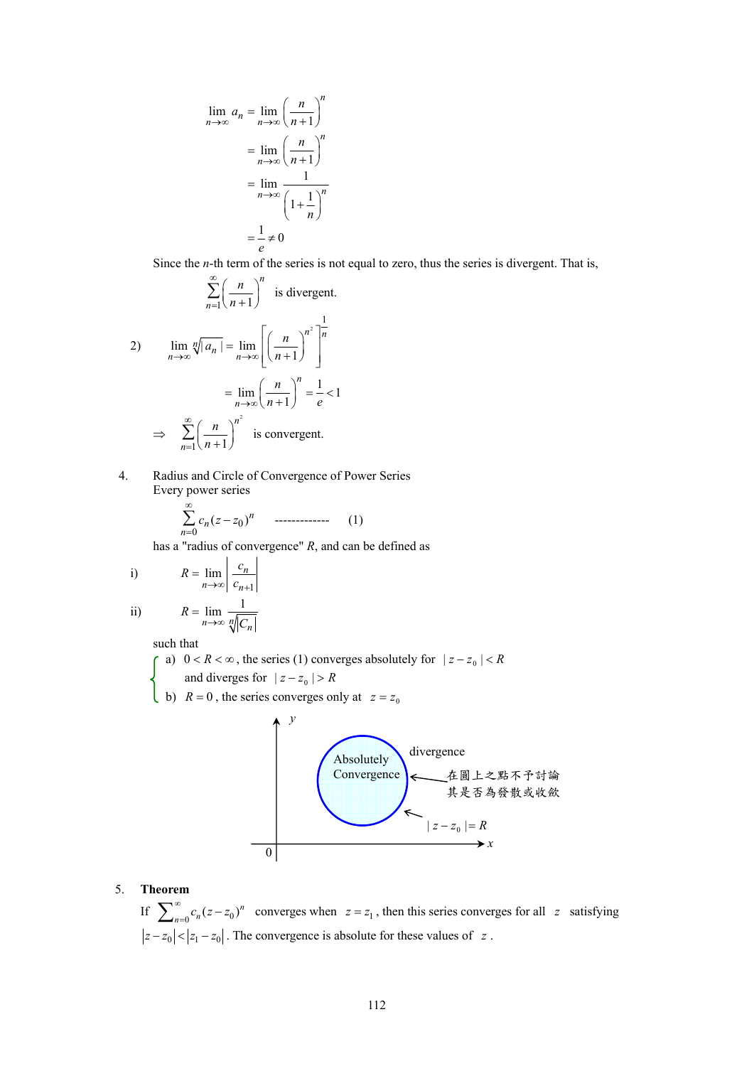$$
\lim_{n \to \infty} a_n = \lim_{n \to \infty} \left(\frac{n}{n+1}\right)^n
$$

$$
= \lim_{n \to \infty} \left(\frac{n}{n+1}\right)^n
$$

$$
= \lim_{n \to \infty} \frac{1}{\left(1 + \frac{1}{n}\right)^n}
$$

$$
= \frac{1}{e} \neq 0
$$

Since the *n*-th term of the series is not equal to zero, thus the series is divergent. That is,

$$
\sum_{n=1}^{\infty} \left(\frac{n}{n+1}\right)^n \text{ is divergent.}
$$
  
2) 
$$
\lim_{n \to \infty} \sqrt[n]{|a_n|} = \lim_{n \to \infty} \left[ \left(\frac{n}{n+1}\right)^{n^2} \right]^{\frac{1}{n}}
$$

$$
= \lim_{n \to \infty} \left(\frac{n}{n+1}\right)^n = \frac{1}{e} < 1
$$

$$
\Rightarrow \sum_{n=1}^{\infty} \left(\frac{n}{n+1}\right)^{n^2} \text{ is convergent.}
$$

# 4. Radius and Circle of Convergence of Power Series Every power series

$$
\sum_{n=0}^{\infty} c_n (z - z_0)^n \qquad \qquad (1)
$$

has a "radius of convergence" *R*, and can be defined as

i) 
$$
R = \lim_{n \to \infty} \left| \frac{c_n}{c_{n+1}} \right|
$$

ii) 
$$
R = \lim_{n \to \infty} \frac{1}{\sqrt[n]{|C_n|}}
$$

such that

a)  $0 < R < \infty$ , the series (1) converges absolutely for  $|z - z_0| < R$ 

and diverges for  $|z - z_0| > R$ 

b)  $R = 0$ , the series converges only at  $z = z_0$ 



# 5. **Theorem**

If  $\sum_{n=0}^{\infty} c_n (z-z_0)^n$  converges when  $z=z_1$ , then this series converges for all z satisfying  $|z-z_0| < |z_1-z_0|$ . The convergence is absolute for these values of z.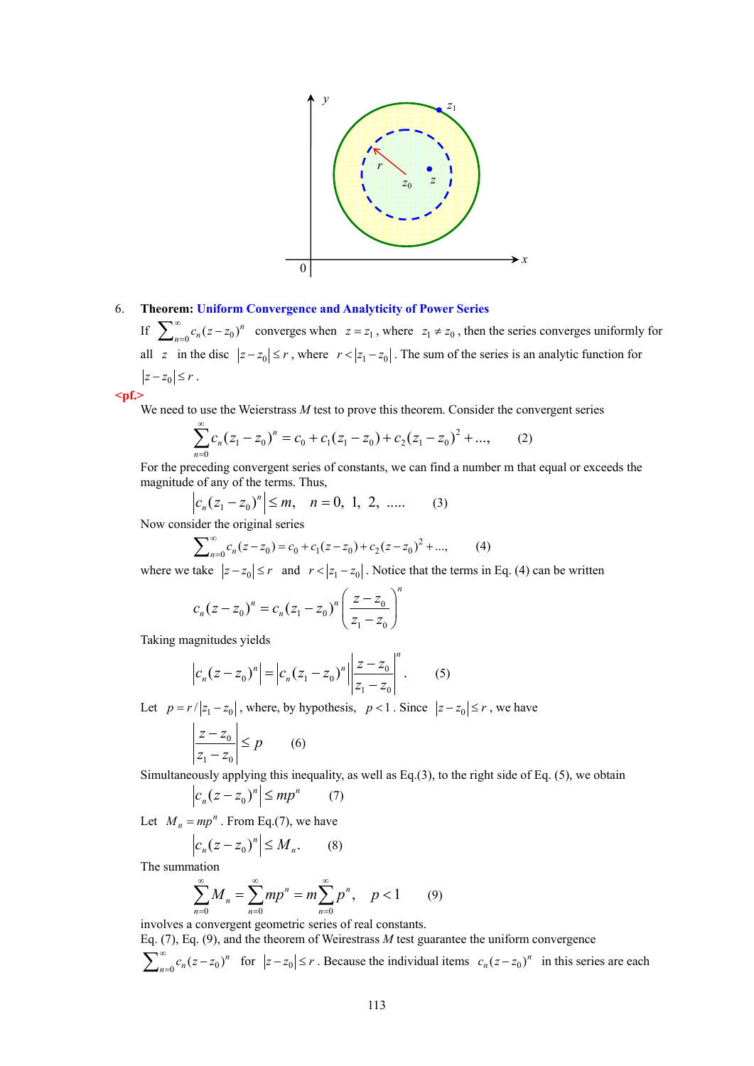

## 6. **Theorem: Uniform Convergence and Analyticity of Power Series**

If  $\sum_{n=0}^{\infty} c_n (z - z_0)^n$  converges when  $z = z_1$ , where  $z_1 \neq z_0$ , then the series converges uniformly for all *z* in the disc  $|z - z_0| \le r$ , where  $r < |z_1 - z_0|$ . The sum of the series is an analytic function for  $|z-z_0| \leq r$ .

$$
<
$$

We need to use the Weierstrass *M* test to prove this theorem. Consider the convergent series

$$
\sum_{n=0}^{\infty} c_n (z_1 - z_0)^n = c_0 + c_1 (z_1 - z_0) + c_2 (z_1 - z_0)^2 + \dots,
$$
 (2)

For the preceding convergent series of constants, we can find a number m that equal or exceeds the magnitude of any of the terms. Thus,

$$
c_n(z_1 - z_0)^n \le m, \quad n = 0, 1, 2, \dots \tag{3}
$$

Now consider the original series

$$
\sum_{n=0}^{\infty} c_n (z - z_0) = c_0 + c_1 (z - z_0) + c_2 (z - z_0)^2 + \dots,
$$
 (4)

where we take  $|z-z_0| \le r$  and  $r<|z_1-z_0|$ . Notice that the terms in Eq. (4) can be written

$$
c_n(z - z_0)^n = c_n(z_1 - z_0)^n \left(\frac{z - z_0}{z_1 - z_0}\right)^n
$$

Taking magnitudes yields

$$
\left| c_n (z - z_0)^n \right| = \left| c_n (z_1 - z_0)^n \right| \left| \frac{z - z_0}{z_1 - z_0} \right|^n. \tag{5}
$$

Let  $p = r/|z_1 - z_0|$ , where, by hypothesis,  $p < 1$ . Since  $|z - z_0| \le r$ , we have

$$
\left|\frac{z-z_0}{z_1-z_0}\right| \le p \qquad (6)
$$

Simultaneously applying this inequality, as well as Eq.(3), to the right side of Eq. (5), we obtain

$$
\left| c_n (z - z_0)^n \right| \le m p^n \qquad (7)
$$

Let  $M_n = mp^n$ . From Eq.(7), we have

$$
\left| c_n (z - z_0)^n \right| \le M_n. \tag{8}
$$

The summation

$$
\sum_{n=0}^{\infty} M_n = \sum_{n=0}^{\infty} m p^n = m \sum_{n=0}^{\infty} p^n, \quad p < 1
$$
 (9)

involves a convergent geometric series of real constants.

Eq. (7), Eq. (9), and the theorem of Weirestrass *M* test guarantee the uniform convergence  $\sum_{n=0}^{\infty} c_n (z-z_0)^n$  for  $|z-z_0| \le r$ . Because the individual items  $c_n (z-z_0)^n$  in this series are each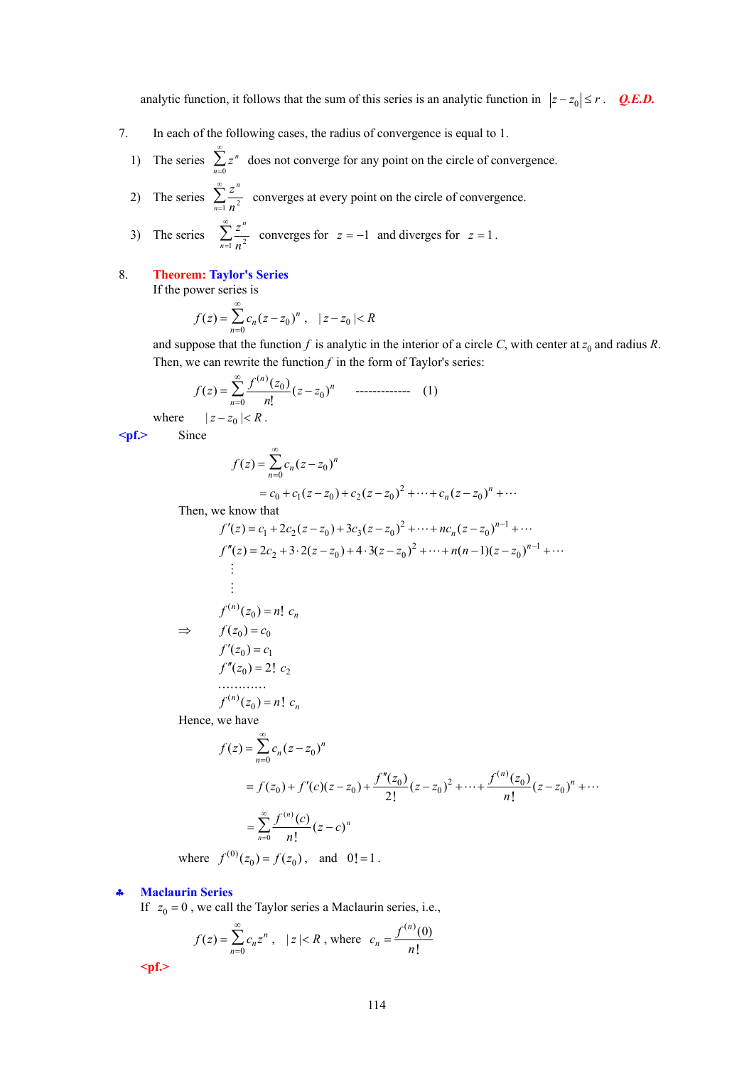analytic function, it follows that the sum of this series is an analytic function in  $|z-z_0| \le r$ . *Q.E.D.* 

- 7. In each of the following cases, the radius of convergence is equal to 1.
	- 1) The series  $\sum_{n=0}^{\infty} z^n$ ∞  $\sum_{n=0}^{\infty} z^n$  does not converge for any point on the circle of convergence.
	- 2) The series  $\sum_{n=1}^{\infty} \frac{z^n}{n^2}$ *n* ∞  $\sum_{n=1}^{\infty} \frac{z^n}{n^2}$  converges at every point on the circle of convergence.
	- 3) The series  $\sum_{n=1}^{\infty} \frac{z^n}{n^2}$ *n* ∞  $\sum_{n=1}^{\infty} \frac{z^n}{n^2}$  converges for  $z = -1$  and diverges for  $z = 1$ .

# 8. **Theorem: Taylor's Series**

If the power series is

$$
f(z) = \sum_{n=0}^{\infty} c_n (z - z_0)^n , \quad |z - z_0| < R
$$

and suppose that the function  $f$  is analytic in the interior of a circle  $C$ , with center at  $z_0$  and radius  $R$ . Then, we can rewrite the function  $f$  in the form of Taylor's series:

$$
f(z) = \sum_{n=0}^{\infty} \frac{f^{(n)}(z_0)}{n!} (z - z_0)^n \quad \text{............} \quad (1)
$$

$$
|z - z_0| < R.
$$

where 
$$
|z - z_0|
$$

**<pf.>** Since

$$
f(z) = \sum_{n=0}^{\infty} c_n (z - z_0)^n
$$

$$
= c_0 + c_1(z - z_0) + c_2(z - z_0)^2 + \dots + c_n(z - z_0)^n + \dots
$$
  
with

Then, we know that

$$
f'(z) = c_1 + 2c_2(z - z_0) + 3c_3(z - z_0)^2 + \dots + nc_n(z - z_0)^{n-1} + \dots
$$
  
\n
$$
f''(z) = 2c_2 + 3 \cdot 2(z - z_0) + 4 \cdot 3(z - z_0)^2 + \dots + n(n-1)(z - z_0)^{n-1} + \dots
$$
  
\n
$$
\vdots
$$
  
\n
$$
f^{(n)}(z_0) = n! \ c_n
$$
  
\n
$$
\Rightarrow \quad f(z_0) = c_0
$$
  
\n
$$
f'(z_0) = c_1
$$
  
\n
$$
f''(z_0) = 2! \ c_2
$$
  
\n
$$
\dots
$$
  
\n
$$
f^{(n)}(z_0) = n! \ c_n
$$
  
\nHence, we have

Hence, we have

$$
f(z) = \sum_{n=0}^{\infty} c_n (z - z_0)^n
$$
  
=  $f(z_0) + f'(c)(z - z_0) + \frac{f''(z_0)}{2!} (z - z_0)^2 + \dots + \frac{f^{(n)}(z_0)}{n!} (z - z_0)^n + \dots$   
=  $\sum_{n=0}^{\infty} \frac{f^{(n)}(c)}{n!} (z - c)^n$ 

where  $f^{(0)}(z_0) = f(z_0)$ , and  $0! = 1$ .

## ♣ **Maclaurin Series**

If  $z_0 = 0$ , we call the Taylor series a Maclaurin series, i.e.,

$$
f(z) = \sum_{n=0}^{\infty} c_n z^n
$$
,  $|z| < R$ , where  $c_n = \frac{f^{(n)}(0)}{n!}$ 

**<pf.>**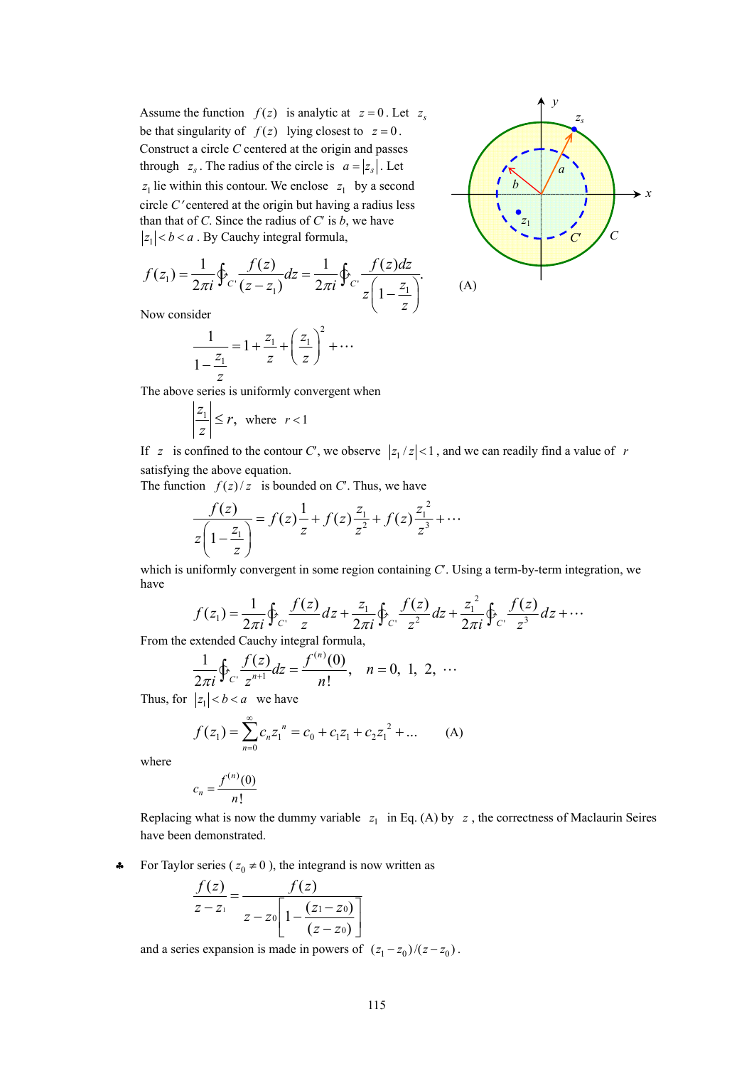Assume the function  $f(z)$  is analytic at  $z = 0$ . Let  $z<sub>s</sub>$ be that singularity of  $f(z)$  lying closest to  $z = 0$ . Construct a circle *C* centered at the origin and passes through  $z_s$ . The radius of the circle is  $a = |z_s|$ . Let  $z_1$  lie within this contour. We enclose  $z_1$  by a second circle *C*′ centered at the origin but having a radius less than that of *C*. Since the radius of  $C'$  is  $b$ , we have  $|z_1| < b < a$ . By Cauchy integral formula,

$$
f(z_1) = \frac{1}{2\pi i} \oint_C \frac{f(z)}{(z - z_1)} dz = \frac{1}{2\pi i} \oint_C \frac{f(z)dz}{z \left(1 - \frac{z_1}{z}\right)}.
$$
 (A)

Now consider

$$
\frac{1}{1 - \frac{z_1}{z}} = 1 + \frac{z_1}{z} + \left(\frac{z_1}{z}\right)^2 + \dots
$$

The above series is uniformly convergent when

$$
\left|\frac{z_1}{z}\right| \le r, \text{ where } r < 1
$$

If *z* is confined to the contour *C*', we observe  $|z_1/z| < 1$ , and we can readily find a value of *r* satisfying the above equation.

The function  $f(z)/z$  is bounded on *C*<sup>'</sup>. Thus, we have

$$
\frac{f(z)}{z\left(1-\frac{z_1}{z}\right)} = f(z)\frac{1}{z} + f(z)\frac{z_1}{z^2} + f(z)\frac{z_1^2}{z^3} + \cdots
$$

which is uniformly convergent in some region containing *C*<sup>'</sup>. Using a term-by-term integration, we have

$$
f(z_1) = \frac{1}{2\pi i} \oint_C \frac{f(z)}{z} dz + \frac{z_1}{2\pi i} \oint_C \frac{f(z)}{z^2} dz + \frac{z_1^2}{2\pi i} \oint_C \frac{f(z)}{z^3} dz + \cdots
$$

From the extended Cauchy integral formula,

$$
\frac{1}{2\pi i}\oint_C \frac{f(z)}{z^{n+1}}dz = \frac{f^{(n)}(0)}{n!}, \quad n = 0, 1, 2, \cdots
$$

Thus, for  $|z_1| < b < a$  we have

$$
f(z_1) = \sum_{n=0}^{\infty} c_n z_1^{n} = c_0 + c_1 z_1 + c_2 z_1^{2} + \dots
$$
 (A)

where

$$
c_n = \frac{f^{(n)}(0)}{n!}
$$

Replacing what is now the dummy variable  $z_1$  in Eq. (A) by  $z$ , the correctness of Maclaurin Seires have been demonstrated.

• For Taylor series ( $z_0 \neq 0$ ), the integrand is now written as

$$
\frac{f(z)}{z-z_1} = \frac{f(z)}{z-z_0\left[1-\frac{(z_1-z_0)}{(z-z_0)}\right]}
$$

and a series expansion is made in powers of  $(z_1 - z_0)/(z - z_0)$ .

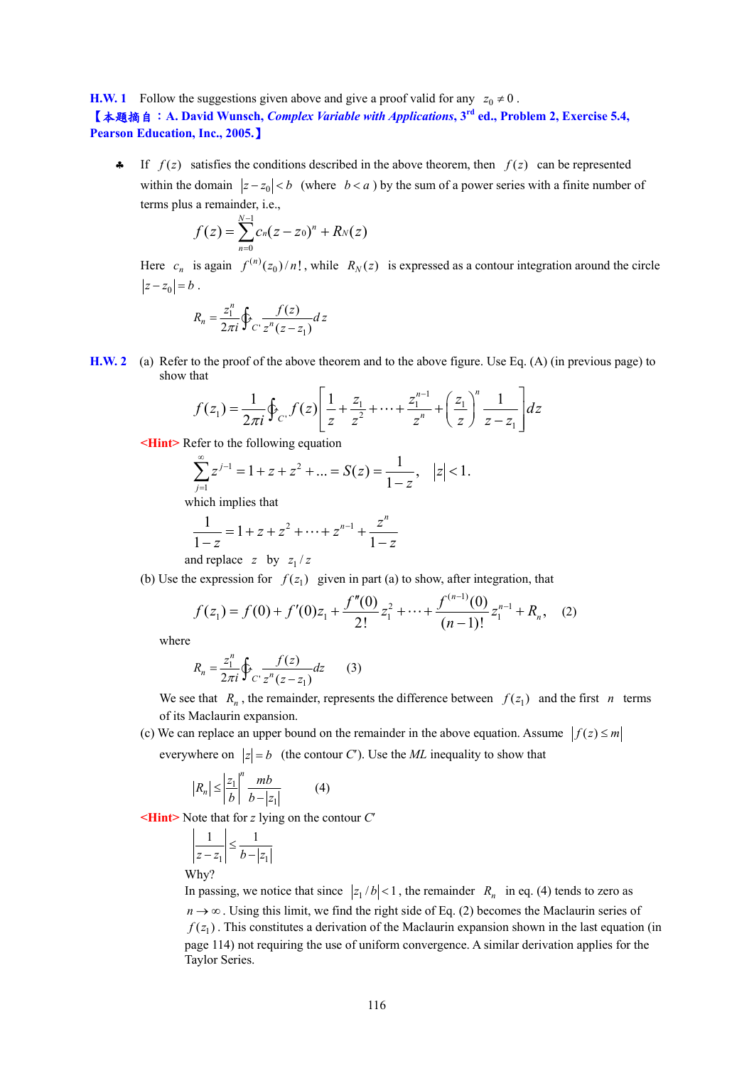**H.W. 1** Follow the suggestions given above and give a proof valid for any  $z_0 \neq 0$ .

【本題摘自:**A. David Wunsch,** *Complex Variable with Applications***, 3rd ed., Problem 2, Exercise 5.4, Pearson Education, Inc., 2005.**】

 $\uparrow$  If  $f(z)$  satisfies the conditions described in the above theorem, then  $f(z)$  can be represented within the domain  $|z-z_0| < b$  (where  $b < a$ ) by the sum of a power series with a finite number of terms plus a remainder, i.e.,

$$
f(z) = \sum_{n=0}^{N-1} c_n (z - z_0)^n + R_N(z)
$$

Here  $c_n$  is again  $f^{(n)}(z_0)/n!$ , while  $R_N(z)$  is expressed as a contour integration around the circle  $|z-z_0| = b$ .

$$
R_n = \frac{z_1^n}{2\pi i} \oint_C \frac{f(z)}{z^n (z - z_1)} dz
$$

**H.W. 2** (a) Refer to the proof of the above theorem and to the above figure. Use Eq. (A) (in previous page) to show that

$$
f(z_1) = \frac{1}{2\pi i} \oint_{C'} f(z) \left[ \frac{1}{z} + \frac{z_1}{z^2} + \dots + \frac{z_1^{n-1}}{z^n} + \left( \frac{z_1}{z} \right)^n \frac{1}{z - z_1} \right] dz
$$

**<Hint>** Refer to the following equation

$$
\sum_{j=1}^{\infty} z^{j-1} = 1 + z + z^2 + \dots = S(z) = \frac{1}{1-z}, \quad |z| < 1.
$$

which implies that

$$
\frac{1}{1-z} = 1 + z + z^2 + \dots + z^{n-1} + \frac{z^n}{1-z}
$$

and replace  $z$  by  $z_1/z$ 

(b) Use the expression for  $f(z_1)$  given in part (a) to show, after integration, that

$$
f(z_1) = f(0) + f'(0)z_1 + \frac{f''(0)}{2!}z_1^2 + \dots + \frac{f^{(n-1)}(0)}{(n-1)!}z_1^{n-1} + R_n, \quad (2)
$$

where

$$
R_n = \frac{z_1^n}{2\pi i} \oint_{C'} \frac{f(z)}{z^n (z - z_1)} dz
$$
 (3)

We see that  $R_n$ , the remainder, represents the difference between  $f(z_1)$  and the first *n* terms of its Maclaurin expansion.

(c) We can replace an upper bound on the remainder in the above equation. Assume  $|f(z)| \le m$ 

everywhere on  $|z| = b$  (the contour *C*<sup>'</sup>). Use the *ML* inequality to show that

$$
|R_n| \le \left|\frac{z_1}{b}\right|^n \frac{mb}{b-|z_1|} \tag{4}
$$

**<Hint>** Note that for *z* lying on the contour *C*′

$$
\left|\frac{1}{z - z_1}\right| \le \frac{1}{b - |z_1|}
$$
  
Why?

In passing, we notice that since  $|z_1/b| < 1$ , the remainder  $R_n$  in eq. (4) tends to zero as  $n \to \infty$ . Using this limit, we find the right side of Eq. (2) becomes the Maclaurin series of  $f(z_1)$ . This constitutes a derivation of the Maclaurin expansion shown in the last equation (in page 114) not requiring the use of uniform convergence. A similar derivation applies for the Taylor Series.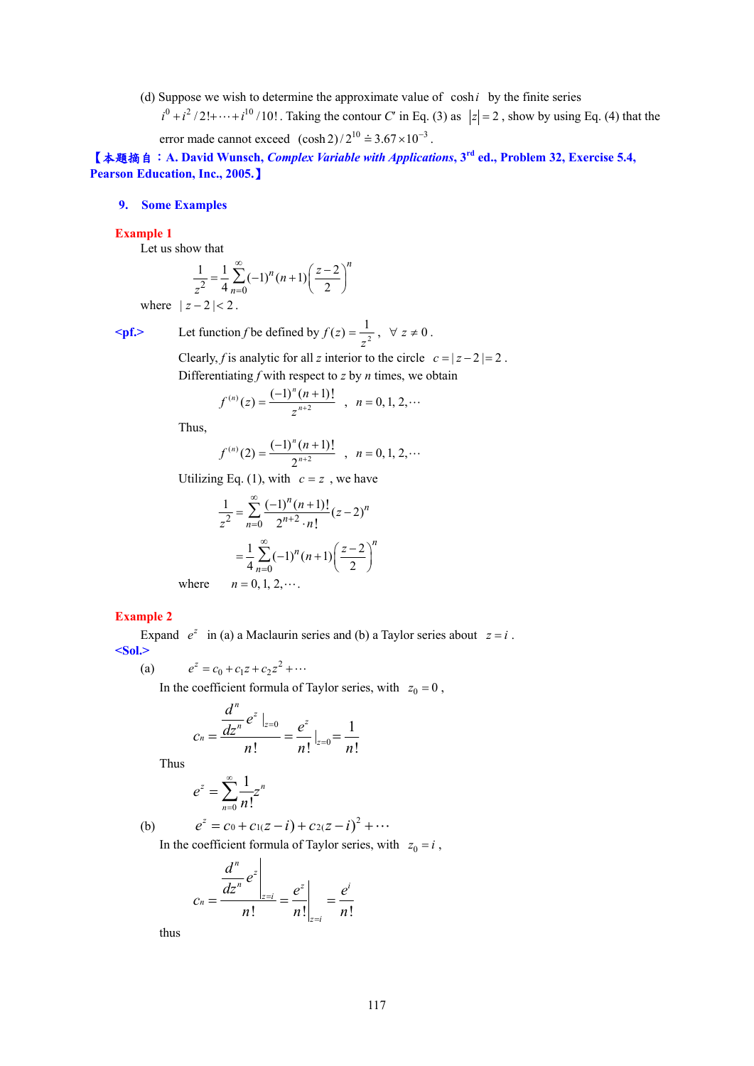(d) Suppose we wish to determine the approximate value of  $\cosh i$  by the finite series

 $i^0 + i^2/2! + \cdots + i^{10}/10!$ . Taking the contour *C'* in Eq. (3) as  $|z| = 2$ , show by using Eq. (4) that the error made cannot exceed  $(\cosh 2) / 2^{10} \doteq 3.67 \times 10^{-3}$ .

【本題摘自:**A. David Wunsch,** *Complex Variable with Applications***, 3rd ed., Problem 32, Exercise 5.4, Pearson Education, Inc., 2005.**】

# **9. Some Examples**

### **Example 1**

Let us show that

$$
\frac{1}{z^2} = \frac{1}{4} \sum_{n=0}^{\infty} (-1)^n (n+1) \left(\frac{z-2}{2}\right)^n
$$

where  $|z - 2| < 2$ .

$$
\langle \mathbf{pf} \rangle
$$
 Let function f be defined by  $f(z) = \frac{1}{z^2}$ ,  $\forall z \neq 0$ .

Clearly, *f* is analytic for all *z* interior to the circle  $c = |z-2| = 2$ . Differentiating *f* with respect to *z* by *n* times, we obtain

$$
f^{(n)}(z) = \frac{(-1)^n (n+1)!}{z^{n+2}} , n = 0, 1, 2, \cdots
$$

Thus,

$$
f^{(n)}(2) = \frac{(-1)^n (n+1)!}{2^{n+2}} , n = 0, 1, 2, \cdots
$$

Utilizing Eq. (1), with  $c = z$ , we have

$$
\frac{1}{z^2} = \sum_{n=0}^{\infty} \frac{(-1)^n (n+1)!}{2^{n+2} \cdot n!} (z-2)^n
$$

$$
= \frac{1}{4} \sum_{n=0}^{\infty} (-1)^n (n+1) \left(\frac{z-2}{2}\right)^n
$$
where  $n = 0, 1, 2, \dots$ .

#### **Example 2**

Expand  $e^z$  in (a) a Maclaurin series and (b) a Taylor series about  $z = i$ . **<Sol.>** 

(a)  $e^z = c_0 + c_1 z + c_2 z^2 + \cdots$ 

In the coefficient formula of Taylor series, with  $z_0 = 0$ ,

$$
c_n = \frac{\frac{d^n}{dz^n} e^z \big|_{z=0}}{n!} = \frac{e^z}{n!} \big|_{z=0} = \frac{1}{n!}
$$

Thus

$$
e^z = \sum_{n=0}^{\infty} \frac{1}{n!} z^n
$$

(b) 
$$
e^z = c_0 + c_1(z - i) + c_2(z - i)^2 + \cdots
$$

In the coefficient formula of Taylor series, with  $z_0 = i$ ,

$$
c_n = \frac{\left. \frac{d^n}{dz^n} e^z \right|_{z=i}}{n!} = \frac{e^z}{n!} \bigg|_{z=i} = \frac{e^i}{n!}
$$

thus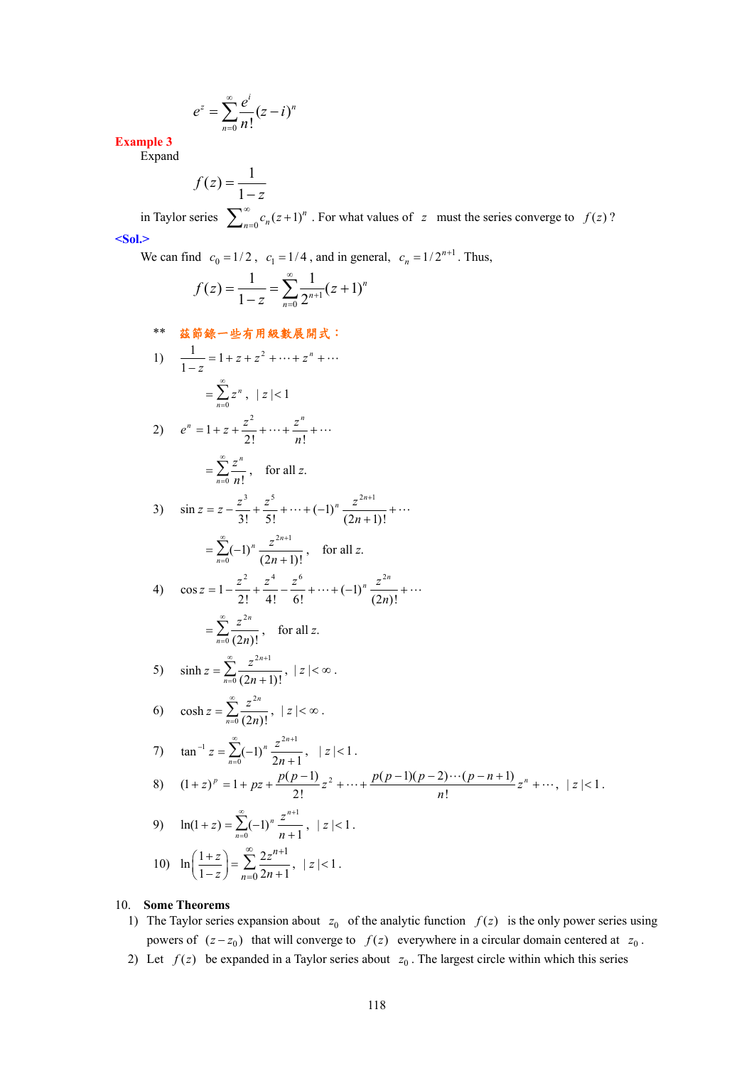$$
e^z = \sum_{n=0}^{\infty} \frac{e^i}{n!} (z - i)^n
$$

**Example 3**  Expand

$$
f(z) = \frac{1}{1 - z}
$$

in Taylor series  $\sum_{n=0}^{\infty} c_n (z+1)^n$ . For what values of *z* must the series converge to *f* (*z*)? **<Sol.>** 

We can find  $c_0 = 1/2$ ,  $c_1 = 1/4$ , and in general,  $c_n = 1/2^{n+1}$ . Thus,

$$
f(z) = \frac{1}{1-z} = \sum_{n=0}^{\infty} \frac{1}{2^{n+1}} (z+1)^n
$$

\*\* 茲節錄一些有用級數展開式:

1)  $\frac{1}{1-z} = 1 + z + z^2 + \dots + z^n + \dots$ 1 *n*  $\sum_{n=0}$  z ∞  $=\sum_{n=0}^{\infty} z^n$ ,  $|z|<1$ 

2) 
$$
e^n = 1 + z + \frac{z^2}{2!} + \dots + \frac{z^n}{n!} + \dots
$$
  
 $\sum_{n=1}^{\infty} z^n$  for all

$$
= \sum_{n=0}^{\infty} \frac{z^n}{n!}, \quad \text{for all } z.
$$

3) 
$$
\sin z = z - \frac{z^3}{3!} + \frac{z^5}{5!} + \dots + (-1)^n \frac{z^{2n+1}}{(2n+1)!} + \dots
$$
  

$$
= \sum_{n=0}^{\infty} (-1)^n \frac{z^{2n+1}}{(2n+1)!}, \text{ for all } z.
$$

4) 
$$
\cos z = 1 - \frac{z^2}{2!} + \frac{z^4}{4!} - \frac{z^6}{6!} + \dots + (-1)^n \frac{z^{2n}}{(2n)!} + \dots
$$
  

$$
= \sum_{n=0}^{\infty} \frac{z^{2n}}{(2n)!}, \text{ for all } z.
$$

5) 
$$
\sinh z = \sum_{n=0}^{\infty} \frac{z^{2n+1}}{(2n+1)!}, \ |z| < \infty.
$$

 $\frac{1}{0} (2n)!$ 

6) 
$$
\cosh z = \sum_{n=0}^{\infty} \frac{z^{2n}}{(2n)!}, \ |z| < \infty.
$$

7) 
$$
\tan^{-1} z = \sum_{n=0}^{\infty} (-1)^n \frac{z^{2n+1}}{2n+1}, \quad |z| < 1.
$$
  
\n8)  $(1+z)^p = 1 + pz + \frac{p(p-1)}{2!}z^2 + \dots + \frac{p(p-1)(p-2)\cdots(p-n+1)}{n!}z^n + \dots, \quad |z| < 1.$ 

9) 
$$
\ln(1+z) = \sum_{n=0}^{\infty} (-1)^n \frac{z^{n+1}}{n+1}, \ |z| < 1.
$$

10) 
$$
\ln\left(\frac{1+z}{1-z}\right) = \sum_{n=0}^{\infty} \frac{2z^{n+1}}{2n+1}, \ |z| < 1.
$$

# 10. **Some Theorems**

- 1) The Taylor series expansion about  $z_0$  of the analytic function  $f(z)$  is the only power series using powers of  $(z - z_0)$  that will converge to  $f(z)$  everywhere in a circular domain centered at  $z_0$ .
- 2) Let  $f(z)$  be expanded in a Taylor series about  $z_0$ . The largest circle within which this series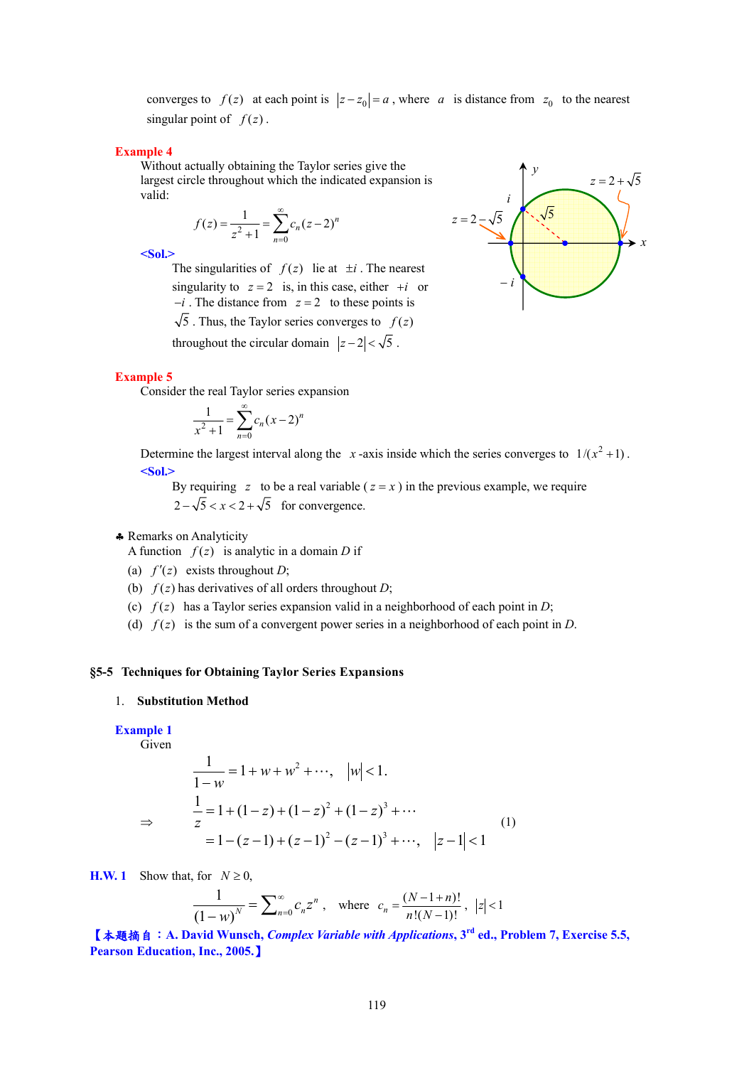converges to  $f(z)$  at each point is  $|z-z_0| = a$ , where *a* is distance from  $z_0$  to the nearest singular point of  $f(z)$ .

#### **Example 4**

Without actually obtaining the Taylor series give the largest circle throughout which the indicated expansion is valid:

$$
f(z) = \frac{1}{z^2 + 1} = \sum_{n=0}^{\infty} c_n (z - 2)^n
$$

**<Sol.>** 

The singularities of  $f(z)$  lie at  $\pm i$ . The nearest singularity to  $z = 2$  is, in this case, either  $+i$  or −*i* . The distance from *z* = 2 to these points is

 $\sqrt{5}$ . Thus, the Taylor series converges to  $f(z)$ 

throughout the circular domain  $|z-2| < \sqrt{5}$ .

#### **Example 5**

Consider the real Taylor series expansion

$$
\frac{1}{x^2 + 1} = \sum_{n=0}^{\infty} c_n (x - 2)^n
$$

Determine the largest interval along the *x*-axis inside which the series converges to  $1/(x^2 + 1)$ . **<Sol.>** 

By requiring  $z$  to be a real variable  $(z = x)$  in the previous example, we require  $2-\sqrt{5} < x < 2+\sqrt{5}$  for convergence.

# ♣ Remarks on Analyticity

A function  $f(z)$  is analytic in a domain *D* if

- (a)  $f'(z)$  exists throughout *D*;
- (b)  $f(z)$  has derivatives of all orders throughout *D*;
- (c)  $f(z)$  has a Taylor series expansion valid in a neighborhood of each point in *D*;
- (d)  $f(z)$  is the sum of a convergent power series in a neighborhood of each point in *D*.

# **§5-5 Techniques for Obtaining Taylor Series Expansions**

#### 1. **Substitution Method**

# **Example 1**

Given

⇒

$$
\frac{1}{1-w} = 1 + w + w^2 + \cdots, \quad |w| < 1.
$$
  

$$
\frac{1}{z} = 1 + (1-z) + (1-z)^2 + (1-z)^3 + \cdots
$$
  

$$
= 1 - (z-1) + (z-1)^2 - (z-1)^3 + \cdots, \quad |z-1| < 1
$$
 (1)

**H.W. 1** Show that, for  $N \ge 0$ ,

$$
\frac{1}{(1-w)^N} = \sum_{n=0}^{\infty} c_n z^n, \text{ where } c_n = \frac{(N-1+n)!}{n!(N-1)!}, |z| < 1
$$

【本題摘自:**A. David Wunsch,** *Complex Variable with Applications***, 3rd ed., Problem 7, Exercise 5.5, Pearson Education, Inc., 2005.**】

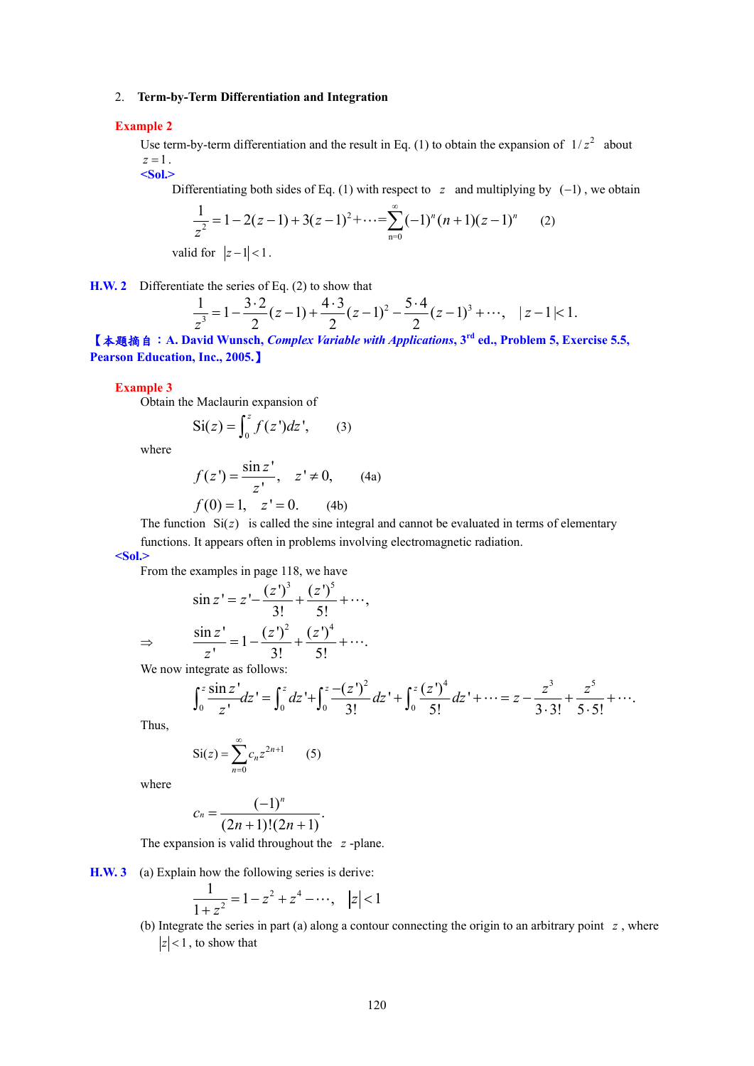### 2. **Term-by-Term Differentiation and Integration**

#### **Example 2**

Use term-by-term differentiation and the result in Eq. (1) to obtain the expansion of  $1/z^2$  about  $z=1$ . **<Sol.>** 

Differentiating both sides of Eq. (1) with respect to *z* and multiplying by  $(-1)$ , we obtain

$$
\frac{1}{z^2} = 1 - 2(z - 1) + 3(z - 1)^2 + \dots = \sum_{n=0}^{\infty} (-1)^n (n + 1)(z - 1)^n \tag{2}
$$

valid for  $|z-1| < 1$ .

**H.W. 2** Differentiate the series of Eq. (2) to show that

$$
\frac{1}{z^3} = 1 - \frac{3 \cdot 2}{2} (z - 1) + \frac{4 \cdot 3}{2} (z - 1)^2 - \frac{5 \cdot 4}{2} (z - 1)^3 + \cdots, \quad |z - 1| < 1.
$$

【本題摘自:**A. David Wunsch,** *Complex Variable with Applications***, 3rd ed., Problem 5, Exercise 5.5, Pearson Education, Inc., 2005.**】

#### **Example 3**

Obtain the Maclaurin expansion of

$$
\operatorname{Si}(z) = \int_0^z f(z')dz', \qquad (3)
$$

where

$$
f(z') = \frac{\sin z'}{z'}, \quad z' \neq 0,
$$
 (4a)  

$$
f(0) = 1, \quad z' = 0.
$$
 (4b)

The function  $Si(z)$  is called the sine integral and cannot be evaluated in terms of elementary functions. It appears often in problems involving electromagnetic radiation.

**<Sol.>** 

From the examples in page 118, we have

$$
\sin z' = z' - \frac{(z')^3}{3!} + \frac{(z')^5}{5!} + \cdots,
$$
  

$$
\Rightarrow \qquad \frac{\sin z'}{z'} = 1 - \frac{(z')^2}{3!} + \frac{(z')^4}{5!} + \cdots.
$$

We now integrate as follows:

$$
\int_0^z \frac{\sin z}{z'} dz' = \int_0^z dz' + \int_0^z \frac{-(z')^2}{3!} dz' + \int_0^z \frac{(z')^4}{5!} dz' + \dots = z - \frac{z^3}{3 \cdot 3!} + \frac{z^5}{5 \cdot 5!} + \dots
$$

Thus,

$$
Si(z) = \sum_{n=0}^{\infty} c_n z^{2n+1}
$$
 (5)

where

$$
c_n = \frac{(-1)^n}{(2n+1)!(2n+1)}.
$$

The expansion is valid throughout the *z* -plane.

**H.W. 3** (a) Explain how the following series is derive:

$$
\frac{1}{1+z^2} = 1 - z^2 + z^4 - \dots, \quad |z| < 1
$$

(b) Integrate the series in part (a) along a contour connecting the origin to an arbitrary point *z* , where  $|z|$  < 1, to show that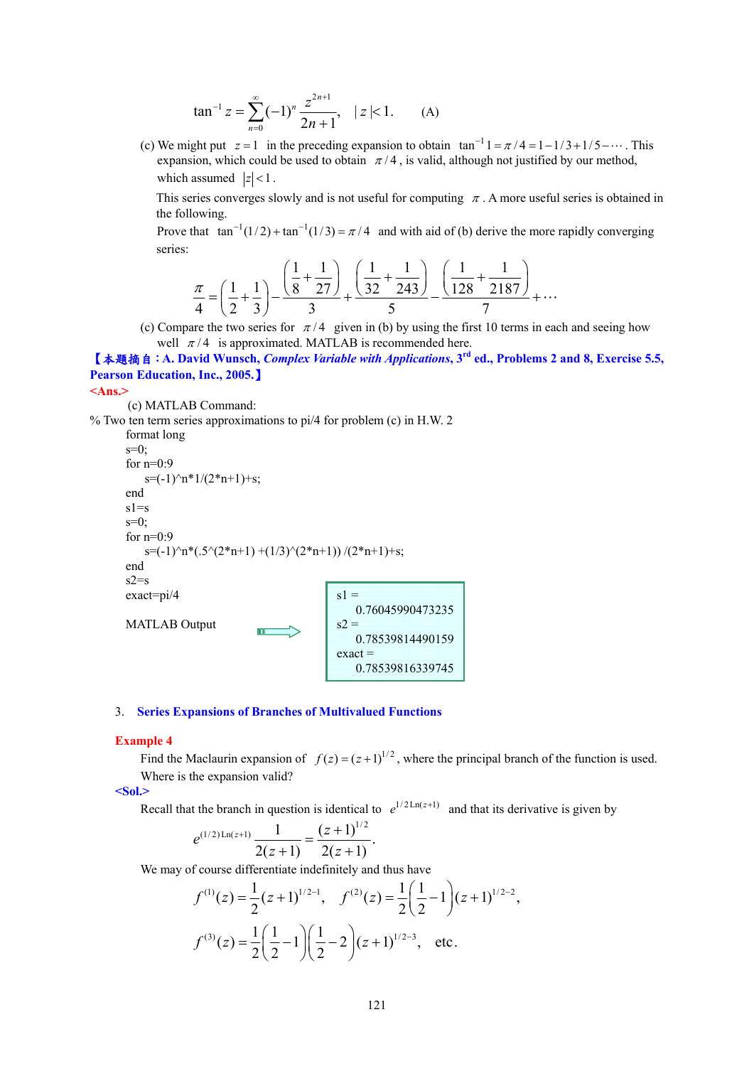$$
\tan^{-1} z = \sum_{n=0}^{\infty} (-1)^n \frac{z^{2n+1}}{2n+1}, \quad |z| < 1. \tag{A}
$$

(c) We might put  $z = 1$  in the preceding expansion to obtain  $\tan^{-1} 1 = \pi/4 = 1 - 1/3 + 1/5 - \cdots$ . This expansion, which could be used to obtain  $\pi/4$ , is valid, although not justified by our method, which assumed  $|z| < 1$ .

This series converges slowly and is not useful for computing  $\pi$ . A more useful series is obtained in the following.

Prove that  $\tan^{-1}(1/2) + \tan^{-1}(1/3) = \pi/4$  and with aid of (b) derive the more rapidly converging series:

$$
\frac{\pi}{4} = \left(\frac{1}{2} + \frac{1}{3}\right) - \frac{\left(\frac{1}{8} + \frac{1}{27}\right)}{3} + \frac{\left(\frac{1}{32} + \frac{1}{243}\right)}{5} - \frac{\left(\frac{1}{128} + \frac{1}{2187}\right)}{7} + \dots
$$

(c) Compare the two series for  $\pi/4$  given in (b) by using the first 10 terms in each and seeing how well  $\pi$ /4 is approximated. MATLAB is recommended here.

【本題摘自:**A. David Wunsch,** *Complex Variable with Applications***, 3rd ed., Problems 2 and 8, Exercise 5.5, Pearson Education, Inc., 2005.**】

#### **<Ans.>**

```
(c) MATLAB Command:
```

```
% Two ten term series approximations to pi/4 for problem (c) in H.W. 2 
       format long
```

```
s=0;
for n=0:9s=(-1)^{n*1}/(2*n+1)+s;end 
s1=ss=0;
for n=0:9s=(-1)^{n^*}(.5^{(2^*n+1)} + (1/3)^{(2^*n+1)}) / (2^*n+1)+s;end 
s2=sexact=pi/4 
MATLAB Output 
                                        s1 = 0.76045990473235
                                        s2 = 0.78539814490159
                                        exact =
```
#### 3. **Series Expansions of Branches of Multivalued Functions**

#### **Example 4**

Find the Maclaurin expansion of  $f(z) = (z+1)^{1/2}$ , where the principal branch of the function is used. Where is the expansion valid?

0.78539816339745

**<Sol.>** 

Recall that the branch in question is identical to  $e^{1/2 \text{Ln}(z+1)}$  and that its derivative is given by

$$
e^{(1/2)\operatorname{Ln}(z+1)}\frac{1}{2(z+1)} = \frac{(z+1)^{1/2}}{2(z+1)}.
$$

We may of course differentiate indefinitely and thus have

$$
f^{(1)}(z) = \frac{1}{2}(z+1)^{1/2-1}, \quad f^{(2)}(z) = \frac{1}{2}\left(\frac{1}{2}-1\right)(z+1)^{1/2-2},
$$

$$
f^{(3)}(z) = \frac{1}{2}\left(\frac{1}{2}-1\right)\left(\frac{1}{2}-2\right)(z+1)^{1/2-3}, \quad \text{etc.}
$$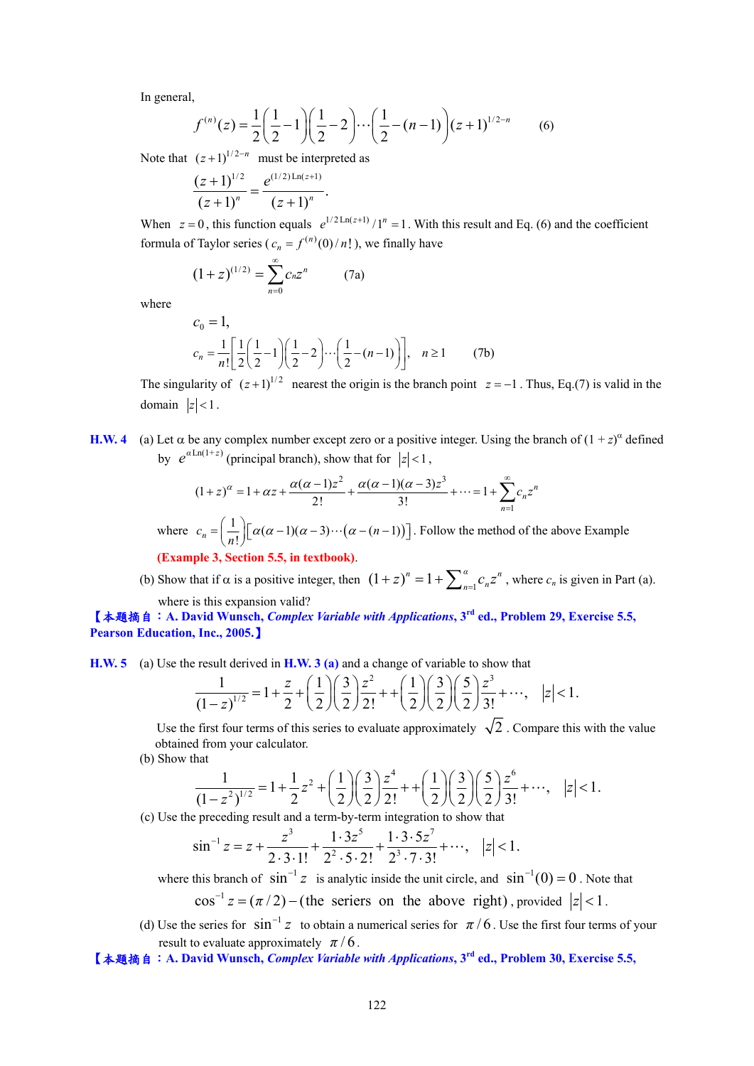In general,

$$
f^{(n)}(z) = \frac{1}{2} \left( \frac{1}{2} - 1 \right) \left( \frac{1}{2} - 2 \right) \cdots \left( \frac{1}{2} - (n-1) \right) (z+1)^{1/2-n} \tag{6}
$$

Note that  $(z+1)^{1/2-n}$  must be interpreted as

$$
\frac{(z+1)^{1/2}}{(z+1)^n} = \frac{e^{(1/2)\operatorname{Ln}(z+1)}}{(z+1)^n}.
$$

When  $z = 0$ , this function equals  $e^{1/2 \text{Ln}(z+1)} / 1^n = 1$ . With this result and Eq. (6) and the coefficient formula of Taylor series ( $c_n = f^{(n)}(0) / n!$ ), we finally have

$$
(1+z)^{(1/2)} = \sum_{n=0}^{\infty} c_n z^n \qquad (7a)
$$

where

$$
c_0 = 1,
$$
  
\n
$$
c_n = \frac{1}{n!} \left[ \frac{1}{2} \left( \frac{1}{2} - 1 \right) \left( \frac{1}{2} - 2 \right) \cdots \left( \frac{1}{2} - (n-1) \right) \right], \quad n \ge 1
$$
 (7b)

The singularity of  $(z+1)^{1/2}$  nearest the origin is the branch point  $z = -1$ . Thus, Eq.(7) is valid in the domain  $|z| < 1$ .

**H.W. 4** (a) Let α be any complex number except zero or a positive integer. Using the branch of  $(1 + z)^{\alpha}$  defined by  $e^{a \text{Ln}(1+z)}$  (principal branch), show that for  $|z| < 1$ ,

$$
(1+z)^{\alpha} = 1 + \alpha z + \frac{\alpha(\alpha-1)z^2}{2!} + \frac{\alpha(\alpha-1)(\alpha-3)z^3}{3!} + \dots = 1 + \sum_{n=1}^{\infty} c_n z^n
$$

where  $c_n = \left(\frac{1}{n!}\right) \left[ \alpha(\alpha-1)(\alpha-3)\cdots(\alpha-(n-1)) \right]$ . Follow the method of the above Example **(Example 3, Section 5.5, in textbook)**.

(b) Show that if  $\alpha$  is a positive integer, then  $(1 + z)^n = 1 + \sum_{n=1}^{\alpha} c_n z^n$ , where  $c_n$  is given in Part (a). where is this expansion valid?

# 【本題摘自:**A. David Wunsch,** *Complex Variable with Applications***, 3rd ed., Problem 29, Exercise 5.5, Pearson Education, Inc., 2005.**】

**H.W. 5** (a) Use the result derived in **H.W. 3 (a)** and a change of variable to show that

$$
\frac{1}{(1-z)^{1/2}} = 1 + \frac{z}{2} + \left(\frac{1}{2}\right)\left(\frac{3}{2}\right)\frac{z^2}{2!} + \left(\frac{1}{2}\right)\left(\frac{3}{2}\right)\left(\frac{5}{2}\right)\frac{z^3}{3!} + \cdots, \quad |z| < 1.
$$

Use the first four terms of this series to evaluate approximately  $\sqrt{2}$ . Compare this with the value obtained from your calculator.

(b) Show that

$$
\frac{1}{(1-z^2)^{1/2}} = 1 + \frac{1}{2}z^2 + \left(\frac{1}{2}\right)\left(\frac{3}{2}\right)\frac{z^4}{2!} + \left(\frac{1}{2}\right)\left(\frac{3}{2}\right)\left(\frac{5}{2}\right)\frac{z^6}{3!} + \cdots, \quad |z| < 1.
$$

(c) Use the preceding result and a term-by-term integration to show that

$$
\sin^{-1} z = z + \frac{z^3}{2 \cdot 3 \cdot 1!} + \frac{1 \cdot 3 z^5}{2^2 \cdot 5 \cdot 2!} + \frac{1 \cdot 3 \cdot 5 z^7}{2^3 \cdot 7 \cdot 3!} + \cdots, \quad |z| < 1.
$$

where this branch of  $\sin^{-1} z$  is analytic inside the unit circle, and  $\sin^{-1}(0) = 0$ . Note that

 $\cos^{-1} z = (\pi/2) -$  (the seriers on the above right), provided  $|z| < 1$ .

- (d) Use the series for  $\sin^{-1} z$  to obtain a numerical series for  $\pi/6$ . Use the first four terms of your result to evaluate approximately  $\pi/6$ .
- 【本題摘自:**A. David Wunsch,** *Complex Variable with Applications***, 3rd ed., Problem 30, Exercise 5.5,**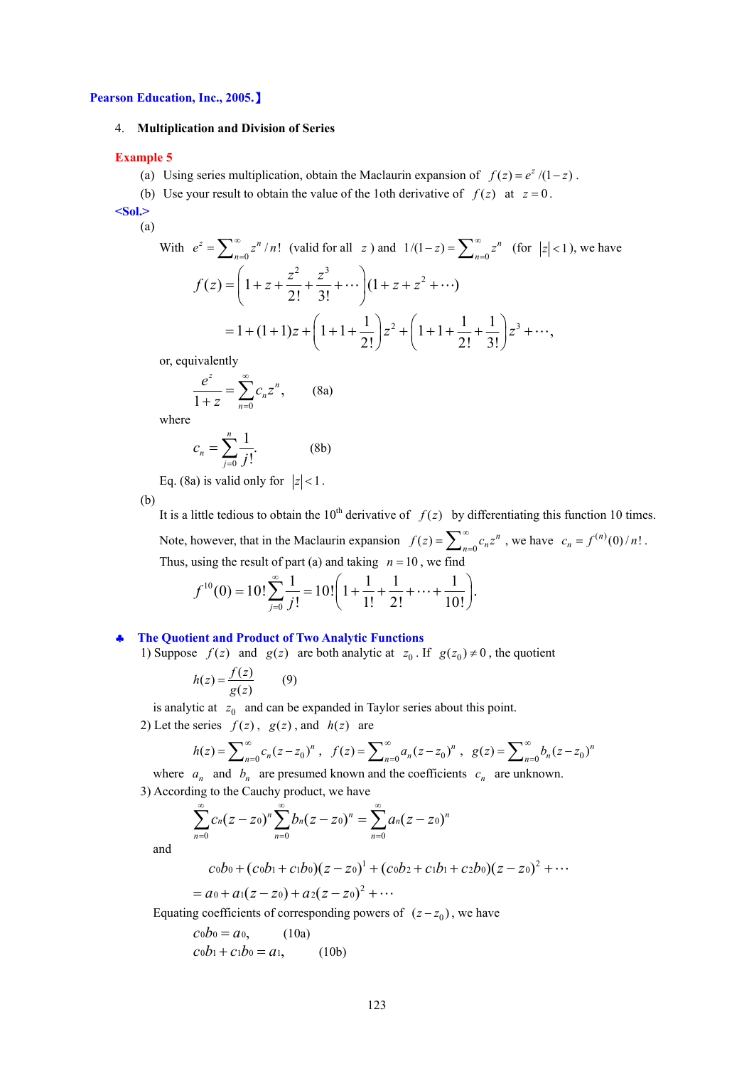#### **Pearson Education, Inc., 2005.**】

#### 4. **Multiplication and Division of Series**

#### **Example 5**

- (a) Using series multiplication, obtain the Maclaurin expansion of  $f(z) = e^{z}/(1-z)$ .
- (b) Use your result to obtain the value of the 1oth derivative of  $f(z)$  at  $z=0$ .

**<Sol.>** 

(a)

With  $e^z = \sum_{n=0}^{\infty} z^n / n!$  (valid for all *z*) and  $1/(1-z) = \sum_{n=0}^{\infty} z^n$  (for  $|z| < 1$ ), we have  $f(z) = \left(1 + z + \frac{z^2}{2!} + \frac{z^3}{3!} + \cdots\right) (1 + z + z^2 + \cdots)$  $=1+(1+1)z+\left(1+1+\frac{1}{2!}\right)z^{2}+\left(1+1+\frac{1}{2!}+\frac{1}{3!}\right)z^{3}+\cdots,$ 

or, equivalently

$$
\frac{e^z}{1+z} = \sum_{n=0}^{\infty} c_n z^n, \qquad \text{(8a)}
$$

where

$$
c_n = \sum_{j=0}^n \frac{1}{j!}.
$$
 (8b)

Eq. (8a) is valid only for  $|z| < 1$ .

(b)

It is a little tedious to obtain the 10<sup>th</sup> derivative of  $f(z)$  by differentiating this function 10 times. Note, however, that in the Maclaurin expansion  $f(z) = \sum_{n=0}^{\infty} c_n z^n$ , we have  $c_n = f^{(n)}(0)/n!$ . Thus, using the result of part (a) and taking  $n = 10$ , we find

$$
f^{10}(0) = 10! \sum_{j=0}^{\infty} \frac{1}{j!} = 10! \left( 1 + \frac{1}{1!} + \frac{1}{2!} + \dots + \frac{1}{10!} \right).
$$

#### ♣ **The Quotient and Product of Two Analytic Functions**

1) Suppose  $f(z)$  and  $g(z)$  are both analytic at  $z_0$ . If  $g(z_0) \neq 0$ , the quotient

$$
h(z) = \frac{f(z)}{g(z)}\tag{9}
$$

is analytic at  $z_0$  and can be expanded in Taylor series about this point.

2) Let the series  $f(z)$ ,  $g(z)$ , and  $h(z)$  are

$$
h(z) = \sum_{n=0}^{\infty} c_n (z - z_0)^n , \quad f(z) = \sum_{n=0}^{\infty} a_n (z - z_0)^n , \quad g(z) = \sum_{n=0}^{\infty} b_n (z - z_0)^n
$$

where  $a_n$  and  $b_n$  are presumed known and the coefficients  $c_n$  are unknown. 3) According to the Cauchy product, we have

$$
\sum_{n=0}^{\infty} c_n (z-z_0)^n \sum_{n=0}^{\infty} b_n (z-z_0)^n = \sum_{n=0}^{\infty} a_n (z-z_0)^n
$$

and

$$
c_0b_0 + (c_0b_1 + c_1b_0)(z - z_0)^1 + (c_0b_2 + c_1b_1 + c_2b_0)(z - z_0)^2 + \cdots
$$

$$
= a_0 + a_1(z - z_0) + a_2(z - z_0)^2 + \cdots
$$

Equating coefficients of corresponding powers of  $(z - z_0)$ , we have

$$
cob_0 = a_0,
$$
 (10a)  
\n $cob_1 + c_1b_0 = a_1,$  (10b)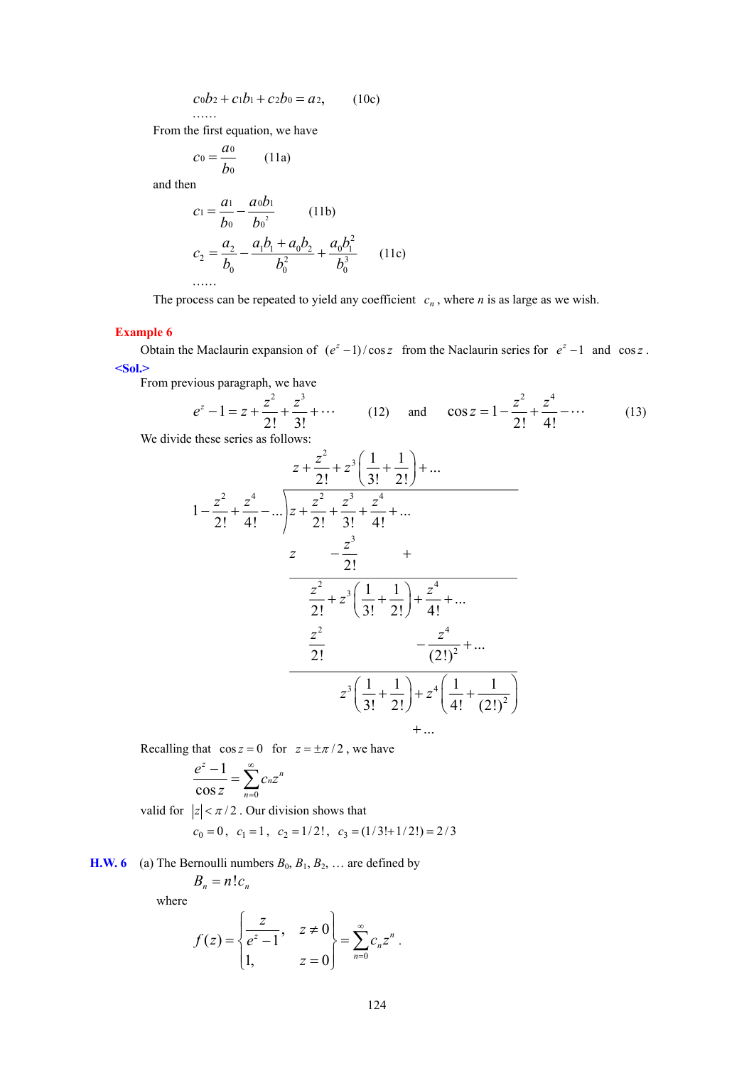$$
c_0b_2 + c_1b_1 + c_2b_0 = a_2, \qquad (10c)
$$

From the first equation, we have

. . . . . .

$$
c_0 = \frac{a_0}{b_0} \qquad (11a)
$$

and then

$$
c_1 = \frac{a_1}{b_0} - \frac{a_0 b_1}{b_0^2}
$$
 (11b)  

$$
c_2 = \frac{a_2}{b_0} - \frac{a_1 b_1 + a_0 b_2}{b_0^2} + \frac{a_0 b_1^2}{b_0^3}
$$
 (11c)  
......

The process can be repeated to yield any coefficient  $c_n$ , where *n* is as large as we wish.

# **Example 6**

Obtain the Maclaurin expansion of  $(e^z - 1)/\cos z$  from the Naclaurin series for  $e^z - 1$  and cos *z*. **<Sol.>** 

From previous paragraph, we have

$$
e^{z} - 1 = z + \frac{z^{2}}{2!} + \frac{z^{3}}{3!} + \cdots
$$
 (12) and  $\cos z = 1 - \frac{z^{2}}{2!} + \frac{z^{4}}{4!} - \cdots$  (13)

We divide these series as follows:

$$
z + \frac{z^2}{2!} + z^3 \left( \frac{1}{3!} + \frac{1}{2!} \right) + \dots
$$
\n
$$
1 - \frac{z^2}{2!} + \frac{z^4}{4!} - \dots \right) z + \frac{z^2}{2!} + \frac{z^3}{3!} + \frac{z^4}{4!} + \dots
$$
\n
$$
z - \frac{z^3}{2!} + \dots
$$
\n
$$
\frac{z^2}{2!} + z^3 \left( \frac{1}{3!} + \frac{1}{2!} \right) + \frac{z^4}{4!} + \dots
$$
\n
$$
\frac{z^2}{2!} - \frac{z^4}{(2!)^2} + \dots
$$
\n
$$
z^3 \left( \frac{1}{3!} + \frac{1}{2!} \right) + z^4 \left( \frac{1}{4!} + \frac{1}{(2!)^2} \right) + \dots
$$

Recalling that  $\cos z = 0$  for  $z = \pm \pi/2$ , we have

$$
\frac{e^z-1}{\cos z}=\sum_{n=0}^\infty c_nz^n
$$

valid for  $|z| < \pi/2$ . Our division shows that

$$
c_0 = 0
$$
,  $c_1 = 1$ ,  $c_2 = 1/2!$ ,  $c_3 = (1/3!+1/2!) = 2/3$ 

**H.W. 6** (a) The Bernoulli numbers  $B_0$ ,  $B_1$ ,  $B_2$ , ... are defined by

$$
B_n = n!c_n
$$

$$
f(z) = \begin{cases} \frac{z}{e^z - 1}, & z \neq 0 \\ 1, & z = 0 \end{cases} = \sum_{n=0}^{\infty} c_n z^n.
$$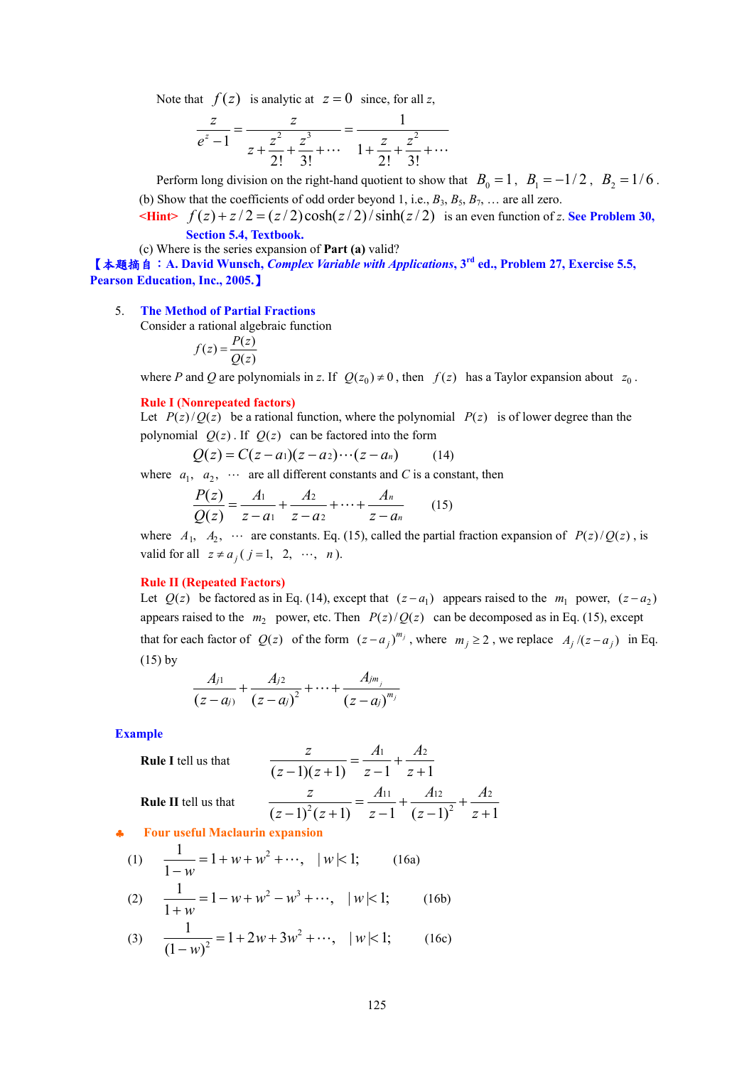Note that  $f(z)$  is analytic at  $z = 0$  since, for all z,

$$
\frac{z}{e^z - 1} = \frac{z}{z + \frac{z^2}{2!} + \frac{z^3}{3!} + \dots} = \frac{1}{1 + \frac{z}{2!} + \frac{z^2}{3!} + \dots}
$$

Perform long division on the right-hand quotient to show that  $B_0 = 1$ ,  $B_1 = -1/2$ ,  $B_2 = 1/6$ . (b) Show that the coefficients of odd order beyond 1, i.e.,  $B_3$ ,  $B_5$ ,  $B_7$ , ... are all zero.

 $\mathbf{F}(\mathbf{z}) + \mathbf{z}/2 = \frac{z}{2} \cosh\left(\frac{z}{2}\right) / \sinh\left(\frac{z}{2}\right)$  is an even function of *z*. See Problem 30, **Section 5.4, Textbook.**

(c) Where is the series expansion of **Part (a)** valid?

【本題摘自:**A. David Wunsch,** *Complex Variable with Applications***, 3rd ed., Problem 27, Exercise 5.5, Pearson Education, Inc., 2005.**】

5. **The Method of Partial Fractions**

Consider a rational algebraic function

$$
f(z) = \frac{P(z)}{Q(z)}
$$

where *P* and *Q* are polynomials in *z*. If  $Q(z_0) \neq 0$ , then  $f(z)$  has a Taylor expansion about  $z_0$ .

#### **Rule I (Nonrepeated factors)**

Let  $P(z)/Q(z)$  be a rational function, where the polynomial  $P(z)$  is of lower degree than the polynomial  $Q(z)$ . If  $Q(z)$  can be factored into the form

$$
Q(z) = C(z-a_1)(z-a_2)\cdots(z-a_n) \qquad (14)
$$

where  $a_1$ ,  $a_2$ ,  $\cdots$  are all different constants and *C* is a constant, then

$$
\frac{P(z)}{Q(z)} = \frac{A_1}{z - a_1} + \frac{A_2}{z - a_2} + \dots + \frac{A_n}{z - a_n} \tag{15}
$$

where  $A_1$ ,  $A_2$ ,  $\cdots$  are constants. Eq. (15), called the partial fraction expansion of  $P(z)/Q(z)$ , is valid for all  $z \neq a_j$  (  $j = 1, 2, \cdots, n$  ).

#### **Rule II (Repeated Factors)**

Let  $Q(z)$  be factored as in Eq. (14), except that  $(z - a_1)$  appears raised to the  $m_1$  power,  $(z - a_2)$ appears raised to the  $m_2$  power, etc. Then  $P(z)/Q(z)$  can be decomposed as in Eq. (15), except that for each factor of  $Q(z)$  of the form  $(z - a_j)^{m_j}$ , where  $m_j \ge 2$ , we replace  $A_j/(z - a_j)$  in Eq. (15) by

$$
\frac{A_{j1}}{(z-a_{j})}+\frac{A_{j2}}{(z-a_{j})^{2}}+\cdots+\frac{A_{jm_{j}}}{(z-a_{j})^{m_{j}}}
$$

**Example** 

**Rule I tell us that**  
\n
$$
\frac{z}{(z-1)(z+1)} = \frac{A_1}{z-1} + \frac{A_2}{z+1}
$$
\n**Rule II tell us that**  
\n
$$
\frac{z}{(z-1)^2(z+1)} = \frac{A_{11}}{z-1} + \frac{A_{12}}{(z-1)^2} + \frac{A_2}{z+1}
$$

♣ **Four useful Maclaurin expansion** 

(1) 
$$
\frac{1}{1-w} = 1 + w + w^2 + \cdots, \quad |w| < 1; \quad \text{(16a)}
$$
  
(2) 
$$
\frac{1}{1+w} = 1 - w + w^2 - w^3 + \cdots, \quad |w| < 1; \quad \text{(16b)}
$$
  
(3) 
$$
\frac{1}{(1-w)^2} = 1 + 2w + 3w^2 + \cdots, \quad |w| < 1; \quad \text{(16c)}
$$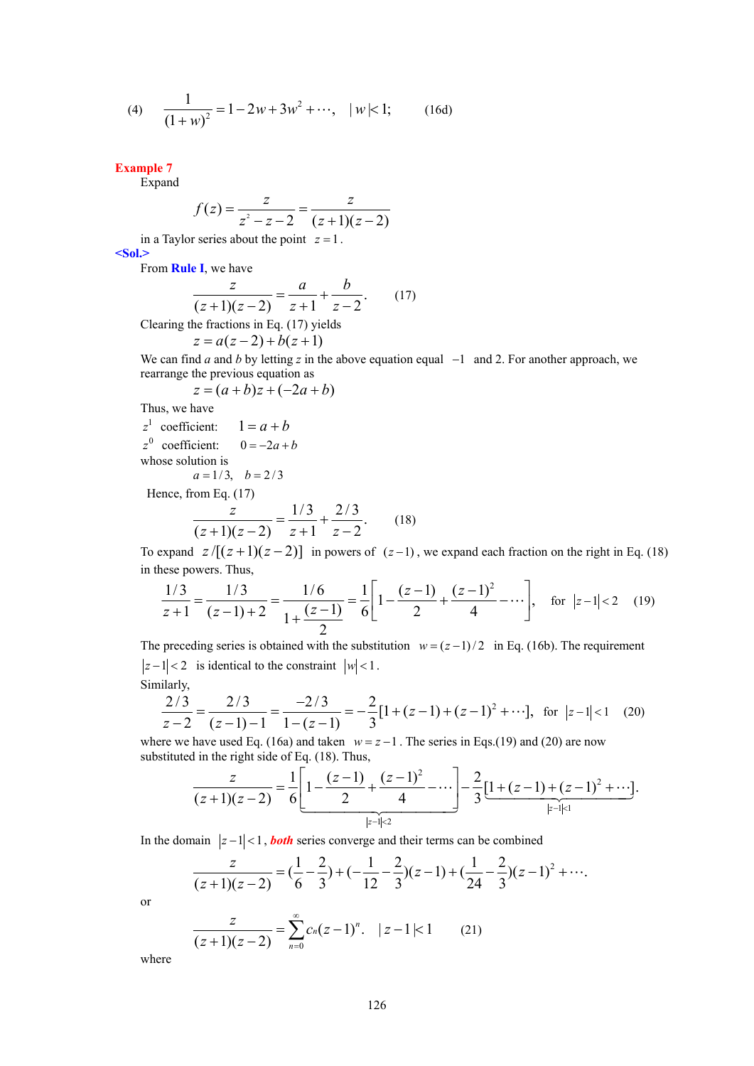(4) 
$$
\frac{1}{(1+w)^2} = 1 - 2w + 3w^2 + \cdots, \quad |w| < 1;
$$
 (16d)

**Example 7** 

Expand

$$
f(z) = \frac{z}{z^2 - z - 2} = \frac{z}{(z+1)(z-2)}
$$

in a Taylor series about the point  $z = 1$ .

**<Sol.>** 

From **Rule I**, we have

$$
\frac{z}{(z+1)(z-2)} = \frac{a}{z+1} + \frac{b}{z-2}.
$$
 (17)

Clearing the fractions in Eq. (17) yields

$$
z = a(z-2) + b(z+1)
$$

We can find *a* and *b* by letting *z* in the above equation equal −1 and 2. For another approach, we rearrange the previous equation as

 $z = (a + b)z + (-2a + b)$ 

Thus, we have

$$
z1
$$
 coefficient:  $1 = a + b$   
 $z0$  coefficient:  $0 = -2a + b$ 

whose solution is  $a = 1/3, \quad b = 2/3$ 

Hence, from Eq. (17)

$$
\frac{z}{(z+1)(z-2)} = \frac{1/3}{z+1} + \frac{2/3}{z-2}.
$$
 (18)

To expand  $z/[(z+1)(z-2)]$  in powers of  $(z-1)$ , we expand each fraction on the right in Eq. (18) in these powers. Thus,

$$
\frac{1/3}{z+1} = \frac{1/3}{(z-1)+2} = \frac{1/6}{1+\frac{(z-1)}{2}} = \frac{1}{6} \left[ 1 - \frac{(z-1)}{2} + \frac{(z-1)^2}{4} - \dots \right], \text{ for } |z-1| < 2 \quad (19)
$$

The preceding series is obtained with the substitution  $w = (z-1)/2$  in Eq. (16b). The requirement  $|z-1| < 2$  is identical to the constraint  $|w| < 1$ . Similarly,

$$
\frac{2/3}{z-2} = \frac{2/3}{(z-1)-1} = \frac{-2/3}{1-(z-1)} = -\frac{2}{3}[1+(z-1)+(z-1)^2+\cdots], \text{ for } |z-1|<1 \quad (20)
$$

where we have used Eq. (16a) and taken  $w = z - 1$ . The series in Eqs.(19) and (20) are now substituted in the right side of Eq. (18). Thus,

$$
\frac{z}{(z+1)(z-2)} = \frac{1}{6} \left[ 1 - \frac{(z-1)}{2} + \frac{(z-1)^2}{4} - \cdots \right] - \frac{2}{3} \underbrace{[1 + (z-1) + (z-1)^2 + \cdots]}_{|z-1| \le 1}.
$$

In the domain  $|z-1| < 1$ , *both* series converge and their terms can be combined

$$
\frac{z}{(z+1)(z-2)} = (\frac{1}{6} - \frac{2}{3}) + (-\frac{1}{12} - \frac{2}{3})(z-1) + (\frac{1}{24} - \frac{2}{3})(z-1)^2 + \cdots
$$
  

$$
\frac{z}{(z-1)^2} = -\sum_{n=0}^{\infty} c_n(z-1)^n + |z-1| \leq 1
$$
 (21)

or

$$
\frac{z}{(z+1)(z-2)} = \sum_{n=0}^{\infty} c_n (z-1)^n. \quad |z-1| < 1 \quad (21)
$$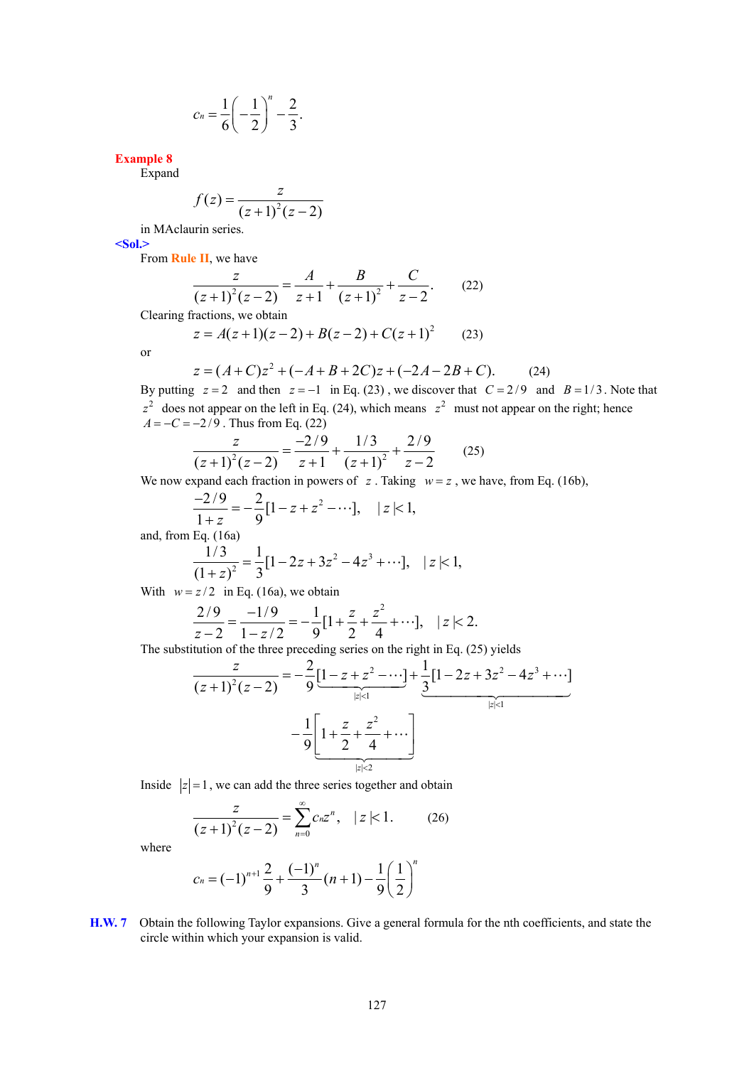$$
c_n = \frac{1}{6} \left( -\frac{1}{2} \right)^n - \frac{2}{3}.
$$

**Example 8** 

Expand

$$
f(z) = \frac{z}{(z+1)^2(z-2)}
$$

in MAclaurin series.

**<Sol.>** 

From **Rule II**, we have

$$
\frac{z}{(z+1)^2(z-2)} = \frac{A}{z+1} + \frac{B}{(z+1)^2} + \frac{C}{z-2}.
$$
 (22)

Clearing fractions, we obtain

$$
z = A(z+1)(z-2) + B(z-2) + C(z+1)^2 \tag{23}
$$

or

$$
z = (A+C)z2 + (-A+B+2C)z + (-2A-2B+C).
$$
 (24)

By putting  $z = 2$  and then  $z = -1$  in Eq. (23), we discover that  $C = 2/9$  and  $B = 1/3$ . Note that  $z<sup>2</sup>$  does not appear on the left in Eq. (24), which means  $z<sup>2</sup>$  must not appear on the right; hence  $A = -C = -2/9$ . Thus from Eq. (22)

$$
\frac{z}{(z+1)^2(z-2)} = \frac{-2/9}{z+1} + \frac{1/3}{(z+1)^2} + \frac{2/9}{z-2}
$$
 (25)

We now expand each fraction in powers of  $z$ . Taking  $w = z$ , we have, from Eq. (16b),

$$
\frac{-2/9}{1+z} = -\frac{2}{9} [1 - z + z^2 - \cdots], \quad |z| < 1,
$$

and, from Eq. (16a)

$$
\frac{1/3}{(1+z)^2} = \frac{1}{3} [1 - 2z + 3z^2 - 4z^3 + \cdots], \quad |z| < 1,
$$

With  $w = z/2$  in Eq. (16a), we obtain

$$
\frac{2/9}{z-2} = \frac{-1/9}{1-z/2} = -\frac{1}{9} [1 + \frac{z}{2} + \frac{z^2}{4} + \cdots], \quad |z| < 2.
$$

The substitution of the three preceding series on the right in Eq. (25) yields

$$
\frac{z}{(z+1)^2(z-2)} = -\frac{2}{9} \underbrace{[1-z+z^2-\cdots]}_{|z|<1} + \underbrace{\frac{1}{3} [1-2z+3z^2-4z^3+\cdots]}_{|z|<1}
$$

$$
-\frac{1}{9} \underbrace{[1+\frac{z}{2}+\frac{z^2}{4}+\cdots]}_{|z|<2}
$$

Inside  $|z|=1$ , we can add the three series together and obtain

$$
\frac{z}{(z+1)^2(z-2)} = \sum_{n=0}^{\infty} c_n z^n, \quad |z| < 1.
$$
 (26)

where

$$
c_n = (-1)^{n+1} \frac{2}{9} + \frac{(-1)^n}{3} (n+1) - \frac{1}{9} \left(\frac{1}{2}\right)^n
$$

**H.W. 7** Obtain the following Taylor expansions. Give a general formula for the nth coefficients, and state the circle within which your expansion is valid.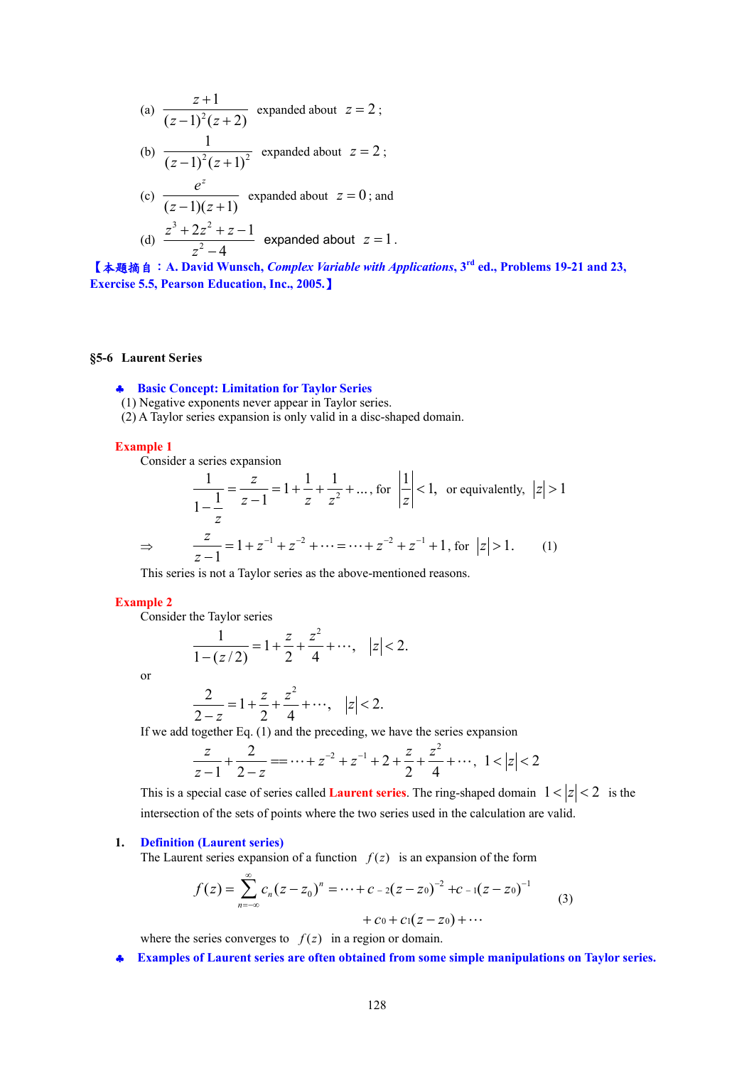(a) 
$$
\frac{z+1}{(z-1)^2(z+2)}
$$
 expanded about  $z = 2$ ;  
\n(b) 
$$
\frac{1}{(z-1)^2(z+1)^2}
$$
 expanded about  $z = 2$ ;  
\n(c) 
$$
\frac{e^z}{(z-1)(z+1)}
$$
 expanded about  $z = 0$ ; and  
\n(d) 
$$
\frac{z^3 + 2z^2 + z - 1}{z^2 - 4}
$$
 expanded about  $z = 1$ .

【本題摘自:**A. David Wunsch,** *Complex Variable with Applications***, 3rd ed., Problems 19-21 and 23, Exercise 5.5, Pearson Education, Inc., 2005.**】

# **§5-6 Laurent Series**

## ♣ **Basic Concept: Limitation for Taylor Series**

- (1) Negative exponents never appear in Taylor series.
- (2) A Taylor series expansion is only valid in a disc-shaped domain.

#### **Example 1**

Consider a series expansion

$$
\frac{1}{1 - \frac{1}{z}} = \frac{z}{z - 1} = 1 + \frac{1}{z} + \frac{1}{z^2} + \dots, \text{ for } \left| \frac{1}{z} \right| < 1, \text{ or equivalently, } \left| z \right| > 1
$$
\n
$$
\Rightarrow \qquad \frac{z}{z - 1} = 1 + z^{-1} + z^{-2} + \dots = \dots + z^{-2} + z^{-1} + 1, \text{ for } \left| z \right| > 1. \tag{1}
$$

This series is not a Taylor series as the above-mentioned reasons.

### **Example 2**

Consider the Taylor series

$$
\frac{1}{1 - (z/2)} = 1 + \frac{z}{2} + \frac{z^2}{4} + \cdots, \quad |z| < 2.
$$

or

$$
\frac{2}{2-z} = 1 + \frac{z}{2} + \frac{z^2}{4} + \cdots, \quad |z| < 2.
$$

If we add together Eq. (1) and the preceding, we have the series expansion

$$
\frac{z}{z-1} + \frac{2}{2-z} = \dots + z^{-2} + z^{-1} + 2 + \frac{z}{2} + \frac{z^2}{4} + \dots, \quad 1 < |z| < 2
$$

This is a special case of series called **Laurent series**. The ring-shaped domain  $1 < |z| < 2$  is the intersection of the sets of points where the two series used in the calculation are valid.

## **1. Definition (Laurent series)**

The Laurent series expansion of a function  $f(z)$  is an expansion of the form

$$
f(z) = \sum_{n=-\infty}^{\infty} c_n (z - z_0)^n = \dots + c_{-2} (z - z_0)^{-2} + c_{-1} (z - z_0)^{-1}
$$
  
+  $c_0 + c_1 (z - z_0) + \dots$  (3)

where the series converges to  $f(z)$  in a region or domain.

♣ **Examples of Laurent series are often obtained from some simple manipulations on Taylor series.**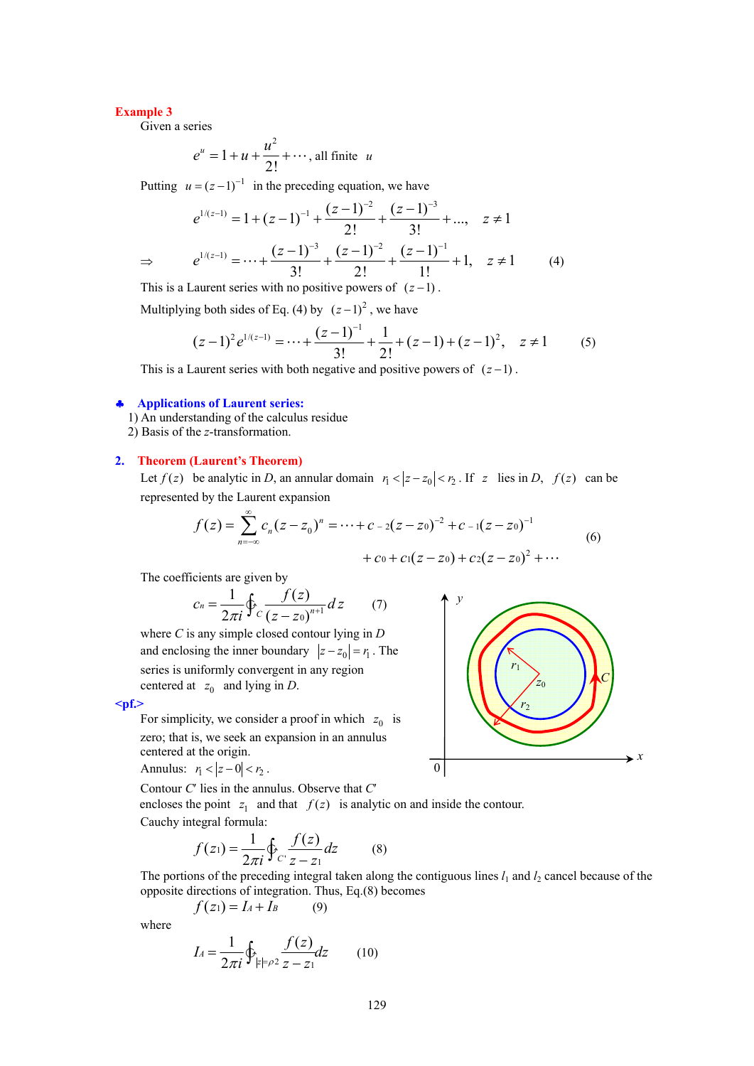### **Example 3**

Given a series

$$
e^u = 1 + u + \frac{u^2}{2!} + \cdots
$$
, all finite u

Putting  $u = (z-1)^{-1}$  in the preceding equation, we have

$$
e^{1/(z-1)} = 1 + (z-1)^{-1} + \frac{(z-1)^{-2}}{2!} + \frac{(z-1)^{-3}}{3!} + \dots, \quad z \neq 1
$$
  
\n
$$
\Rightarrow \qquad e^{1/(z-1)} = \dots + \frac{(z-1)^{-3}}{3!} + \frac{(z-1)^{-2}}{2!} + \frac{(z-1)^{-1}}{1!} + 1, \quad z \neq 1 \qquad (4)
$$

This is a Laurent series with no positive powers of  $(z - 1)$ .

Multiplying both sides of Eq. (4) by  $(z - 1)^2$ , we have

$$
(z-1)^{2} e^{1/(z-1)} = \dots + \frac{(z-1)^{-1}}{3!} + \frac{1}{2!} + (z-1) + (z-1)^{2}, \quad z \neq 1
$$
 (5)

This is a Laurent series with both negative and positive powers of  $(z - 1)$ .

#### ♣ **Applications of Laurent series:**

- 1) An understanding of the calculus residue
- 2) Basis of the *z*-transformation.

#### **2. Theorem (Laurent's Theorem)**

Let  $f(z)$  be analytic in *D*, an annular domain  $r_1 < |z - z_0| < r_2$ . If  $z$  lies in *D*,  $f(z)$  can be represented by the Laurent expansion

$$
f(z) = \sum_{n=-\infty}^{\infty} c_n (z - z_0)^n = \dots + c_{-2} (z - z_0)^{-2} + c_{-1} (z - z_0)^{-1}
$$
  
+  $c_0 + c_1 (z - z_0) + c_2 (z - z_0)^2 + \dots$  (6)

The coefficients are given by

$$
c_n = \frac{1}{2\pi i} \oint_C \frac{f(z)}{\left(z - z_0\right)^{n+1}} dz \tag{7}
$$

where *C* is any simple closed contour lying in *D* and enclosing the inner boundary  $|z - z_0| = r_1$ . The series is uniformly convergent in any region centered at  $z_0$  and lying in *D*.

**<pf.>** 

For simplicity, we consider a proof in which  $z_0$  is zero; that is, we seek an expansion in an annulus centered at the origin.

Annulus:  $r_1 < |z - 0| < r_2$ .

Contour *C*′ lies in the annulus. Observe that *C*′

encloses the point  $z_1$  and that  $f(z)$  is analytic on and inside the contour. Cauchy integral formula:

$$
f(z_1) = \frac{1}{2\pi i} \oint_C \frac{f(z)}{z - z_1} dz
$$
 (8)

The portions of the preceding integral taken along the contiguous lines  $l_1$  and  $l_2$  cancel because of the opposite directions of integration. Thus, Eq.(8) becomes

$$
f(z_1) = I_A + I_B \tag{9}
$$

$$
I_4 = \frac{1}{2\pi i} \oint_{|z| = \rho_2} \frac{f(z)}{z - z_1} dz \qquad (10)
$$

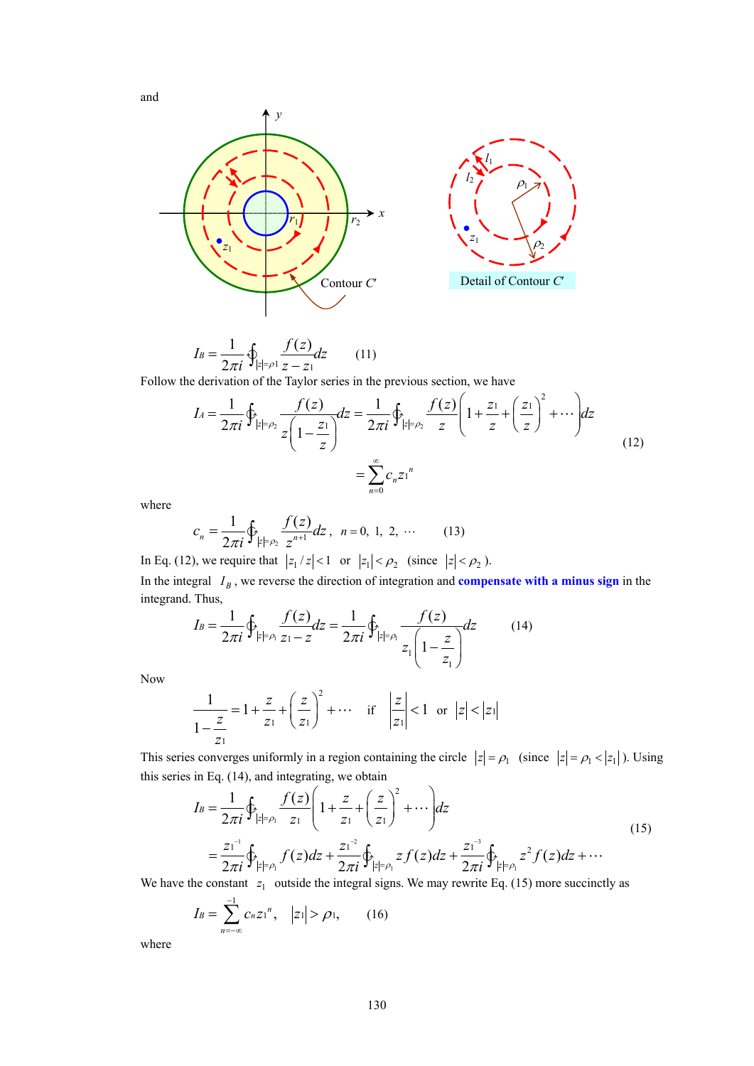and



$$
I_B = \frac{1}{2\pi i} \oint_{|z| = \rho_1} \frac{f(z)}{z - z_1} dz \qquad (11)
$$

Follow the derivation of the Taylor series in the previous section, we have

$$
I_4 = \frac{1}{2\pi i} \oint_{|z| = \rho_2} \frac{f(z)}{z \left(1 - \frac{z_1}{z}\right)} dz = \frac{1}{2\pi i} \oint_{|z| = \rho_2} \frac{f(z)}{z} \left(1 + \frac{z_1}{z} + \left(\frac{z_1}{z}\right)^2 + \cdots\right) dz
$$
  

$$
= \sum_{n=0}^{\infty} c_n z_1^n
$$
 (12)

where

$$
c_n = \frac{1}{2\pi i} \oint_{|z| = \rho_2} \frac{f(z)}{z^{n+1}} dz, \ \ n = 0, 1, 2, \ \cdots \tag{13}
$$

In Eq. (12), we require that  $|z_1/z| < 1$  or  $|z_1| < \rho_2$  (since  $|z| < \rho_2$ ). In the integral  $I_B$ , we reverse the direction of integration and **compensate with a minus sign** in the integrand. Thus,

$$
I_B = \frac{1}{2\pi i} \oint_{|z| = \rho_1} \frac{f(z)}{z_1 - z} dz = \frac{1}{2\pi i} \oint_{|z| = \rho_1} \frac{f(z)}{z_1 \left(1 - \frac{z}{z_1}\right)} dz \tag{14}
$$

Now

$$
\frac{1}{1 - \frac{z}{z_1}} = 1 + \frac{z}{z_1} + \left(\frac{z}{z_1}\right)^2 + \dots \quad \text{if} \quad \left|\frac{z}{z_1}\right| < 1 \quad \text{or} \quad |z| < |z_1|
$$

This series converges uniformly in a region containing the circle  $|z| = \rho_1$  (since  $|z| = \rho_1 < |z_1|$ ). Using this series in Eq. (14), and integrating, we obtain

$$
I_B = \frac{1}{2\pi i} \oint_{|z|=\rho_1} \frac{f(z)}{z_1} \left( 1 + \frac{z}{z_1} + \left(\frac{z}{z_1}\right)^2 + \cdots \right) dz
$$
  
=  $\frac{z_1^{-1}}{2\pi i} \oint_{|z|=\rho_1} f(z) dz + \frac{z_1^{-2}}{2\pi i} \oint_{|z|=\rho_1} z f(z) dz + \frac{z_1^{-3}}{2\pi i} \oint_{|z|=\rho_1} z^2 f(z) dz + \cdots$  (15)

We have the constant  $z_1$  outside the integral signs. We may rewrite Eq. (15) more succinctly as

$$
I_B = \sum_{n=-\infty}^{-1} c_n z_1^n, \quad |z_1| > \rho_1, \qquad (16)
$$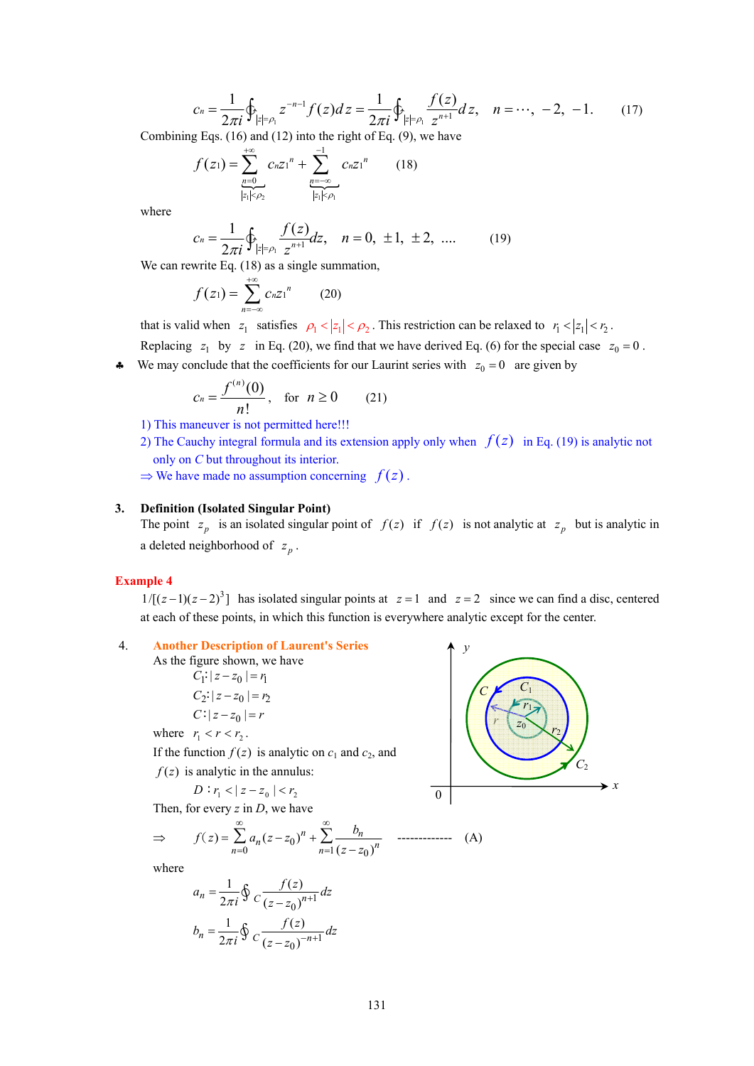$$
c_n = \frac{1}{2\pi i} \oint_{|z| = \rho_1} z^{-n-1} f(z) dz = \frac{1}{2\pi i} \oint_{|z| = \rho_1} \frac{f(z)}{z^{n+1}} dz, \quad n = \dots, -2, -1. \tag{17}
$$

Combining Eqs. (16) and (12) into the right of Eq. (9), we have

$$
f(z_1) = \sum_{\substack{n=0 \ |z_1| < \rho_2}}^{+\infty} c_n z_1^n + \sum_{\substack{n=-\infty \ |z_1| < \rho_1}}^{-1} c_n z_1^n \qquad (18)
$$

where

$$
c_n = \frac{1}{2\pi i} \oint_{|z| = \rho_1} \frac{f(z)}{z^{n+1}} dz, \quad n = 0, \ \pm 1, \ \pm 2, \ \dots. \tag{19}
$$

We can rewrite Eq.  $(18)$  as a single summation,

$$
f(z_1) = \sum_{n=-\infty}^{+\infty} c_n z_1^n \qquad (20)
$$

that is valid when  $z_1$  satisfies  $\rho_1 < |z_1| < \rho_2$ . This restriction can be relaxed to  $r_1 < |z_1| < r_2$ .

Replacing  $z_1$  by  $z$  in Eq. (20), we find that we have derived Eq. (6) for the special case  $z_0 = 0$ .

 $\bullet$  We may conclude that the coefficients for our Laurint series with  $z_0 = 0$  are given by

$$
c_n = \frac{f^{(n)}(0)}{n!}, \text{ for } n \ge 0 \qquad (21)
$$

- 1) This maneuver is not permitted here!!!
- 2) The Cauchy integral formula and its extension apply only when  $f(z)$  in Eq. (19) is analytic not only on *C* but throughout its interior.

 $\Rightarrow$  We have made no assumption concerning  $f(z)$ .

## **3. Definition (Isolated Singular Point)**

The point  $z_p$  is an isolated singular point of  $f(z)$  if  $f(z)$  is not analytic at  $z_p$  but is analytic in a deleted neighborhood of  $z_p$ .

#### **Example 4**

 $1/[(z-1)(z-2)^3]$  has isolated singular points at  $z=1$  and  $z=2$  since we can find a disc, centered at each of these points, in which this function is everywhere analytic except for the center.

# 4. **Another Description of Laurent's Series**

As the figure shown, we have  
\n
$$
C_1: |z - z_0| = r_1
$$
  
\n $C_2: |z - z_0| = r_2$   
\n $C: |z - z_0| = r$ 

where 
$$
r_1 < r < r_2
$$
.

If the function  $f(z)$  is analytic on  $c_1$  and  $c_2$ , and  $f(z)$  is analytic in the annulus:

$$
21
$$
 is analytic in the annu

$$
D: r_1 < |z - z_0| < r_2
$$

Then, for every *z* in *D*, we have

$$
\Rightarrow f(z) = \sum_{n=0}^{\infty} a_n (z - z_0)^n + \sum_{n=1}^{\infty} \frac{b_n}{(z - z_0)^n} \quad \text{............} \quad \text{(A)}
$$

$$
a_n = \frac{1}{2\pi i} \oint_C \frac{f(z)}{(z - z_0)^{n+1}} dz
$$
  

$$
b_n = \frac{1}{2\pi i} \oint_C \frac{f(z)}{(z - z_0)^{-n+1}} dz
$$

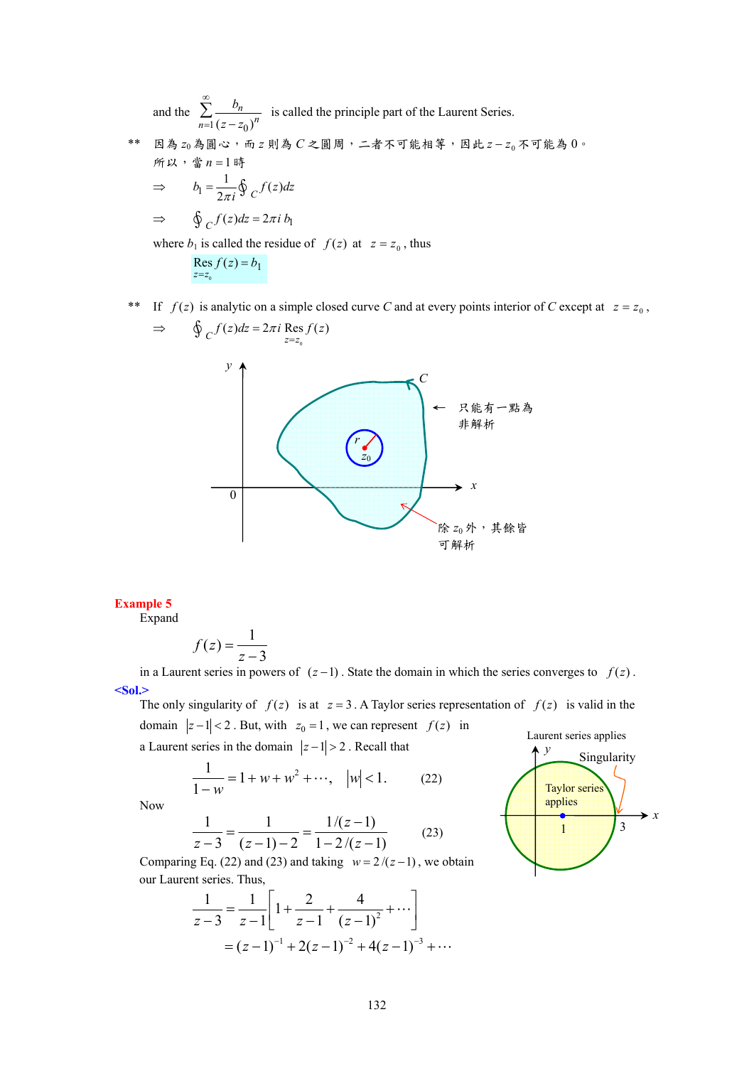and the  $1 (z - z_0)$ *n*  $\sum_{n=1}^{\infty} (z - z_0)^n$ *b*  $z - z$  $\sum_{n=1}^{\infty} \frac{b_n}{(z-z_0)^n}$  is called the principle part of the Laurent Series.

\*\* 因為 *z*0為圓心,而 *z* 則為 *C* 之圓周,二者不可能相等,因此 <sup>0</sup> *z* − *z* 不可能為 0。 所以,當 *n* = 1時

$$
\Rightarrow b_1 = \frac{1}{2\pi i} \oint_C f(z) dz
$$
  

$$
\Rightarrow \oint_C f(z) dz = 2\pi i b_1
$$

where  $b_1$  is called the residue of  $f(z)$  at  $z = z_0$ , thus

$$
\mathop{\rm Res}\limits_{z=z_0} f(z) = b_1
$$

\*\* If  $f(z)$  is analytic on a simple closed curve *C* and at every points interior of *C* except at  $z = z_0$ ,

⇒ ( ) 2 Res ( ) *<sup>C</sup> z z <sup>f</sup> z dz i f z* <sup>π</sup> <sup>=</sup> ∮ <sup>=</sup> 0 *y x* 0 ← 只能有一點為 非解析 *z*0 *C* 除 *z*0外,其餘皆 可解析 *r*

# **Example 5**

Expand

$$
f(z) = \frac{1}{z - 3}
$$

in a Laurent series in powers of  $(z-1)$ . State the domain in which the series converges to  $f(z)$ . **<Sol.>** 

The only singularity of  $f(z)$  is at  $z = 3$ . A Taylor series representation of  $f(z)$  is valid in the domain  $|z-1| < 2$ . But, with  $z_0 = 1$ , we can represent  $f(z)$  in

a Laurent series in the domain  $|z-1| > 2$ . Recall that

$$
\frac{1}{1-w} = 1 + w + w^2 + \cdots, \quad |w| < 1. \tag{22}
$$

Now

$$
\frac{1}{z-3} = \frac{1}{(z-1)-2} = \frac{1/(z-1)}{1-2/(z-1)}
$$
(23)

Comparing Eq. (22) and (23) and taking  $w = 2/(z-1)$ , we obtain our Laurent series. Thus,

$$
\frac{1}{z-3} = \frac{1}{z-1} \left[ 1 + \frac{2}{z-1} + \frac{4}{(z-1)^2} + \cdots \right]
$$

$$
= (z-1)^{-1} + 2(z-1)^{-2} + 4(z-1)^{-3} + \cdots
$$

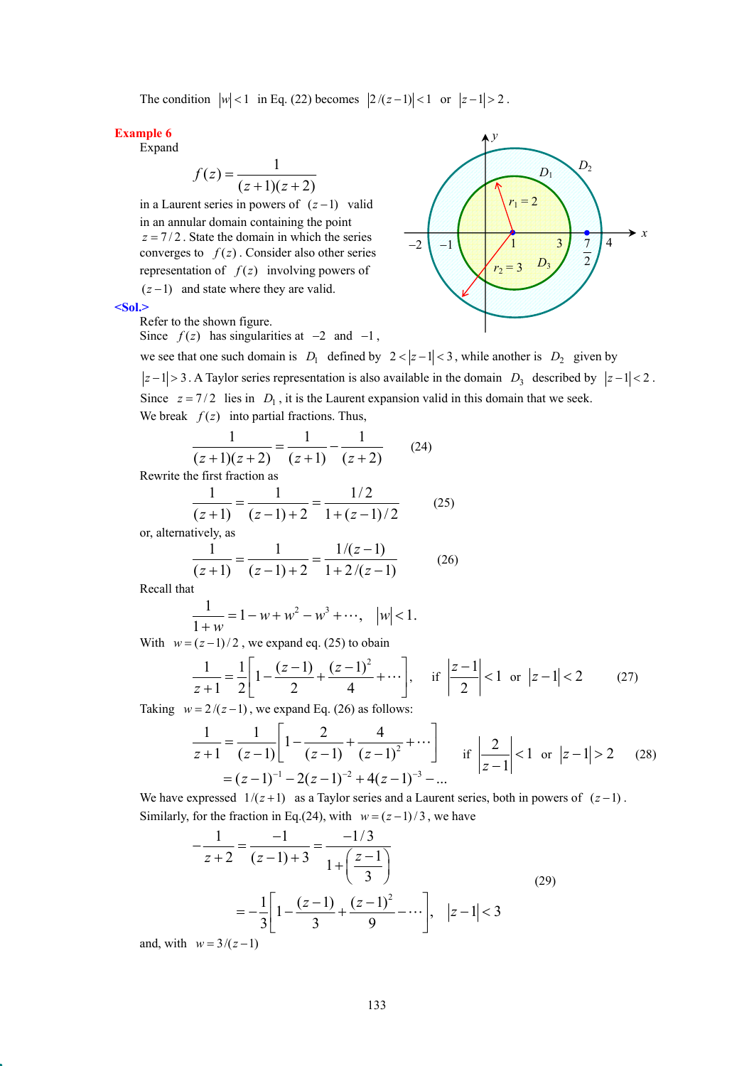The condition  $|w| < 1$  in Eq. (22) becomes  $|2/(z-1)| < 1$  or  $|z-1| > 2$ .

### **Example 6**

Expand

$$
f(z) = \frac{1}{(z+1)(z+2)}
$$

in a Laurent series in powers of  $(z-1)$  valid in an annular domain containing the point  $z = 7/2$ . State the domain in which the series converges to  $f(z)$ . Consider also other series representation of  $f(z)$  involving powers of  $(z - 1)$  and state where they are valid.



*y*

**<Sol.>** 

Refer to the shown figure.

Since  $f(z)$  has singularities at  $-2$  and  $-1$ ,

we see that one such domain is  $D_1$  defined by  $2 < |z-1| < 3$ , while another is  $D_2$  given by  $|z-1| > 3$ . A Taylor series representation is also available in the domain *D*<sub>3</sub> described by  $|z-1| < 2$ . Since  $z = 7/2$  lies in  $D_1$ , it is the Laurent expansion valid in this domain that we seek. We break  $f(z)$  into partial fractions. Thus,

$$
\frac{1}{(z+1)(z+2)} = \frac{1}{(z+1)} - \frac{1}{(z+2)}
$$
(24)

Rewrite the first fraction as

$$
\frac{1}{(z+1)} = \frac{1}{(z-1)+2} = \frac{1/2}{1+(z-1)/2}
$$
 (25)

or, alternatively, as

$$
\frac{1}{(z+1)} = \frac{1}{(z-1)+2} = \frac{1/(z-1)}{1+2/(z-1)}
$$
(26)

Recall that

$$
\frac{1}{1+w} = 1 - w + w^2 - w^3 + \cdots, \quad |w| < 1.
$$

With  $w = (z - 1)/2$ , we expand eq. (25) to obain

$$
\frac{1}{z+1} = \frac{1}{2} \left[ 1 - \frac{(z-1)}{2} + \frac{(z-1)^2}{4} + \cdots \right], \quad \text{if } \left| \frac{z-1}{2} \right| < 1 \text{ or } |z-1| < 2 \tag{27}
$$

Taking  $w = 2/(z-1)$ , we expand Eq. (26) as follows:

$$
\frac{1}{z+1} = \frac{1}{(z-1)} \left[ 1 - \frac{2}{(z-1)} + \frac{4}{(z-1)^2} + \cdots \right] \quad \text{if } \left| \frac{2}{z-1} \right| < 1 \text{ or } |z-1| > 2 \quad (28)
$$

$$
= (z-1)^{-1} - 2(z-1)^{-2} + 4(z-1)^{-3} - \dots
$$

We have expressed  $1/(z+1)$  as a Taylor series and a Laurent series, both in powers of  $(z-1)$ . Similarly, for the fraction in Eq.(24), with  $w = (z-1)/3$ , we have

$$
-\frac{1}{z+2} = \frac{-1}{(z-1)+3} = \frac{-1/3}{1+\left(\frac{z-1}{3}\right)}
$$
  
=  $-\frac{1}{3}\left[1-\frac{(z-1)}{3}+\frac{(z-1)^2}{9}-\cdots\right], |z-1|<3$  (29)

and, with  $w = 3/(z-1)$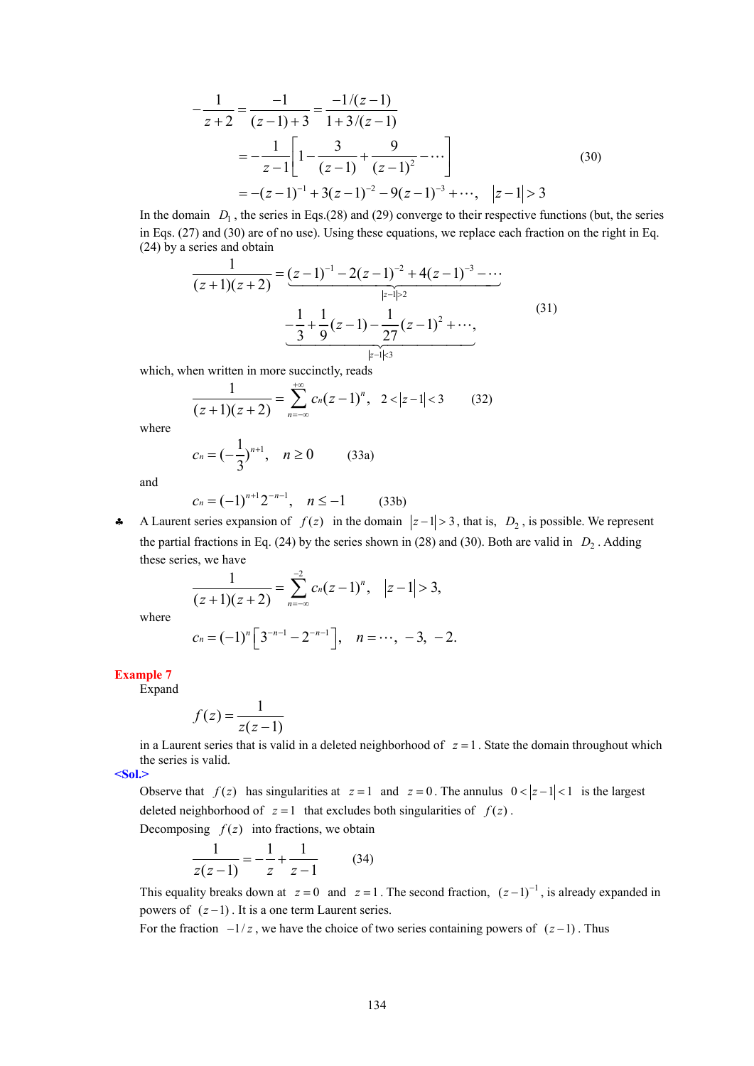$$
-\frac{1}{z+2} = \frac{-1}{(z-1)+3} = \frac{-1/(z-1)}{1+3/(z-1)}
$$
  
=  $-\frac{1}{z-1} \left[ 1 - \frac{3}{(z-1)} + \frac{9}{(z-1)^2} - \cdots \right]$   
=  $-(z-1)^{-1} + 3(z-1)^{-2} - 9(z-1)^{-3} + \cdots, |z-1| > 3$  (30)

In the domain  $D_1$ , the series in Eqs.(28) and (29) converge to their respective functions (but, the series in Eqs. (27) and (30) are of no use). Using these equations, we replace each fraction on the right in Eq. (24) by a series and obtain

$$
\frac{1}{(z+1)(z+2)} = \underbrace{(z-1)^{-1} - 2(z-1)^{-2} + 4(z-1)^{-3} - \cdots}_{|z-1| \ge 2}
$$
\n
$$
-\underbrace{\frac{1}{3} + \frac{1}{9}(z-1) - \frac{1}{27}(z-1)^{2} + \cdots}_{|z-1| \le 3},
$$
\n(31)

which, when written in more succinctly, reads

$$
\frac{1}{(z+1)(z+2)} = \sum_{n=-\infty}^{+\infty} c_n(z-1)^n, \quad 2 < |z-1| < 3 \tag{32}
$$

where

$$
c_n = \left(-\frac{1}{3}\right)^{n+1}, \quad n \ge 0 \tag{33a}
$$

and

$$
c_n = (-1)^{n+1} 2^{-n-1}, \quad n \le -1 \tag{33b}
$$

**←** A Laurent series expansion of  $f(z)$  in the domain  $|z-1|>3$ , that is,  $D_2$ , is possible. We represent the partial fractions in Eq. (24) by the series shown in (28) and (30). Both are valid in  $D_2$ . Adding these series, we have

$$
\frac{1}{(z+1)(z+2)}=\sum_{n=-\infty}^{-2}c_n(z-1)^n, \quad |z-1|>3,
$$

where

$$
c_n = (-1)^n \left[ 3^{-n-1} - 2^{-n-1} \right], \quad n = \cdots, -3, -2.
$$

**Example 7** 

Expand

$$
f(z) = \frac{1}{z(z-1)}
$$

in a Laurent series that is valid in a deleted neighborhood of  $z = 1$ . State the domain throughout which the series is valid.

**<Sol.>** 

Observe that  $f(z)$  has singularities at  $z = 1$  and  $z = 0$ . The annulus  $0 < |z - 1| < 1$  is the largest deleted neighborhood of  $z = 1$  that excludes both singularities of  $f(z)$ .

Decomposing  $f(z)$  into fractions, we obtain

$$
\frac{1}{z(z-1)} = -\frac{1}{z} + \frac{1}{z-1}
$$
 (34)

This equality breaks down at  $z = 0$  and  $z = 1$ . The second fraction,  $(z - 1)^{-1}$ , is already expanded in powers of  $(z-1)$ . It is a one term Laurent series.

For the fraction  $-1/z$ , we have the choice of two series containing powers of  $(z-1)$ . Thus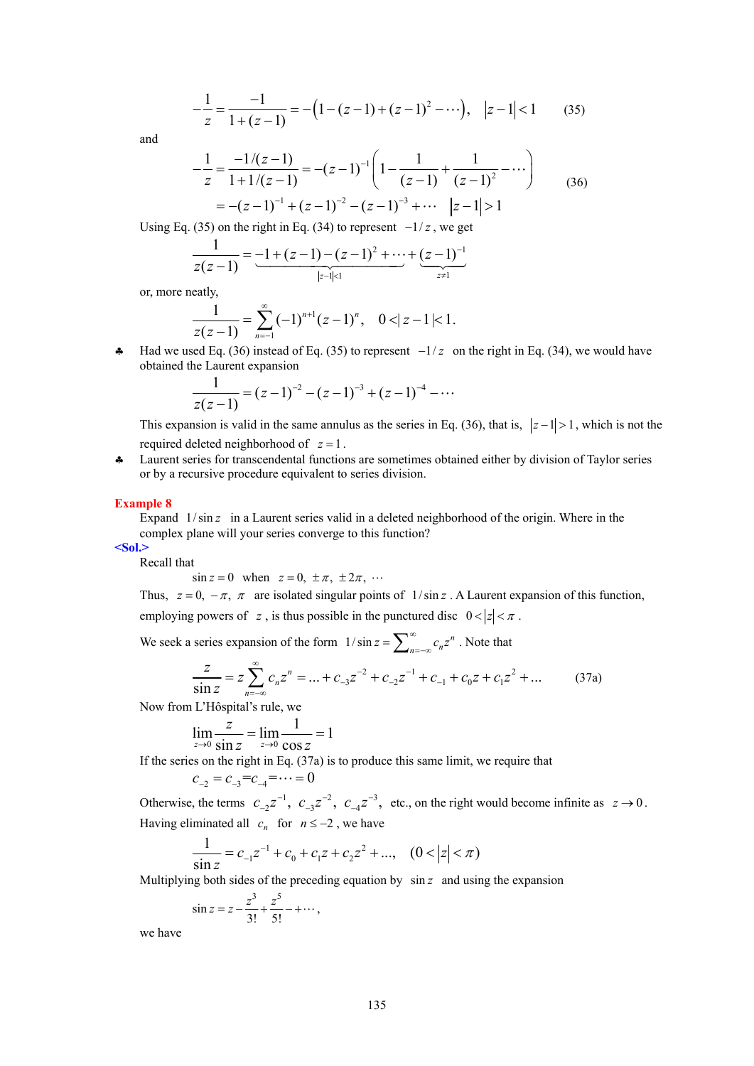$$
-\frac{1}{z} = \frac{-1}{1 + (z - 1)} = -\left(1 - (z - 1) + (z - 1)^2 - \cdots\right), \quad |z - 1| < 1 \tag{35}
$$

and

$$
-\frac{1}{z} = \frac{-1/(z-1)}{1+1/(z-1)} = -(z-1)^{-1} \left( 1 - \frac{1}{(z-1)} + \frac{1}{(z-1)^2} - \cdots \right)
$$
  
= -(z-1)^{-1} + (z-1)^{-2} - (z-1)^{-3} + \cdots |z-1| > 1 (36)

Using Eq. (35) on the right in Eq. (34) to represent  $-1/z$ , we get

$$
\frac{1}{z(z-1)} = \underbrace{-1 + (z-1) - (z-1)^2 + \cdots}_{|z-1| < 1} + \underbrace{(z-1)^{-1}}_{z \neq 1}
$$

or, more neatly,

$$
\frac{1}{z(z-1)} = \sum_{n=-1}^{\infty} (-1)^{n+1} (z-1)^n, \quad 0 < |z-1| < 1.
$$

♣ Had we used Eq. (36) instead of Eq. (35) to represent −1/ *z* on the right in Eq. (34), we would have obtained the Laurent expansion

$$
\frac{1}{z(z-1)} = (z-1)^{-2} - (z-1)^{-3} + (z-1)^{-4} - \cdots
$$

This expansion is valid in the same annulus as the series in Eq. (36), that is,  $|z-1| > 1$ , which is not the required deleted neighborhood of *z* = 1 .

♣ Laurent series for transcendental functions are sometimes obtained either by division of Taylor series or by a recursive procedure equivalent to series division.

#### **Example 8**

Expand  $1/\sin z$  in a Laurent series valid in a deleted neighborhood of the origin. Where in the complex plane will your series converge to this function?

**<Sol.>** 

Recall that

$$
\sin z = 0 \quad \text{when} \quad z = 0, \ \pm \pi, \ \pm 2\pi, \ \cdots
$$

Thus,  $z = 0$ ,  $-\pi$ ,  $\pi$  are isolated singular points of  $1/\sin z$ . A Laurent expansion of this function, employing powers of *z*, is thus possible in the punctured disc  $0 < |z| < \pi$ .

We seek a series expansion of the form  $1/\sin z = \sum_{n=-\infty}^{\infty} c_n z^n$ . Note that

$$
\frac{z}{\sin z} = z \sum_{n=-\infty}^{\infty} c_n z^n = \dots + c_{-3} z^{-2} + c_{-2} z^{-1} + c_{-1} + c_0 z + c_1 z^2 + \dots
$$
 (37a)

Now from L'Hôspital's rule, we

$$
\lim_{z \to 0} \frac{z}{\sin z} = \lim_{z \to 0} \frac{1}{\cos z} = 1
$$

If the series on the right in Eq. (37a) is to produce this same limit, we require that

$$
c_{-2} = c_{-3} = c_{-4} = \cdots = 0
$$

Otherwise, the terms  $c_{-2}z^{-1}$ ,  $c_{-3}z^{-2}$ ,  $c_{-4}z^{-3}$ , etc., on the right would become infinite as  $z \to 0$ . Having eliminated all  $c_n$  for  $n \le -2$ , we have

$$
\frac{1}{\sin z} = c_{-1}z^{-1} + c_0 + c_1z + c_2z^2 + \dots, \quad (0 < |z| < \pi)
$$

Multiplying both sides of the preceding equation by sin *z* and using the expansion

$$
\sin z = z - \frac{z^3}{3!} + \frac{z^5}{5!} - + \cdots,
$$

we have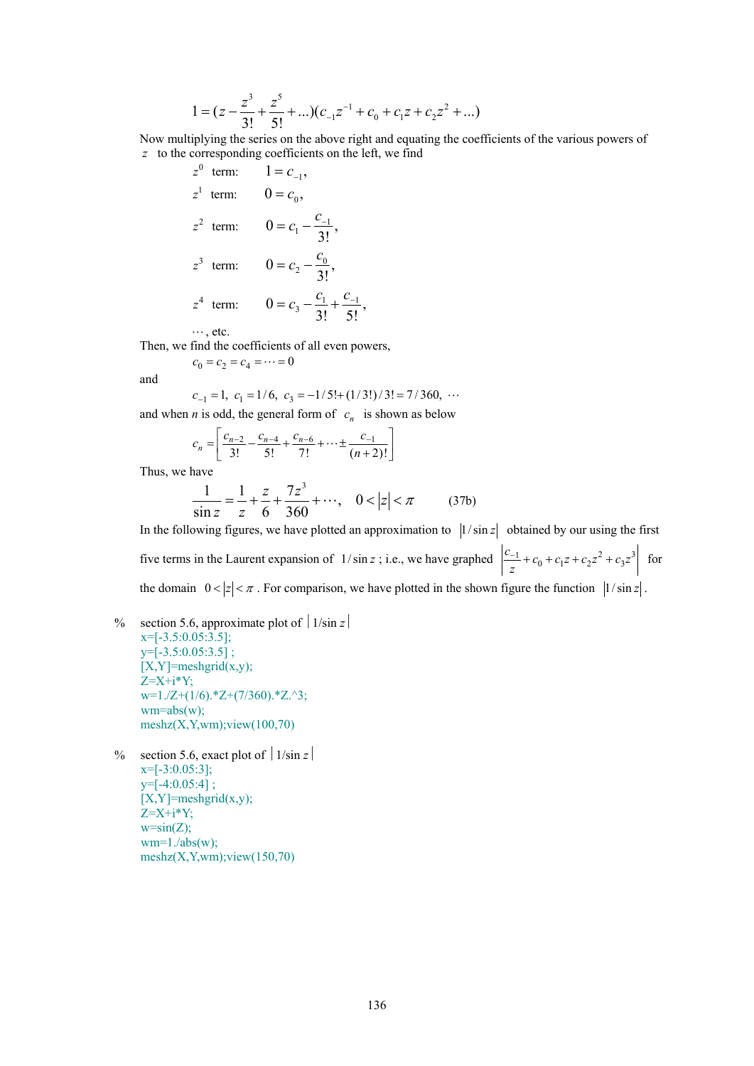$$
1 = (z - \frac{z^3}{3!} + \frac{z^5}{5!} + ...) (c_{-1}z^{-1} + c_0 + c_1z + c_2z^2 + ...)
$$

Now multiplying the series on the above right and equating the coefficients of the various powers of *z* to the corresponding coefficients on the left, we find

> $z^0$  term:  $1 = c_{-1}$ ,  $z^1$  term:  $0 = c_0$ ,  $z^2$  term:  $0 = c_1 - \frac{c_{-1}}{3!}$ ,  $z^3$  term:  $0 = c_2 - \frac{c_0}{3!}$ ,  $z^4$  term:  $0 = c_3 - \frac{c_1}{3!} + \frac{c_{-1}}{5!}$ ,

 $\cdots$ , etc.

Then, we find the coefficients of all even powers,

$$
c_0=c_2=c_4=\cdots=0
$$

and

$$
c_{-1} = 1
$$
,  $c_1 = 1/6$ ,  $c_3 = -1/5! + (1/3!)/3! = 7/360$ , ...

and when *n* is odd, the general form of  $c_n$  is shown as below

$$
c_n = \left[ \frac{c_{n-2}}{3!} - \frac{c_{n-4}}{5!} + \frac{c_{n-6}}{7!} + \dots \pm \frac{c_{-1}}{(n+2)!} \right]
$$

Thus, we have

$$
\frac{1}{\sin z} = \frac{1}{z} + \frac{z}{6} + \frac{7z^3}{360} + \cdots, \quad 0 < |z| < \pi \tag{37b}
$$

In the following figures, we have plotted an approximation to  $\left|1/\sin z\right|$  obtained by our using the first five terms in the Laurent expansion of  $1/\sin z$ ; i.e., we have graphed  $\frac{|c_{-1}|}{z} + c_0 + c_1 z + c_2 z^2 + c_3 z^3$  $\frac{c_{-1}}{z}$  +  $c_0$  +  $c_1z$  +  $c_2z^2$  +  $c_3z^3$  for the domain  $0 < |z| < \pi$ . For comparison, we have plotted in the shown figure the function  $|1/\sin z|$ .

- % section 5.6, approximate plot of  $\vert 1/\sin z \vert$  $x=[-3.5:0.05:3.5]$ ;  $y=[-3.5:0.05:3.5]$ ;  $[X, Y]$ =meshgrid $(x,y)$ ;  $Z=X+i*Y;$  $w=1.Z+(1/6).*Z+(7/360).*Z.^3;$  $wm = abs(w);$  $meshz(X,Y,wm);view(100,70)$
- % section 5.6, exact plot of  $\vert 1/\sin z \vert$  $x=[-3:0.05:3];$  $y=[-4:0.05:4]$ ;  $[X,Y]$ =meshgrid $(x,y)$ ;  $Z=X+i*Y$ ;  $w=sin(Z)$ :  $wm=1./abs(w);$  $meshz(X,Y,wm);view(150,70)$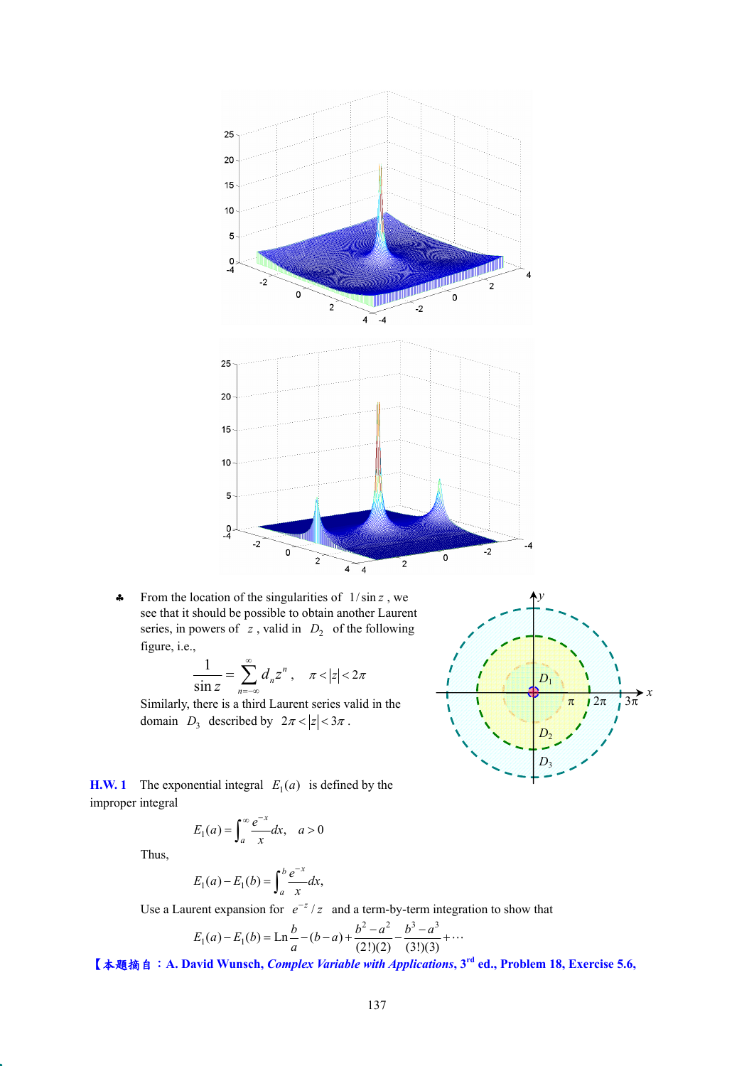

♣ From the location of the singularities of 1/ sin *z* , we see that it should be possible to obtain another Laurent series, in powers of  $z$ , valid in  $D_2$  of the following figure, i.e.,

$$
\frac{1}{\sin z} = \sum_{n=-\infty}^{\infty} d_n z^n, \quad \pi < |z| < 2\pi
$$

Similarly, there is a third Laurent series valid in the domain  $D_3$  described by  $2\pi < |z| < 3\pi$ .



**H.W. 1** The exponential integral  $E_1(a)$  is defined by the improper integral

$$
E_1(a) = \int_a^\infty \frac{e^{-x}}{x} dx, \quad a > 0
$$

Thus,

$$
E_1(a) - E_1(b) = \int_a^b \frac{e^{-x}}{x} dx,
$$

Use a Laurent expansion for  $e^{-z}/z$  and a term-by-term integration to show that

$$
E_1(a) - E_1(b) = \operatorname{Ln} \frac{b}{a} - (b - a) + \frac{b^2 - a^2}{(2!)(2)} - \frac{b^3 - a^3}{(3!)(3)} + \cdots
$$

【本題摘自:**A. David Wunsch,** *Complex Variable with Applications***, 3rd ed., Problem 18, Exercise 5.6,**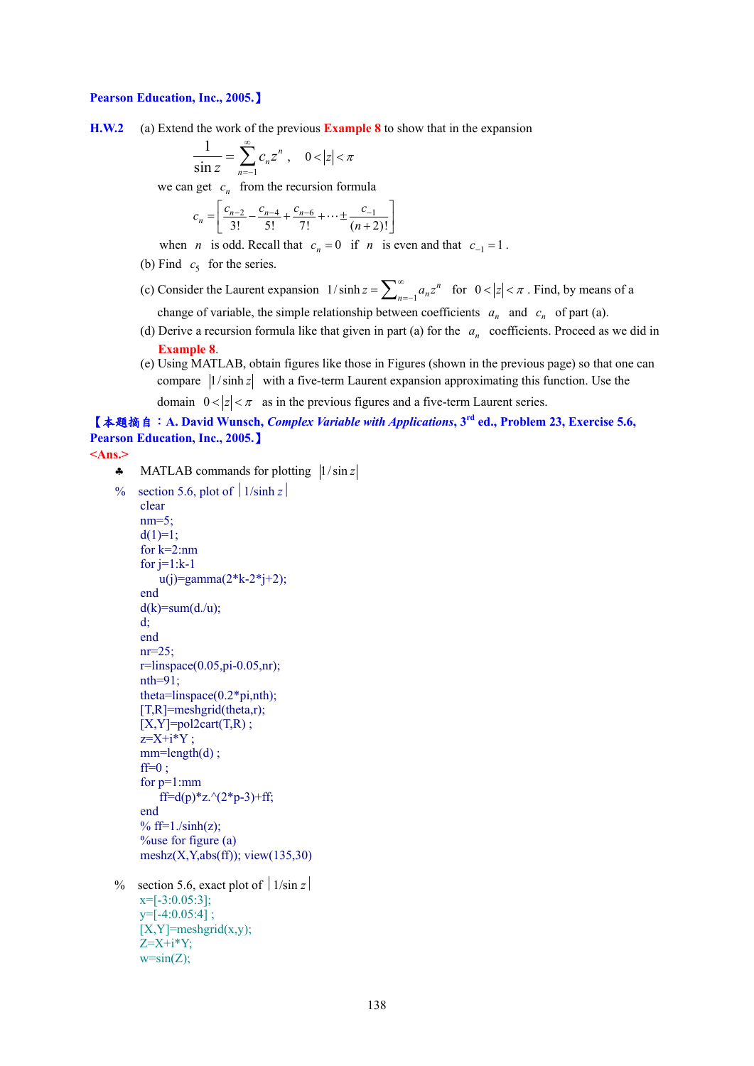#### **Pearson Education, Inc., 2005.**】

**H.W.2** (a) Extend the work of the previous **Example 8** to show that in the expansion

$$
\frac{1}{\sin z} = \sum_{n=-1}^{\infty} c_n z^n , \quad 0 < |z| < \pi
$$

we can get  $c_n$  from the recursion formula

$$
c_n = \left[ \frac{c_{n-2}}{3!} - \frac{c_{n-4}}{5!} + \frac{c_{n-6}}{7!} + \dots \pm \frac{c_{-1}}{(n+2)!} \right]
$$

- when *n* is odd. Recall that  $c_n = 0$  if *n* is even and that  $c_{-1} = 1$ .
- (b) Find  $c_5$  for the series.
- (c) Consider the Laurent expansion  $1/\sinh z = \sum_{n=-1}^{\infty} a_n z^n$  for  $0 < |z| < \pi$ . Find, by means of a change of variable, the simple relationship between coefficients  $a_n$  and  $c_n$  of part (a).
- (d) Derive a recursion formula like that given in part (a) for the  $a_n$  coefficients. Proceed as we did in **Example 8**.
- (e) Using MATLAB, obtain figures like those in Figures (shown in the previous page) so that one can compare  $|1/\sinh z|$  with a five-term Laurent expansion approximating this function. Use the

domain  $0 < |z| < \pi$  as in the previous figures and a five-term Laurent series.

【本題摘自:**A. David Wunsch,** *Complex Variable with Applications***, 3rd ed., Problem 23, Exercise 5.6, Pearson Education, Inc., 2005.**】

```
<Ans.>
```
 $\clubsuit$  MATLAB commands for plotting  $|1/\sin z|$ 

```
% section 5.6, plot of \vert 1/\sinh z \vertclear 
     nm=5;
     d(1)=1;
     for k=2:nm 
     for j=1:k-1u(i)=gamma(2*k - 2+i+2);end 
     d(k)=sum(d./u);d; 
     end 
     nr=25;
     r=linspace(0.05,pi-0.05,nr); 
     nth=91; 
     theta=linspace(0.2*pi,nth); 
     [T,R]=meshgrid(theta,r);
     [X, Y] = pol2cart(T,R);
     z=X+i*Y ;
     mm=length(d);
     ff=0 :
     for p=1:mm 
         ff=d(p)*z.\sqrt{2^{*}}p-3)+ff;
     end 
     % ff=1./sinh(z);
     %use for figure (a) 
     meshz(X, Y, abs(ff)); view(135,30)% section 5.6, exact plot of \vert 1/\sin z \vertx=[-3:0.05:3];
     y=[-4:0.05:4] ; 
     [X, Y] =meshgrid(x,y);
     Z=X+i*Y;
```
 $w=sin(Z);$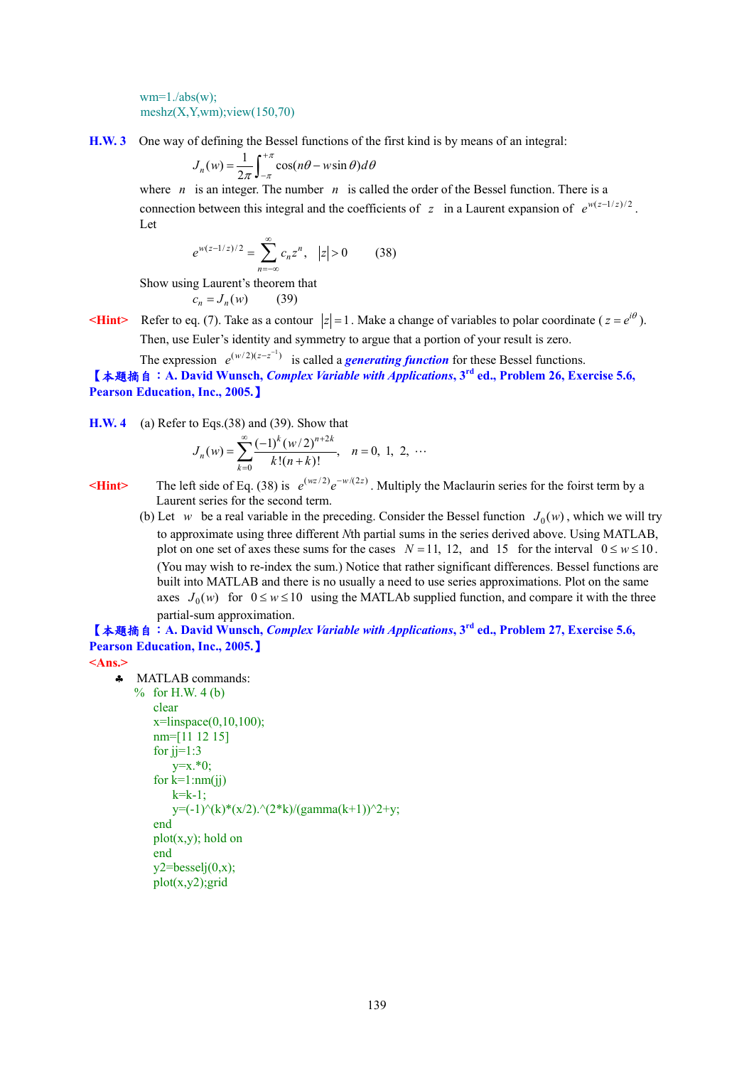$wm=1./abs(w);$  $meshz(X,Y,wm);view(150,70)$ 

**H.W. 3** One way of defining the Bessel functions of the first kind is by means of an integral:

$$
J_n(w) = \frac{1}{2\pi} \int_{-\pi}^{+\pi} \cos(n\theta - w\sin\theta) d\theta
$$

where *n* is an integer. The number *n* is called the order of the Bessel function. There is a connection between this integral and the coefficients of *z* in a Laurent expansion of  $e^{w(z-1/z)/2}$ . Let

$$
e^{w(z-1/z)/2} = \sum_{n=-\infty}^{\infty} c_n z^n, \quad |z| > 0 \tag{38}
$$

Show using Laurent's theorem that

 $c_n = J_n(w)$  (39)

**Example 3** Refer to eq. (7). Take as a contour  $|z|=1$ . Make a change of variables to polar coordinate ( $z = e^{i\theta}$ ). Then, use Euler's identity and symmetry to argue that a portion of your result is zero.

The expression  $e^{(w/2)(z-z^{-1})}$  is called a *generating function* for these Bessel functions.

【本題摘自:**A. David Wunsch,** *Complex Variable with Applications***, 3rd ed., Problem 26, Exercise 5.6, Pearson Education, Inc., 2005.**】

**H.W. 4** (a) Refer to Eqs.(38) and (39). Show that

$$
J_n(w) = \sum_{k=0}^{\infty} \frac{(-1)^k (w/2)^{n+2k}}{k!(n+k)!}, \quad n = 0, 1, 2, \cdots
$$

**KHint>** The left side of Eq. (38) is  $e^{(wz/2)}e^{-w/(2z)}$ . Multiply the Maclaurin series for the foirst term by a Laurent series for the second term.

(b) Let *w* be a real variable in the preceding. Consider the Bessel function  $J_0(w)$ , which we will try to approximate using three different *N*th partial sums in the series derived above. Using MATLAB, plot on one set of axes these sums for the cases  $N = 11$ , 12, and 15 for the interval  $0 \le w \le 10$ . (You may wish to re-index the sum.) Notice that rather significant differences. Bessel functions are built into MATLAB and there is no usually a need to use series approximations. Plot on the same axes  $J_0(w)$  for  $0 \le w \le 10$  using the MATLAb supplied function, and compare it with the three partial-sum approximation.

# 【本題摘自:**A. David Wunsch,** *Complex Variable with Applications***, 3rd ed., Problem 27, Exercise 5.6, Pearson Education, Inc., 2005.**】

**<Ans.>** 

♣ MATLAB commands:

 $%$  for H.W. 4 (b) clear  $x = \text{linspace}(0, 10, 100)$ ; nm=[11 12 15] for  $ji=1:3$  $y=x.*0;$ for  $k=1$ : $nm(jj)$  $k=k-1$ ;  $y=(-1)^{(k)*(x/2)^(2*k)/(gamma(k+1))^2+y;$ end  $plot(x,y)$ ; hold on end  $v2 = besseli(0,x)$ ; plot(x,y2);grid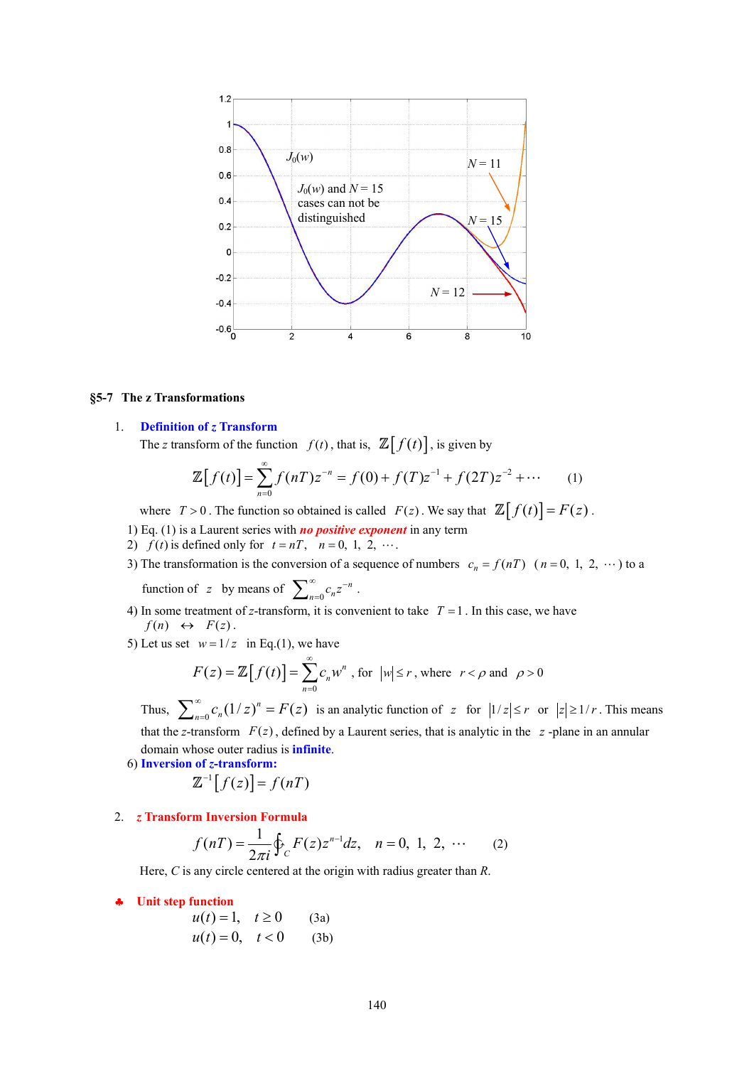

#### **§5-7 The z Transformations**

# 1. **Definition of** *z* **Transform**

The *z* transform of the function  $f(t)$ , that is,  $\mathbb{Z}[f(t)]$ , is given by

$$
\mathbb{Z}[f(t)] = \sum_{n=0}^{\infty} f(nT)z^{-n} = f(0) + f(T)z^{-1} + f(2T)z^{-2} + \cdots \qquad (1)
$$

where  $T > 0$ . The function so obtained is called  $F(z)$ . We say that  $\mathbb{Z}[f(t)] = F(z)$ .

- 1) Eq. (1) is a Laurent series with *no positive exponent* in any term
- 2)  $f(t)$  is defined only for  $t = nT$ ,  $n = 0, 1, 2, \cdots$ .
- 3) The transformation is the conversion of a sequence of numbers  $c_n = f(nT)$  ( $n = 0, 1, 2, \cdots$ ) to a

function of *z* by means of  $\sum_{n=0}^{\infty} c_n z^{-n}$ .

- 4) In some treatment of *z*-transform, it is convenient to take  $T = 1$ . In this case, we have  $f(n) \leftrightarrow F(z)$ .
- 5) Let us set  $w=1/z$  in Eq.(1), we have

$$
F(z) = \mathbb{Z}[f(t)] = \sum_{n=0}^{\infty} c_n w^n
$$
, for  $|w| \le r$ , where  $r < \rho$  and  $\rho > 0$ 

Thus,  $\sum_{n=0}^{\infty} c_n (1/z)^n = F(z)$  is an analytic function of  $z$  for  $|1/z| \le r$  or  $|z| \ge 1/r$ . This means that the *z*-transform  $F(z)$ , defined by a Laurent series, that is analytic in the  $z$ -plane in an annular domain whose outer radius is **infinite**.

6) **Inversion of** *z***-transform:**

$$
\mathbb{Z}^{-1}[f(z)] = f(nT)
$$

2. *z* **Transform Inversion Formula**

$$
f(nT) = \frac{1}{2\pi i} \oint_C F(z) z^{n-1} dz, \quad n = 0, 1, 2, \cdots \tag{2}
$$

Here, *C* is any circle centered at the origin with radius greater than *R*.

- ♣ **Unit step function** 
	- $u(t) = 1, t \ge 0$  (3a)  $u(t) = 0, \quad t < 0$  (3b)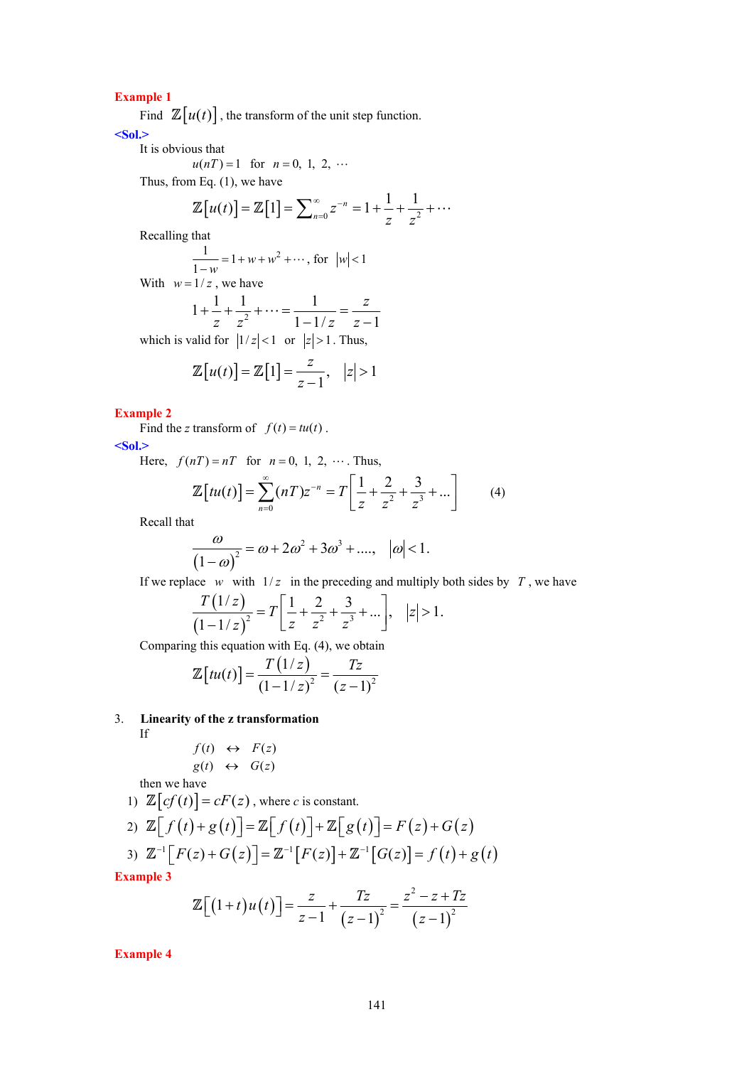**Example 1** 

Find  $\mathbb{Z}[u(t)]$ , the transform of the unit step function.

**<Sol.>** 

It is obvious that  

$$
u(nT) = 1
$$
 for  $n = 0, 1, 2, ...$ 

Thus, from Eq. (1), we have

$$
\mathbb{Z}[u(t)] = \mathbb{Z}[1] = \sum_{n=0}^{\infty} z^{-n} = 1 + \frac{1}{z} + \frac{1}{z^2} + \cdots
$$

Recalling that

$$
\frac{1}{1-w} = 1 + w + w^2 + \dots, \text{ for } |w| < 1
$$

With  $w = 1/z$ , we have

$$
1 + \frac{1}{z} + \frac{1}{z^2} + \dots = \frac{1}{1 - 1/z} = \frac{z}{z - 1}
$$

which is valid for  $|1/z| < 1$  or  $|z| > 1$ . Thus,

$$
\mathbb{Z}[u(t)] = \mathbb{Z}[1] = \frac{z}{z-1}, \quad |z| > 1
$$

# **Example 2**

Find the *z* transform of  $f(t) = tu(t)$ .

**<Sol.>** 

Here,  $f(nT) = nT$  for  $n = 0, 1, 2, \cdots$ . Thus,

$$
\mathbb{Z}\left[tu(t)\right] = \sum_{n=0}^{\infty} (nT)z^{-n} = T\left[\frac{1}{z} + \frac{2}{z^2} + \frac{3}{z^3} + \dots\right]
$$
 (4)

Recall that

 $\left($ 

 $\overline{a}$ 

$$
\frac{\omega}{(1-\omega)^2} = \omega + 2\omega^2 + 3\omega^3 + \dots, \quad |\omega| < 1.
$$

If we replace *w* with  $1/z$  in the preceding and multiply both sides by *T*, we have

$$
\frac{T(1/z)}{(1-1/z)^2} = T\left[\frac{1}{z} + \frac{2}{z^2} + \frac{3}{z^3} + \dots\right], \quad |z| > 1.
$$

Comparing this equation with Eq. (4), we obtain

$$
\mathbb{Z}[tu(t)] = \frac{T(1/z)}{(1-1/z)^2} = \frac{Tz}{(z-1)^2}
$$

3. **Linearity of the z transformation**

If

$$
f(t) \leftrightarrow F(z)
$$
  
g(t)  $\leftrightarrow$  G(z)

then we have

1)  $\mathbb{Z}[cf(t)] = cF(z)$ , where *c* is constant.

2) 
$$
\mathbb{Z}[f(t)+g(t)] = \mathbb{Z}[f(t)] + \mathbb{Z}[g(t)] = F(z) + G(z)
$$
  
\n3)  $\mathbb{Z}^{-1}[F(z) + G(z)] = \mathbb{Z}^{-1}[F(z)] + \mathbb{Z}^{-1}[G(z)] = f(t) + g(t)$ 

**Example 3** 

$$
\mathbb{Z}\Big[\big(1+t\big)u\big(t\big)\Big]=\frac{z}{z-1}+\frac{Tz}{\big(z-1\big)^2}=\frac{z^2-z+Tz}{\big(z-1\big)^2}
$$

**Example 4**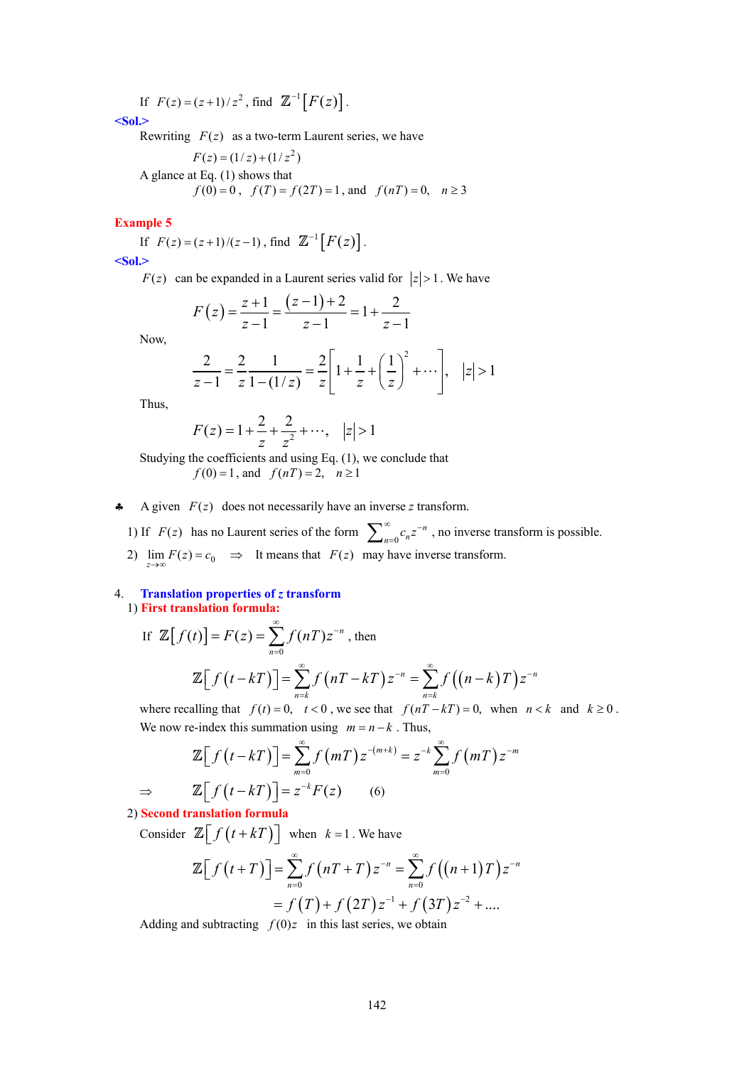If  $F(z) = (z+1)/z^2$ , find  $\mathbb{Z}^{-1}[F(z)]$ .

**<Sol.>** 

Rewriting  $F(z)$  as a two-term Laurent series, we have

$$
F(z) = (1/z) + (1/z2)
$$
  
A glance at Eq. (1) shows that  
 $f(0) = 0$ ,  $f(T) = f(2T) = 1$ , and  $f(nT) = 0$ ,  $n \ge 3$ 

#### **Example 5**

If  $F(z) = (z+1)/(z-1)$ , find  $\mathbb{Z}^{-1}[F(z)]$ . **<Sol.>** 

 $F(z)$  can be expanded in a Laurent series valid for  $|z| > 1$ . We have

$$
F(z) = \frac{z+1}{z-1} = \frac{(z-1)+2}{z-1} = 1 + \frac{2}{z-1}
$$

Now,

$$
\frac{2}{z-1} = \frac{2}{z} \frac{1}{1 - (1/z)} = \frac{2}{z} \left[ 1 + \frac{1}{z} + \left(\frac{1}{z}\right)^2 + \cdots \right], \quad |z| > 1
$$

Thus,

 $If$ 

$$
F(z) = 1 + \frac{2}{z} + \frac{2}{z^2} + \cdots, \quad |z| > 1
$$

Studying the coefficients and using Eq. (1), we conclude that  $f(0) = 1$ , and  $f(nT) = 2$ ,  $n \ge 1$ 

A given  $F(z)$  does not necessarily have an inverse *z* transform.

1) If  $F(z)$  has no Laurent series of the form  $\sum_{n=0}^{\infty}$  $\sum_{n=0}^{\infty} c_n z^{-n}$ , no inverse transform is possible. 2)  $\lim_{z \to \infty} F(z) = c_0 \implies$  It means that  $F(z)$  may have inverse transform.

#### 4. **Translation properties of** *z* **transform** 1) **First translation formula:**

$$
\mathbb{Z}[f(t)] = F(z) = \sum_{n=0}^{\infty} f(nT)z^{-n}, \text{ then}
$$

$$
\mathbb{Z}[f(t - kT)] = \sum_{n=k}^{\infty} f(nT - kT)z^{-n} = \sum_{n=k}^{\infty} f((n-k)T)z^{-n}
$$

where recalling that  $f(t) = 0$ ,  $t < 0$ , we see that  $f(nT - kT) = 0$ , when  $n < k$  and  $k \ge 0$ . We now re-index this summation using  $m = n - k$ . Thus,

$$
\mathbb{Z}\Big[f\left(t-kT\right)\Big]=\sum_{m=0}^{\infty}f\left(mT\right)z^{-(m+k)}=z^{-k}\sum_{m=0}^{\infty}f\left(mT\right)z^{-m}
$$
\n
$$
\Rightarrow\qquad\mathbb{Z}\Big[f\left(t-kT\right)\Big]=z^{-k}F(z)\qquad(6)
$$

2) **Second translation formula**

Consider  $\mathbb{Z}\left[f(t+kT)\right]$  when  $k=1$ . We have

$$
\mathbb{Z}\Big[f(t+T)\Big] = \sum_{n=0}^{\infty} f(nT+T) z^{-n} = \sum_{n=0}^{\infty} f((n+1)T) z^{-n}
$$
  
=  $f(T) + f(2T) z^{-1} + f(3T) z^{-2} + ...$ 

Adding and subtracting  $f(0)z$  in this last series, we obtain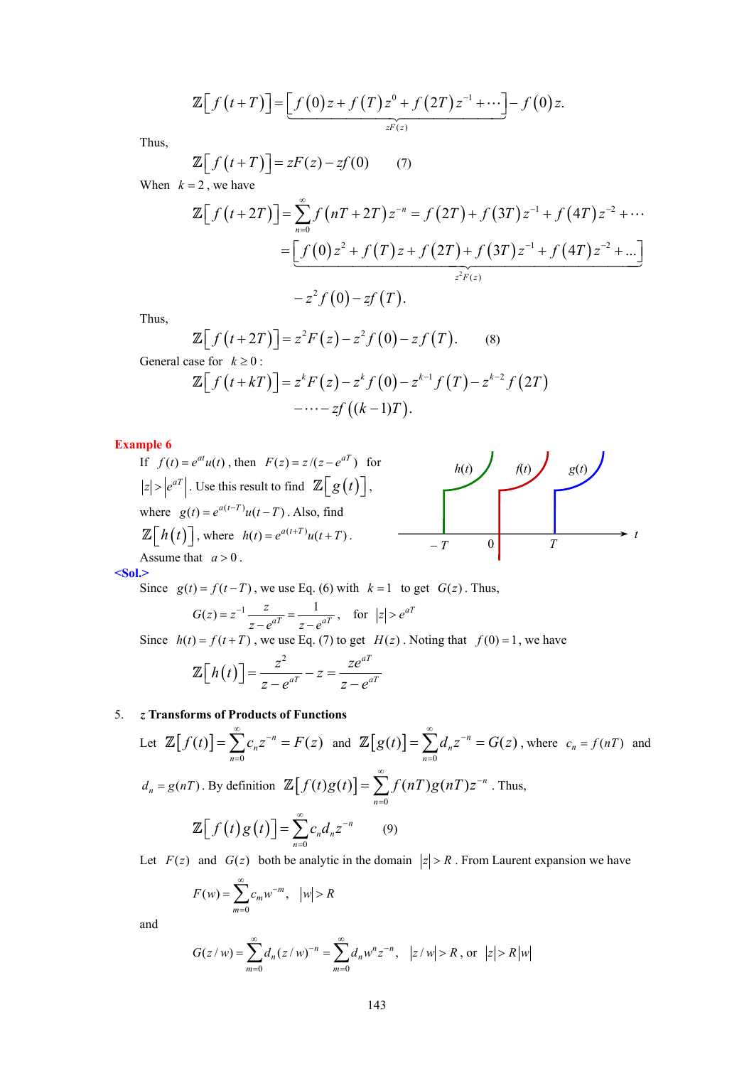$$
\mathbb{Z}\Big[f\big(t+T\big)\Big]=\Big[f\big(0\big)z+f\big(T\big)z^{0}+f\big(2T\big)z^{-1}+\cdots\Big]-f\big(0\big)z.
$$

Thus,

$$
\mathbb{Z}\big[f\big(t+T\big)\big]=zF(z)-zf(0)\qquad(7)
$$

When  $k = 2$ , we have

$$
\mathbb{Z}\Big[f(t+2T)\Big] = \sum_{n=0}^{\infty} f\left(nT+2T\right)z^{-n} = f\left(2T\right) + f\left(3T\right)z^{-1} + f\left(4T\right)z^{-2} + \cdots
$$
\n
$$
= \underbrace{\Big[f(0)z^{2} + f(T)z + f(2T) + f(3T)z^{-1} + f\left(4T\right)z^{-2} + \cdots\Big]}_{z^{2}F(z)}
$$
\n
$$
-z^{2}f(0) - zf(T).
$$

Thus,

$$
\mathbb{Z}\Big[f\left(t+2T\right)\Big]=z^2F\left(z\right)-z^2f\left(0\right)-zf\left(T\right). \qquad (8)
$$
\n
$$
\text{General case for } k \geq 0: \qquad \mathbb{Z}\Big[f\left(t+kT\right)\Big]=z^kF\left(z\right)-z^kf\left(0\right)-z^{k-1}f\left(T\right)-z^{k-2}f\left(2T\right)
$$
\n
$$
-\cdots-f\left((k-1)T\right).
$$

**Example 6** 

**Example 6**  
\nIf 
$$
f(t) = e^{at}u(t)
$$
, then  $F(z) = z/(z - e^{aT})$  for  
\n $|z| > |e^{aT}|$ . Use this result to find  $\mathbb{Z}[g(t)]$ ,  
\nwhere  $g(t) = e^{a(t-T)}u(t-T)$ . Also, find  
\n $\mathbb{Z}[h(t)]$ , where  $h(t) = e^{a(t+T)}u(t+T)$ .  
\nAssume that  $a > 0$ .

**<Sol.>** 

Since  $g(t) = f(t - T)$ , we use Eq. (6) with  $k = 1$  to get  $G(z)$ . Thus,  $G(z) = z^{-1} \frac{z}{z - e^{aT}} = \frac{1}{z - e^{aT}}$  $z = z^{-1} \frac{z}{z - e^{aT}} = \frac{1}{z - e^{aT}}$ , for  $|z| > e^{aT}$ Since  $h(t) = f(t+T)$ , we use Eq. (7) to get  $H(z)$ . Noting that  $f(0) = 1$ , we have  $(t)$ 2  $-a^T$  $h(t)$ ] =  $\frac{z^2}{z-a^a} - z = \frac{ze^{aT}}{z-a^a}$  $\mathbb{Z}\left[h(t)\right]=\frac{2}{z-e^{aT}}-z=\frac{2e}{z-e}$ 

# 5. *z* **Transforms of Products of Functions**

Let 
$$
\mathbb{Z}[f(t)] = \sum_{n=0}^{\infty} c_n z^{-n} = F(z)
$$
 and  $\mathbb{Z}[g(t)] = \sum_{n=0}^{\infty} d_n z^{-n} = G(z)$ , where  $c_n = f(nT)$  and  
\n $d_n = g(nT)$ . By definition  $\mathbb{Z}[f(t)g(t)] = \sum_{n=0}^{\infty} f(nT)g(nT)z^{-n}$ . Thus,  
\n
$$
\mathbb{Z}[f(t)g(t)] = \sum_{n=0}^{\infty} c_n d_n z^{-n}
$$
 (9)  
\nLet  $F(z)$  and  $G(z)$  both be analytic in the domain  $|z| > R$ . From Laurent expansion we have

Let  $F(z)$  and  $G(z)$  both be analytic in the domain  $|z| > R$ . From Laurent expansion we have

$$
F(w) = \sum_{m=0}^{\infty} c_m w^{-m}, \quad |w| > R
$$

and

$$
G(z/w) = \sum_{m=0}^{\infty} d_n (z/w)^{-n} = \sum_{m=0}^{\infty} d_n w^n z^{-n}, \quad |z/w| > R, \text{ or } |z| > R|w|
$$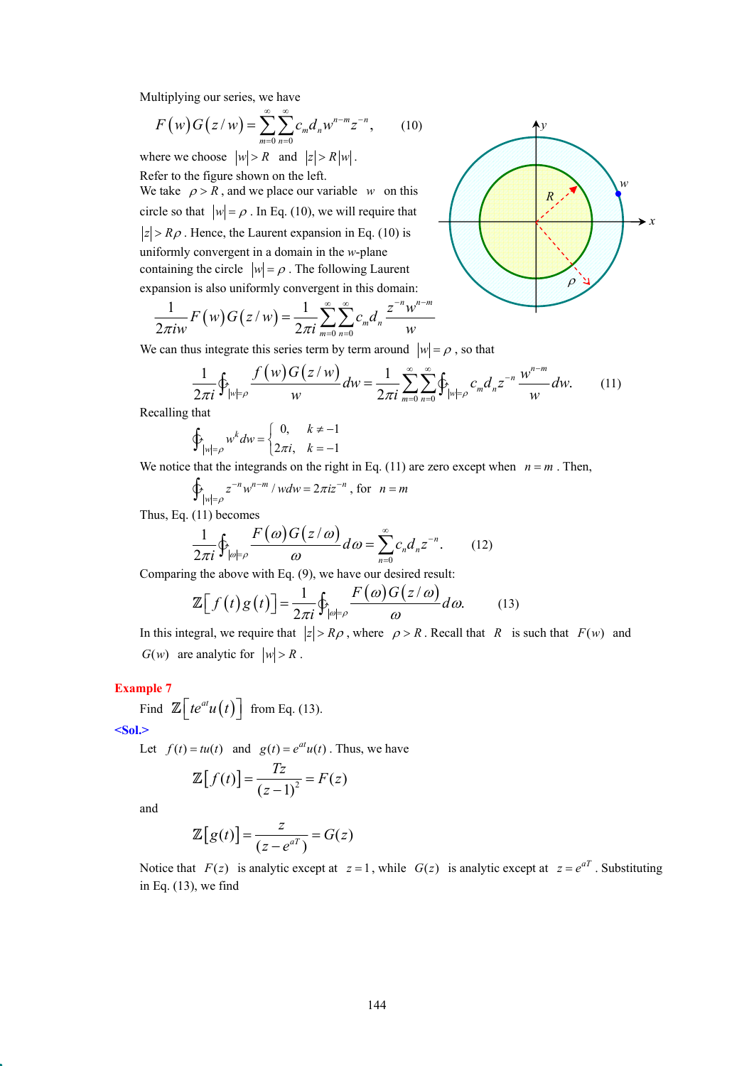Multiplying our series, we have

$$
F(w)G(z/w) = \sum_{m=0}^{\infty} \sum_{n=0}^{\infty} c_m d_n w^{n-m} z^{-n},
$$
 (10)

where we choose  $|w| > R$  and  $|z| > R|w|$ . Refer to the figure shown on the left.

We take  $\rho > R$ , and we place our variable *w* on this circle so that  $|w| = \rho$ . In Eq. (10), we will require that  $|z| > R\rho$ . Hence, the Laurent expansion in Eq. (10) is uniformly convergent in a domain in the *w*-plane containing the circle  $|w| = \rho$ . The following Laurent expansion is also uniformly convergent in this domain:

$$
\frac{1}{2\pi i w} F(w) G(z/w) = \frac{1}{2\pi i} \sum_{m=0}^{\infty} \sum_{n=0}^{\infty} c_m d_n \frac{z^{-n} w^{n-m}}{w}
$$

We can thus integrate this series term by term around  $|w| = \rho$ , so that

$$
\frac{1}{2\pi i} \oint_{|w|=\rho} \frac{f(w)G(z/w)}{w} dw = \frac{1}{2\pi i} \sum_{m=0}^{\infty} \sum_{n=0}^{\infty} \oint_{|w|=\rho} c_m d_n z^{-n} \frac{w^{n-m}}{w} dw.
$$
 (11)

Recalling that

$$
\oint_{|w|=\rho} w^k dw = \begin{cases} 0, & k \neq -1 \\ 2\pi i, & k = -1 \end{cases}
$$

We notice that the integrands on the right in Eq. (11) are zero except when  $n = m$ . Then,

$$
\oint_{|w|=\rho} z^{-n} w^{n-m} / w dw = 2\pi i z^{-n}, \text{ for } n=m
$$

Thus, Eq. (11) becomes

$$
\frac{1}{2\pi i} \oint_{|\omega|=\rho} \frac{F(\omega)G(z/\omega)}{\omega} d\omega = \sum_{n=0}^{\infty} c_n d_n z^{-n}.
$$
 (12)

Comparing the above with Eq. (9), we have our desired result:

$$
\mathbb{Z}\Big[f\big(t\big)g\big(t\big)\Big] = \frac{1}{2\pi i} \oint_{|\omega|=\rho} \frac{F\big(\omega\big)G\big(z/\omega\big)}{\omega} d\omega. \tag{13}
$$

In this integral, we require that  $|z| > R\rho$ , where  $\rho > R$ . Recall that *R* is such that  $F(w)$  and *G(w)* are analytic for  $|w| > R$ .

# **Example 7**

Find  $\mathbb{Z}\left[ te^{at}u(t)\right]$  from Eq. (13).

**<Sol.>** 

Let  $f(t) = tu(t)$  and  $g(t) = e^{at}u(t)$ . Thus, we have

$$
\mathbb{Z}[f(t)] = \frac{Tz}{(z-1)^2} = F(z)
$$

and

$$
\mathbb{Z}[g(t)] = \frac{z}{(z - e^{aT})} = G(z)
$$

Notice that  $F(z)$  is analytic except at  $z = 1$ , while  $G(z)$  is analytic except at  $z = e^{aT}$ . Substituting in Eq. (13), we find

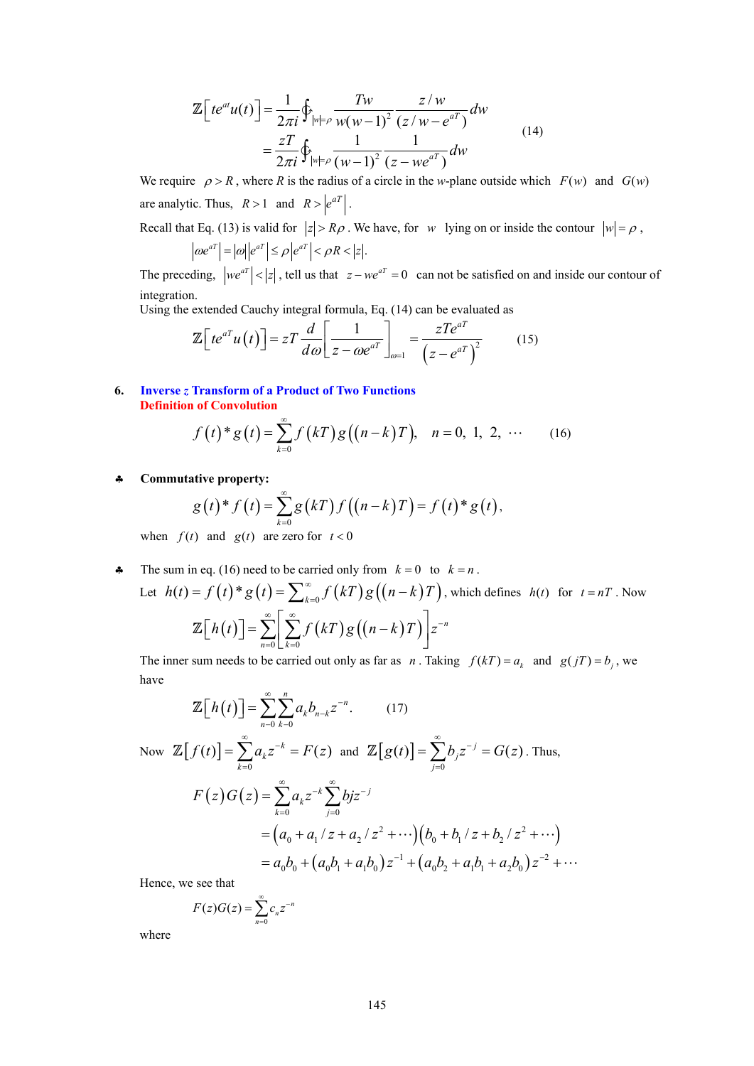$$
\mathbb{Z}\Big[te^{at}u(t)\Big] = \frac{1}{2\pi i}\oint_{|w|=\rho} \frac{Tw}{w(w-1)^2} \frac{z/w}{(z/w-e^{aT})}dw
$$
  
= 
$$
\frac{zT}{2\pi i}\oint_{|w|=\rho} \frac{1}{(w-1)^2} \frac{1}{(z-we^{aT})}dw
$$
 (14)

We require  $\rho > R$ , where *R* is the radius of a circle in the *w*-plane outside which  $F(w)$  and  $G(w)$ are analytic. Thus,  $R > 1$  and  $R > |e^{aT}|$ .

Recall that Eq. (13) is valid for  $|z| > R\rho$ . We have, for *w* lying on or inside the contour  $|w| = \rho$ ,

$$
\left|\omega e^{aT}\right| = |\omega||e^{aT}| \le \rho \left|e^{aT}\right| < \rho R < |z|.
$$

The preceding,  $|we^{aT}| < |z|$ , tell us that  $z - we^{aT} = 0$  can not be satisfied on and inside our contour of integration.

Using the extended Cauchy integral formula, Eq. (14) can be evaluated as

$$
\mathbb{Z}\Big[te^{aT}u(t)\Big]=zT\frac{d}{d\omega}\Big[\frac{1}{z-\omega e^{aT}}\Big]_{\omega=1}=\frac{zTe^{aT}}{\Big(z-e^{aT}\Big)^2}\qquad(15)
$$

**6. Inverse** *z* **Transform of a Product of Two Functions Definition of Convolution** 

$$
f(t)^* g(t) = \sum_{k=0}^{\infty} f(kT) g((n-k)T), \quad n = 0, 1, 2, \cdots \tag{16}
$$

♣ **Commutative property:**

$$
g(t)^* f(t) = \sum_{k=0}^{\infty} g(kT) f((n-k)T) = f(t)^* g(t),
$$

when  $f(t)$  and  $g(t)$  are zero for  $t < 0$ 

• The sum in eq. (16) need to be carried only from  $k = 0$  to  $k = n$ . Let  $h(t) = f(t)^* g(t) = \sum_{k=0}^{\infty} f(kT) g((n-k)T)$ , which defines  $h(t)$  for  $t = nT$ . Now  $(t)$   $\vert = \sum \vert \sum f(kT)g((n-k)T)$  $0 \lfloor k=0$ *n*  $n=0 \lfloor k \rfloor$  $h(t)$ ] =  $\sum_{n=0}^{\infty} \left[ \sum_{r=0}^{\infty} f(kT)g((n-k)T) \right] z^{-k}$  $\mathbb{Z}\big[h(t)\big]=\sum_{n=0}^{\infty}\bigg[\sum_{k=0}^{\infty}f(kT)g((n-k)T)\bigg]$ 

The inner sum needs to be carried out only as far as *n*. Taking  $f(kT) = a_k$  and  $g(jT) = b_j$ , we have

$$
\mathbb{Z}\Big[h(t)\Big] = \sum_{n=0}^{\infty} \sum_{k=0}^{n} a_k b_{n-k} z^{-n}.
$$
 (17)  
\nNow  $\mathbb{Z}\Big[f(t)\Big] = \sum_{k=0}^{\infty} a_k z^{-k} = F(z)$  and  $\mathbb{Z}\Big[g(t)\Big] = \sum_{j=0}^{\infty} b_j z^{-j} = G(z)$ . Thus,  
\n
$$
F(z)G(z) = \sum_{k=0}^{\infty} a_k z^{-k} \sum_{j=0}^{\infty} b_j z^{-j}
$$
\n
$$
= (a_0 + a_1 / z + a_2 / z^2 + \cdots)(b_0 + b_1 / z + b_2 / z^2 + \cdots)
$$
\n
$$
= a_0 b_0 + (a_0 b_1 + a_1 b_0) z^{-1} + (a_0 b_2 + a_1 b_1 + a_2 b_0) z^{-2} + \cdots
$$

Hence, we see that

$$
F(z)G(z) = \sum_{n=0}^{\infty} c_n z^{-n}
$$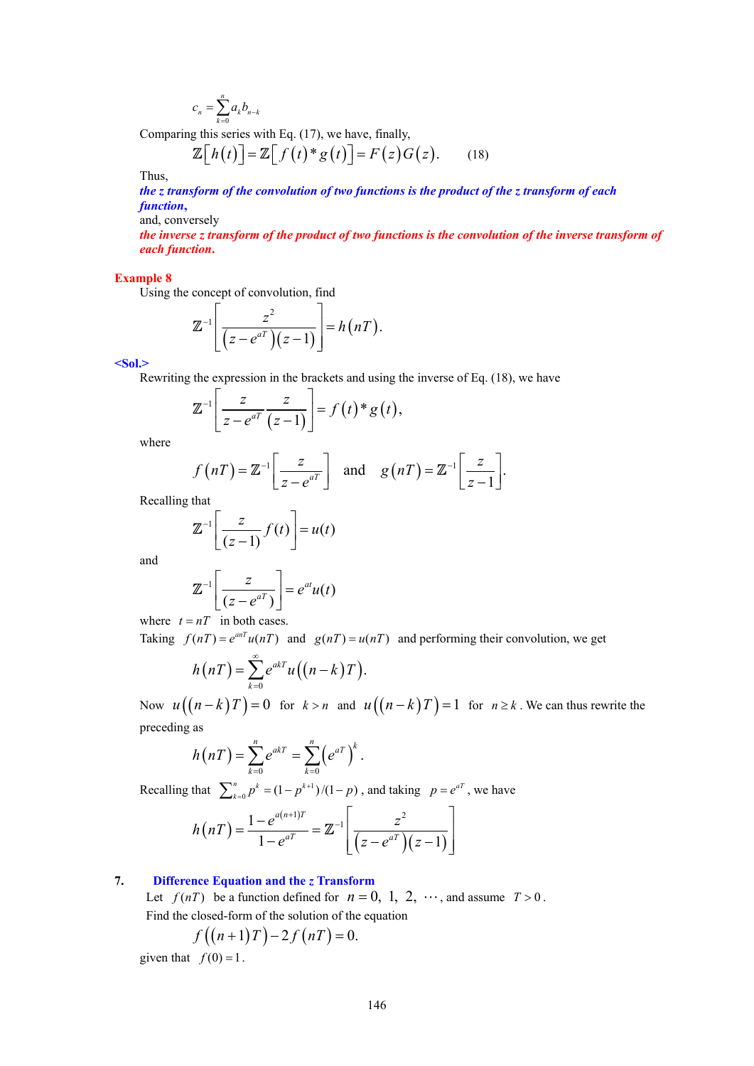$$
c_n = \sum_{k=0}^n a_k b_{n-k}
$$

Comparing this series with Eq. (17), we have, finally,

$$
\mathbb{Z}\big[h(t)\big]=\mathbb{Z}\big[f(t)^*g(t)\big]=F(z)G(z). \qquad (18)
$$

Thus,

*the z transform of the convolution of two functions is the product of the z transform of each function***,**

and, conversely

*the inverse z transform of the product of two functions is the convolution of the inverse transform of each function***.**

#### **Example 8**

Using the concept of convolution, find

$$
\mathbb{Z}^{-1}\left[\frac{z^2}{(z-e^{aT})(z-1)}\right]=h(nT).
$$

**<Sol.>** 

Rewriting the expression in the brackets and using the inverse of Eq. (18), we have

$$
\mathbb{Z}^{-1}\left[\frac{z}{z-e^{aT}}\frac{z}{(z-1)}\right]=f(t)^*g(t),
$$

where

$$
f(nT) = \mathbb{Z}^{-1} \left[ \frac{z}{z - e^{aT}} \right]
$$
 and  $g(nT) = \mathbb{Z}^{-1} \left[ \frac{z}{z - 1} \right].$ 

Recalling that

$$
\mathbb{Z}^{-1}\left[\frac{z}{(z-1)}f(t)\right] = u(t)
$$

and

$$
\mathbb{Z}^{-1}\left[\frac{z}{(z-e^{aT})}\right] = e^{at}u(t)
$$

where  $t = nT$  in both cases.

Taking  $f(nT) = e^{anT} u(nT)$  and  $g(nT) = u(nT)$  and performing their convolution, we get

$$
h(nT) = \sum_{k=0}^{\infty} e^{akT} u((n-k)T).
$$

Now  $u((n-k)T) = 0$  for  $k > n$  and  $u((n-k)T) = 1$  for  $n \ge k$ . We can thus rewrite the preceding as

$$
h(nT) = \sum_{k=0}^{n} e^{akT} = \sum_{k=0}^{n} (e^{aT})^{k}.
$$

Recalling that  $\sum_{k=0}^{n} p^k = (1 - p^{k+1})/(1-p)$ , and taking  $p = e^{aT}$ , we have

$$
h(nT) = \frac{1 - e^{a(n+1)T}}{1 - e^{aT}} = \mathbb{Z}^{-1} \left[ \frac{z^2}{(z - e^{aT})(z - 1)} \right]
$$

# **7. Difference Equation and the** *z* **Transform**

Let  $f(nT)$  be a function defined for  $n = 0, 1, 2, \cdots$ , and assume  $T > 0$ . Find the closed-form of the solution of the equation

$$
f((n+1)T)-2f(nT)=0.
$$

given that  $f(0) = 1$ .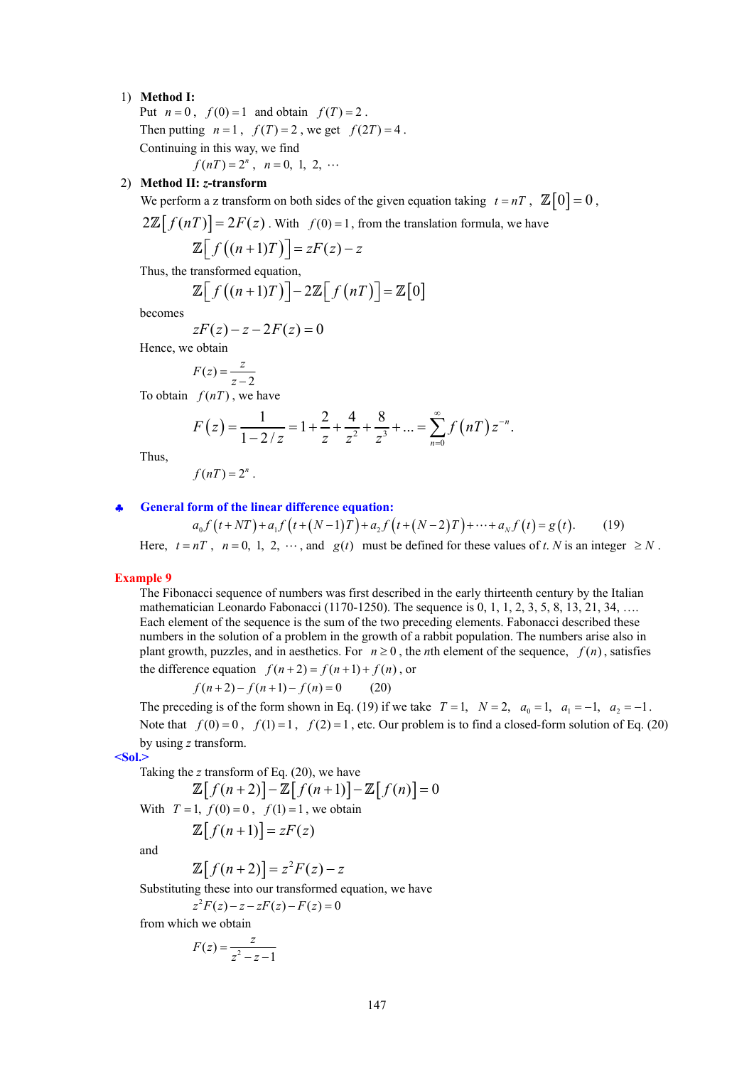### 1) **Method I:**

Put  $n = 0$ ,  $f(0) = 1$  and obtain  $f(T) = 2$ . Then putting  $n=1$ ,  $f(T)=2$ , we get  $f(2T)=4$ . Continuing in this way, we find  $f(nT) = 2^n$ ,  $n = 0, 1, 2, ...$ 

### 2) **Method II:** *z***-transform**

We perform a z transform on both sides of the given equation taking  $t = nT$ ,  $\mathbb{Z}[0] = 0$ ,

 $2\mathbb{Z}[f(nT)] = 2F(z)$ . With  $f(0) = 1$ , from the translation formula, we have

$$
\mathbb{Z}\big[f\big((n+1)T\big)\big]=zF(z)-z
$$

Thus, the transformed equation,

$$
\mathbb{Z}\Big[f\big((n+1)T\big)\Big]-2\mathbb{Z}\Big[f\big(nT\big)\Big]=\mathbb{Z}\Big[0\Big]
$$

becomes

$$
zF(z) - z - 2F(z) = 0
$$

Hence, we obtain

$$
F(z) = \frac{z}{z - 2}
$$

To obtain  $f(nT)$ , we have

$$
F(z) = \frac{1}{1 - 2/z} = 1 + \frac{2}{z} + \frac{4}{z^{2}} + \frac{8}{z^{3}} + \dots = \sum_{n=0}^{\infty} f(nT) z^{-n}.
$$

Thus,

$$
f(nT)=2^n.
$$

#### ♣ **General form of the linear difference equation:**

 $a_0 f(t+NT) + a_1 f(t+(N-1)T) + a_2 f(t+(N-2)T) + \cdots + a_N f(t) = g(t).$  (19) Here,  $t = nT$ ,  $n = 0, 1, 2, \cdots$ , and  $g(t)$  must be defined for these values of *t*. *N* is an integer  $\geq N$ .

#### **Example 9**

The Fibonacci sequence of numbers was first described in the early thirteenth century by the Italian mathematician Leonardo Fabonacci (1170-1250). The sequence is  $0, 1, 1, 2, 3, 5, 8, 13, 21, 34, \ldots$ Each element of the sequence is the sum of the two preceding elements. Fabonacci described these numbers in the solution of a problem in the growth of a rabbit population. The numbers arise also in plant growth, puzzles, and in aesthetics. For  $n \ge 0$ , the *n*th element of the sequence,  $f(n)$ , satisfies the difference equation  $f(n+2) = f(n+1) + f(n)$ , or

$$
f(n+2) - f(n+1) - f(n) = 0 \tag{20}
$$

The preceding is of the form shown in Eq. (19) if we take  $T=1$ ,  $N=2$ ,  $a_0=1$ ,  $a_1=-1$ ,  $a_2=-1$ . Note that  $f(0) = 0$ ,  $f(1) = 1$ ,  $f(2) = 1$ , etc. Our problem is to find a closed-form solution of Eq. (20) by using *z* transform.

**<Sol.>** 

Taking the 
$$
z
$$
 transform of Eq. (20), we have

$$
\mathbb{Z}[f(n+2)] - \mathbb{Z}[f(n+1)] - \mathbb{Z}[f(n)] = 0
$$
  
With  $T = 1$ ,  $f(0) = 0$ ,  $f(1) = 1$ , we obtain

$$
\mathbb{Z}[f(n+1)] = zF(z)
$$

and

$$
\mathbb{Z}[f(n+2)] = z^2 F(z) - z
$$

Substituting these into our transformed equation, we have

 $z^2 F(z) - z - zF(z) - F(z) = 0$ 

from which we obtain

$$
F(z) = \frac{z}{z^2 - z - 1}
$$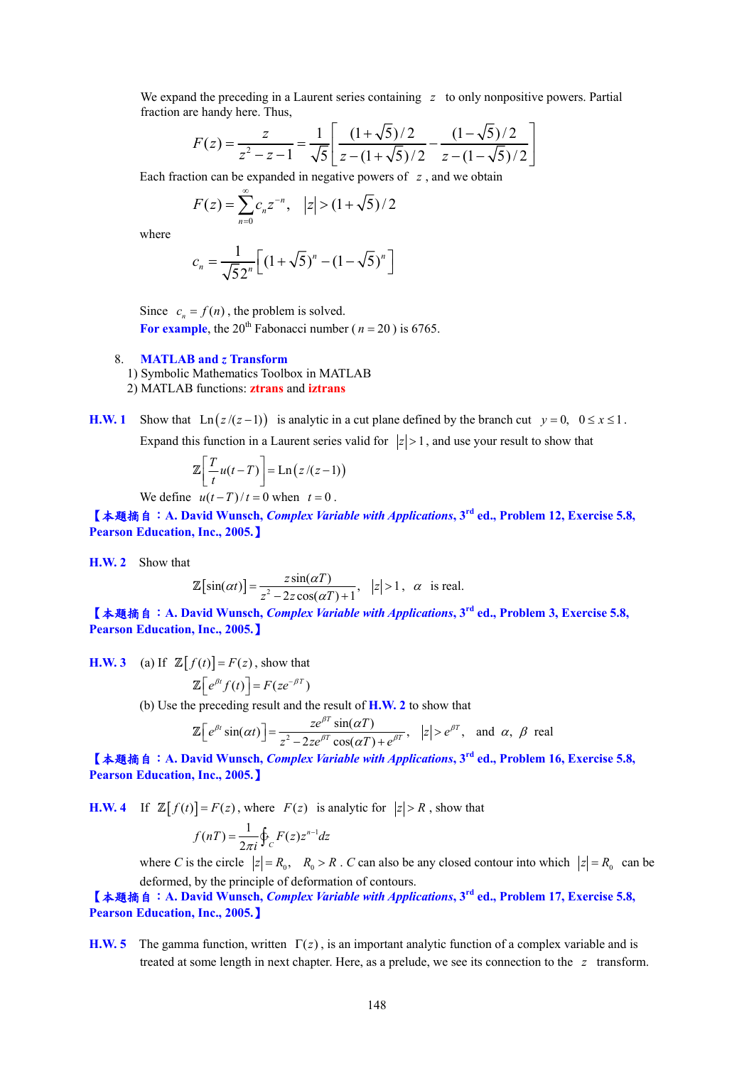We expand the preceding in a Laurent series containing *z* to only nonpositive powers. Partial fraction are handy here. Thus,

$$
F(z) = \frac{z}{z^2 - z - 1} = \frac{1}{\sqrt{5}} \left[ \frac{(1 + \sqrt{5})/2}{z - (1 + \sqrt{5})/2} - \frac{(1 - \sqrt{5})/2}{z - (1 - \sqrt{5})/2} \right]
$$

Each fraction can be expanded in negative powers of *z* , and we obtain

$$
F(z) = \sum_{n=0}^{\infty} c_n z^{-n}, \quad |z| > (1 + \sqrt{5})/2
$$

where

$$
c_n = \frac{1}{\sqrt{52^n}} \Big[ (1 + \sqrt{5})^n - (1 - \sqrt{5})^n \Big]
$$

Since  $c_n = f(n)$ , the problem is solved. For example, the 20<sup>th</sup> Fabonacci number ( $n = 20$ ) is 6765.

#### 8. **MATLAB and** *z* **Transform**

- 1) Symbolic Mathematics Toolbox in MATLAB
- 2) MATLAB functions: **ztrans** and **iztrans**
- **H.W. 1** Show that Ln( $z/(z-1)$ ) is analytic in a cut plane defined by the branch cut  $y = 0$ ,  $0 \le x \le 1$ . Expand this function in a Laurent series valid for  $|z| > 1$ , and use your result to show that

$$
\mathbb{Z}\bigg[\frac{T}{t}u(t-T)\bigg]=\text{Ln}\big(z/(z-1)\big)
$$

We define  $u(t-T)/t = 0$  when  $t = 0$ .

【本題摘自:**A. David Wunsch,** *Complex Variable with Applications***, 3rd ed., Problem 12, Exercise 5.8, Pearson Education, Inc., 2005.**】

**H.W. 2** Show that

$$
\mathbb{Z}[\sin(\alpha t)] = \frac{z \sin(\alpha T)}{z^2 - 2z \cos(\alpha T) + 1}, \quad |z| > 1, \quad \alpha \quad \text{is real.}
$$

【本題摘自:**A. David Wunsch,** *Complex Variable with Applications***, 3rd ed., Problem 3, Exercise 5.8, Pearson Education, Inc., 2005.**】

**H.W. 3** (a) If  $\mathbb{Z}[f(t)] = F(z)$ , show that

$$
\mathbb{Z}\big[e^{\beta t}f(t)\big]=F(ze^{-\beta T})
$$

(b) Use the preceding result and the result of **H.W. 2** to show that

$$
\mathbb{Z}\Big[e^{\beta t}\sin(\alpha t)\Big]=\frac{ze^{\beta T}\sin(\alpha T)}{z^2-2ze^{\beta T}\cos(\alpha T)+e^{\beta T}}, \quad |z|>e^{\beta T}, \quad \text{and} \quad \alpha, \ \beta \text{ real}
$$

【本題摘自:**A. David Wunsch,** *Complex Variable with Applications***, 3rd ed., Problem 16, Exercise 5.8, Pearson Education, Inc., 2005.**】

**H.W. 4** If  $\mathbb{Z}[f(t)] = F(z)$ , where  $F(z)$  is analytic for  $|z| > R$ , show that

$$
f(nT) = \frac{1}{2\pi i} \oint_C F(z) z^{n-1} dz
$$

where *C* is the circle  $|z| = R_0$ ,  $R_0 > R$ . *C* can also be any closed contour into which  $|z| = R_0$  can be deformed, by the principle of deformation of contours.

【本題摘自:**A. David Wunsch,** *Complex Variable with Applications***, 3rd ed., Problem 17, Exercise 5.8, Pearson Education, Inc., 2005.**】

**H.W. 5** The gamma function, written  $\Gamma(z)$ , is an important analytic function of a complex variable and is treated at some length in next chapter. Here, as a prelude, we see its connection to the *z* transform.